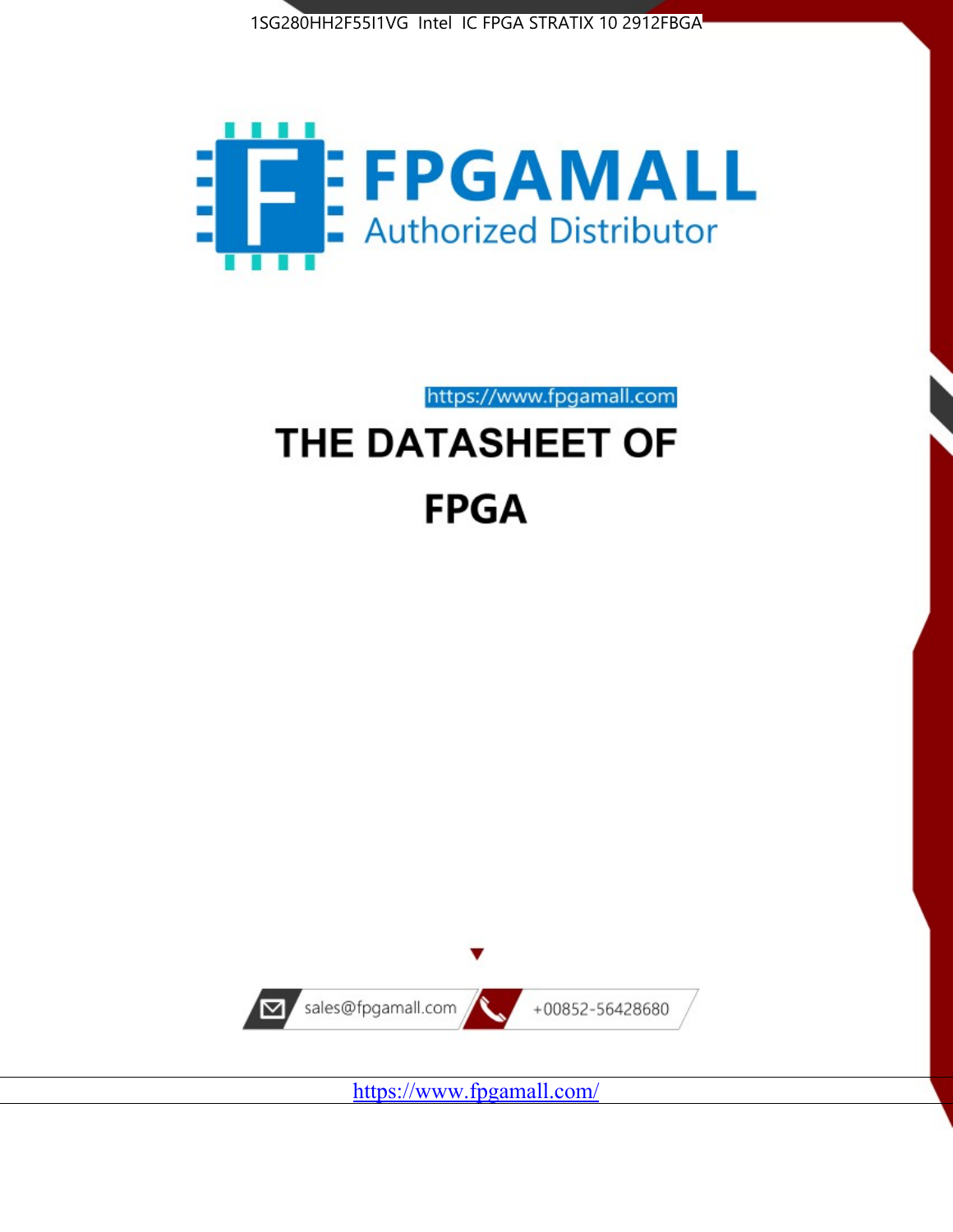



https://www.fpgamall.com

# THE DATASHEET OF **FPGA**



<https://www.fpgamall.com/>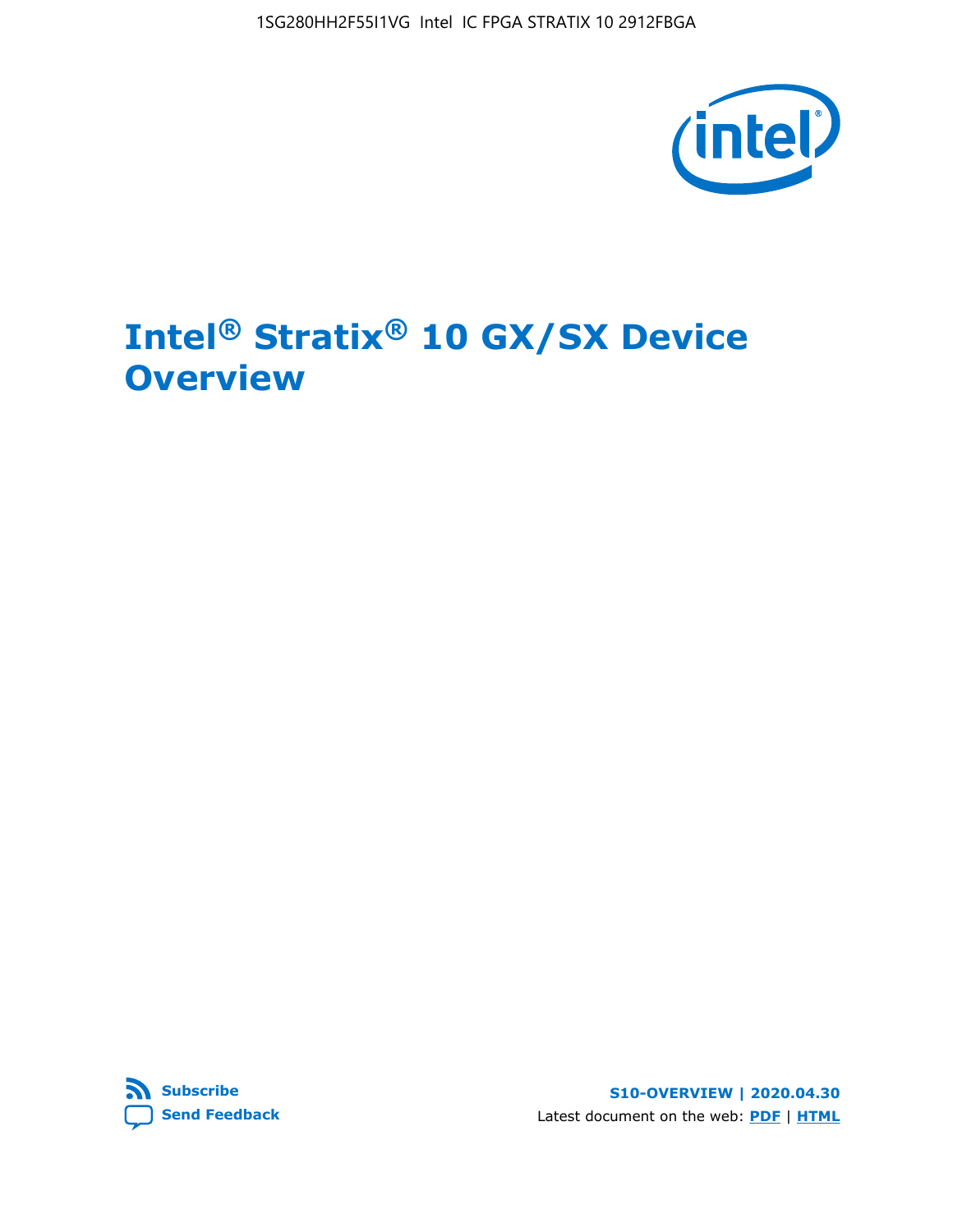1SG280HH2F55I1VG Intel IC FPGA STRATIX 10 2912FBGA



# **Intel® Stratix® 10 GX/SX Device Overview**



**S10-OVERVIEW | 2020.04.30** Latest document on the web: **[PDF](https://www.intel.com/content/dam/www/programmable/us/en/pdfs/literature/hb/stratix-10/s10-overview.pdf)** | **[HTML](https://www.intel.com/content/www/us/en/programmable/documentation/joc1442261161666.html)**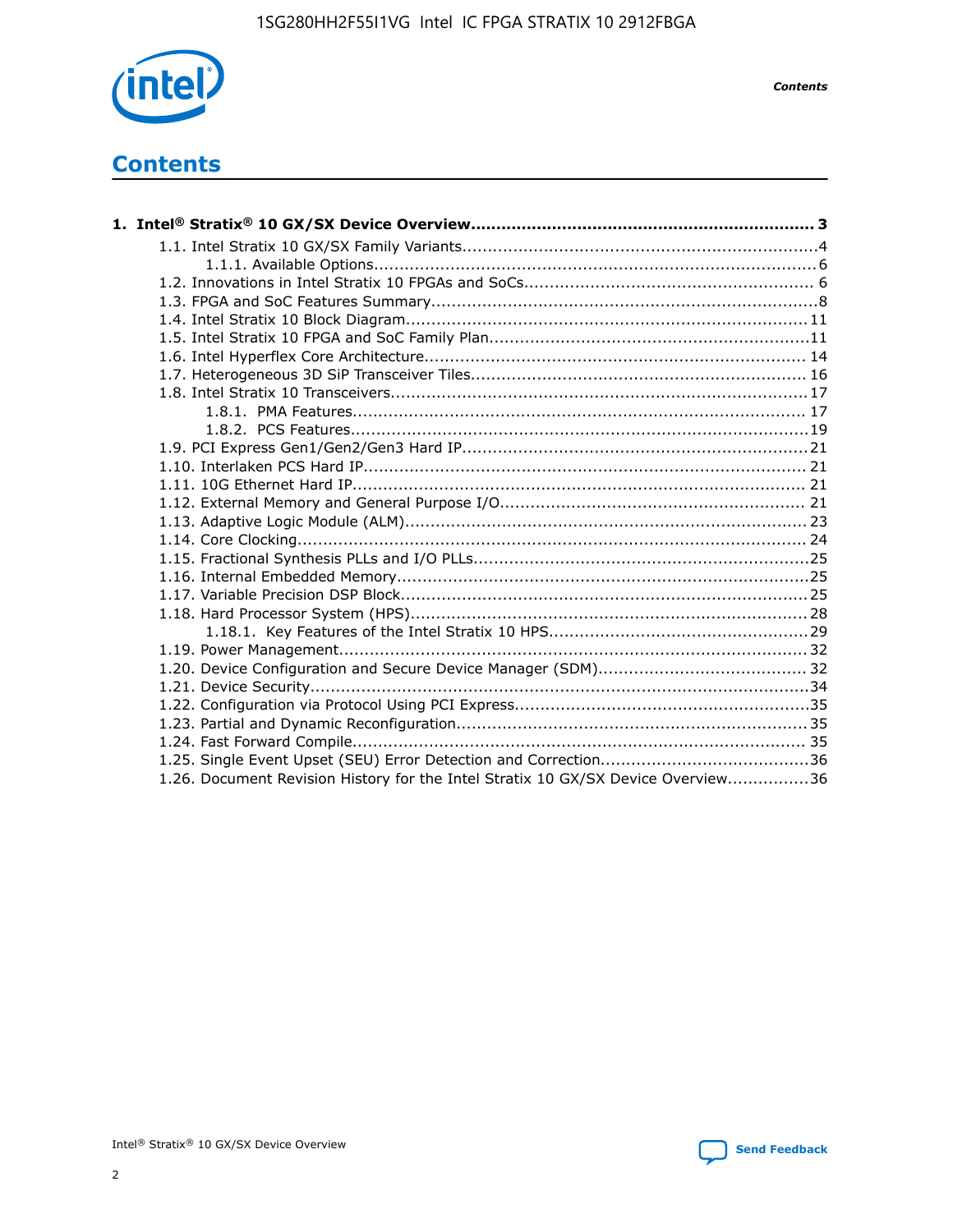

*Contents*

# **Contents**

| 1.26. Document Revision History for the Intel Stratix 10 GX/SX Device Overview36 |  |
|----------------------------------------------------------------------------------|--|

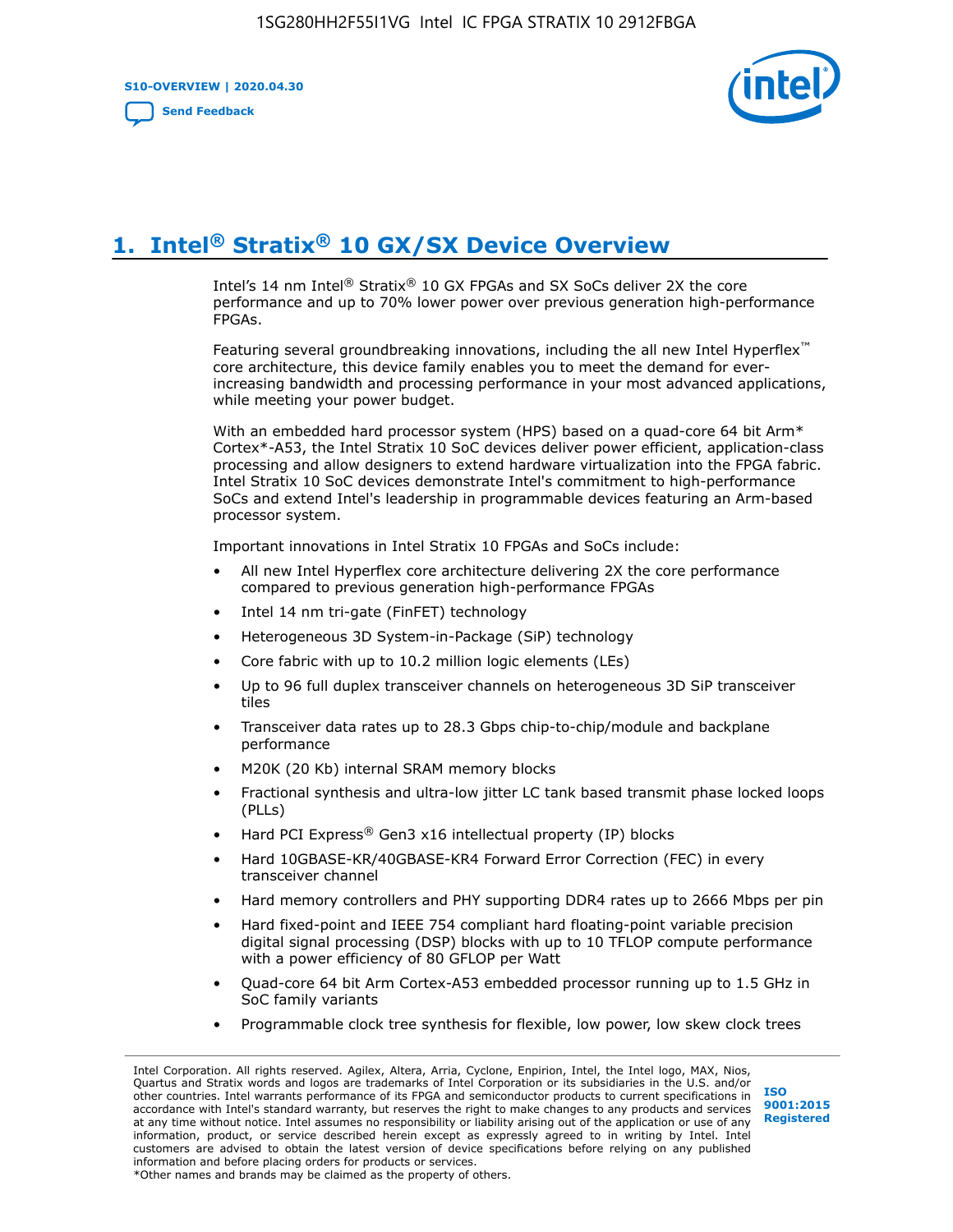**S10-OVERVIEW | 2020.04.30**

**[Send Feedback](mailto:FPGAtechdocfeedback@intel.com?subject=Feedback%20on%20Intel%20Stratix%2010%20GX/SX%20Device%20Overview%20(S10-OVERVIEW%202020.04.30)&body=We%20appreciate%20your%20feedback.%20In%20your%20comments,%20also%20specify%20the%20page%20number%20or%20paragraph.%20Thank%20you.)**



# **1. Intel® Stratix® 10 GX/SX Device Overview**

Intel's 14 nm Intel® Stratix® 10 GX FPGAs and SX SoCs deliver 2X the core performance and up to 70% lower power over previous generation high-performance FPGAs.

Featuring several groundbreaking innovations, including the all new Intel Hyperflex™ core architecture, this device family enables you to meet the demand for everincreasing bandwidth and processing performance in your most advanced applications, while meeting your power budget.

With an embedded hard processor system (HPS) based on a quad-core 64 bit Arm\* Cortex\*-A53, the Intel Stratix 10 SoC devices deliver power efficient, application-class processing and allow designers to extend hardware virtualization into the FPGA fabric. Intel Stratix 10 SoC devices demonstrate Intel's commitment to high-performance SoCs and extend Intel's leadership in programmable devices featuring an Arm-based processor system.

Important innovations in Intel Stratix 10 FPGAs and SoCs include:

- All new Intel Hyperflex core architecture delivering 2X the core performance compared to previous generation high-performance FPGAs
- Intel 14 nm tri-gate (FinFET) technology
- Heterogeneous 3D System-in-Package (SiP) technology
- Core fabric with up to 10.2 million logic elements (LEs)
- Up to 96 full duplex transceiver channels on heterogeneous 3D SiP transceiver tiles
- Transceiver data rates up to 28.3 Gbps chip-to-chip/module and backplane performance
- M20K (20 Kb) internal SRAM memory blocks
- Fractional synthesis and ultra-low jitter LC tank based transmit phase locked loops (PLLs)
- Hard PCI Express<sup>®</sup> Gen3 x16 intellectual property (IP) blocks
- Hard 10GBASE-KR/40GBASE-KR4 Forward Error Correction (FEC) in every transceiver channel
- Hard memory controllers and PHY supporting DDR4 rates up to 2666 Mbps per pin
- Hard fixed-point and IEEE 754 compliant hard floating-point variable precision digital signal processing (DSP) blocks with up to 10 TFLOP compute performance with a power efficiency of 80 GFLOP per Watt
- Quad-core 64 bit Arm Cortex-A53 embedded processor running up to 1.5 GHz in SoC family variants
- Programmable clock tree synthesis for flexible, low power, low skew clock trees

Intel Corporation. All rights reserved. Agilex, Altera, Arria, Cyclone, Enpirion, Intel, the Intel logo, MAX, Nios, Quartus and Stratix words and logos are trademarks of Intel Corporation or its subsidiaries in the U.S. and/or other countries. Intel warrants performance of its FPGA and semiconductor products to current specifications in accordance with Intel's standard warranty, but reserves the right to make changes to any products and services at any time without notice. Intel assumes no responsibility or liability arising out of the application or use of any information, product, or service described herein except as expressly agreed to in writing by Intel. Intel customers are advised to obtain the latest version of device specifications before relying on any published information and before placing orders for products or services. \*Other names and brands may be claimed as the property of others.

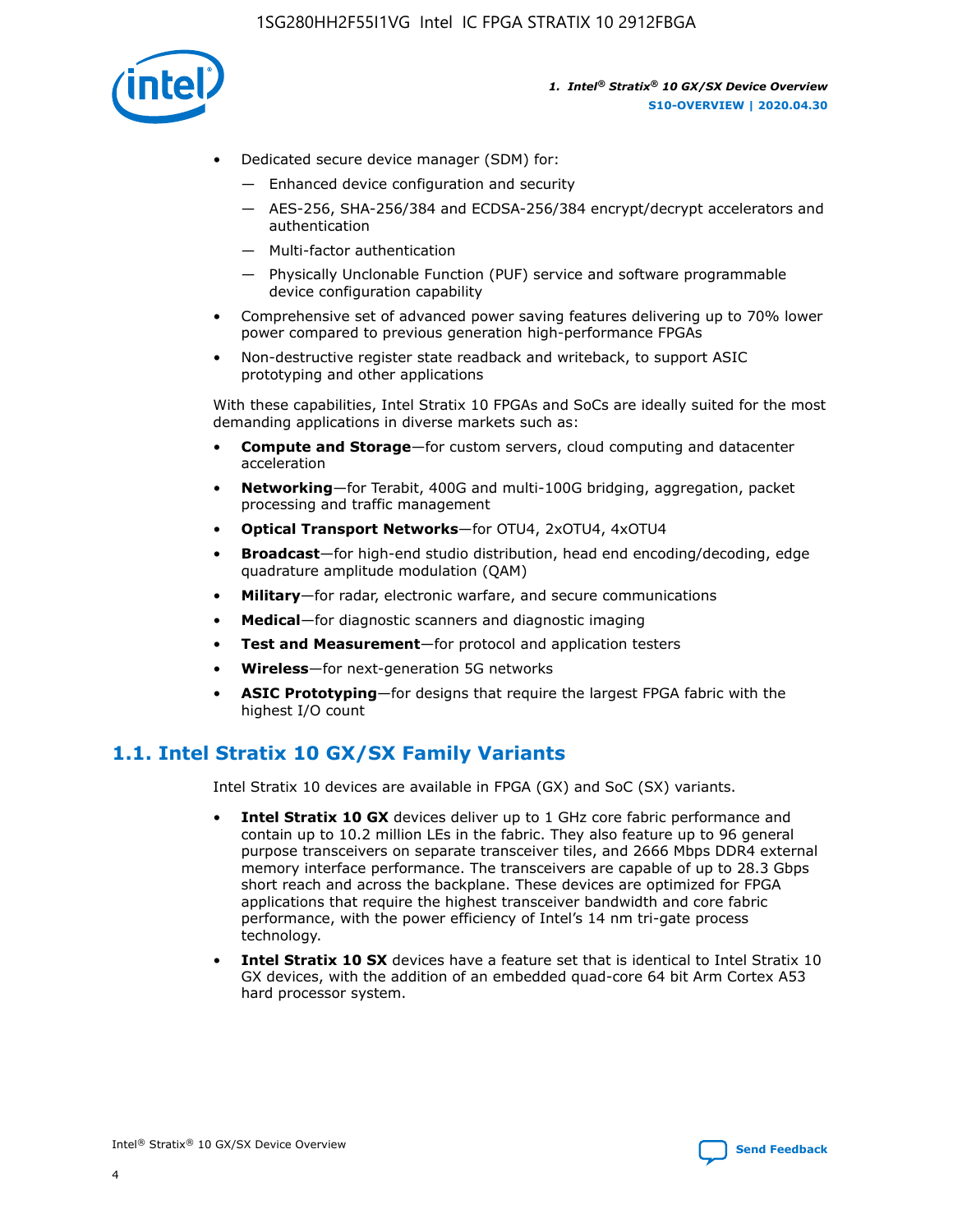

- Dedicated secure device manager (SDM) for:
	- Enhanced device configuration and security
	- AES-256, SHA-256/384 and ECDSA-256/384 encrypt/decrypt accelerators and authentication
	- Multi-factor authentication
	- Physically Unclonable Function (PUF) service and software programmable device configuration capability
- Comprehensive set of advanced power saving features delivering up to 70% lower power compared to previous generation high-performance FPGAs
- Non-destructive register state readback and writeback, to support ASIC prototyping and other applications

With these capabilities, Intel Stratix 10 FPGAs and SoCs are ideally suited for the most demanding applications in diverse markets such as:

- **Compute and Storage**—for custom servers, cloud computing and datacenter acceleration
- **Networking**—for Terabit, 400G and multi-100G bridging, aggregation, packet processing and traffic management
- **Optical Transport Networks**—for OTU4, 2xOTU4, 4xOTU4
- **Broadcast**—for high-end studio distribution, head end encoding/decoding, edge quadrature amplitude modulation (QAM)
- **Military**—for radar, electronic warfare, and secure communications
- **Medical**—for diagnostic scanners and diagnostic imaging
- **Test and Measurement**—for protocol and application testers
- **Wireless**—for next-generation 5G networks
- **ASIC Prototyping**—for designs that require the largest FPGA fabric with the highest I/O count

## **1.1. Intel Stratix 10 GX/SX Family Variants**

Intel Stratix 10 devices are available in FPGA (GX) and SoC (SX) variants.

- **Intel Stratix 10 GX** devices deliver up to 1 GHz core fabric performance and contain up to 10.2 million LEs in the fabric. They also feature up to 96 general purpose transceivers on separate transceiver tiles, and 2666 Mbps DDR4 external memory interface performance. The transceivers are capable of up to 28.3 Gbps short reach and across the backplane. These devices are optimized for FPGA applications that require the highest transceiver bandwidth and core fabric performance, with the power efficiency of Intel's 14 nm tri-gate process technology.
- **Intel Stratix 10 SX** devices have a feature set that is identical to Intel Stratix 10 GX devices, with the addition of an embedded quad-core 64 bit Arm Cortex A53 hard processor system.

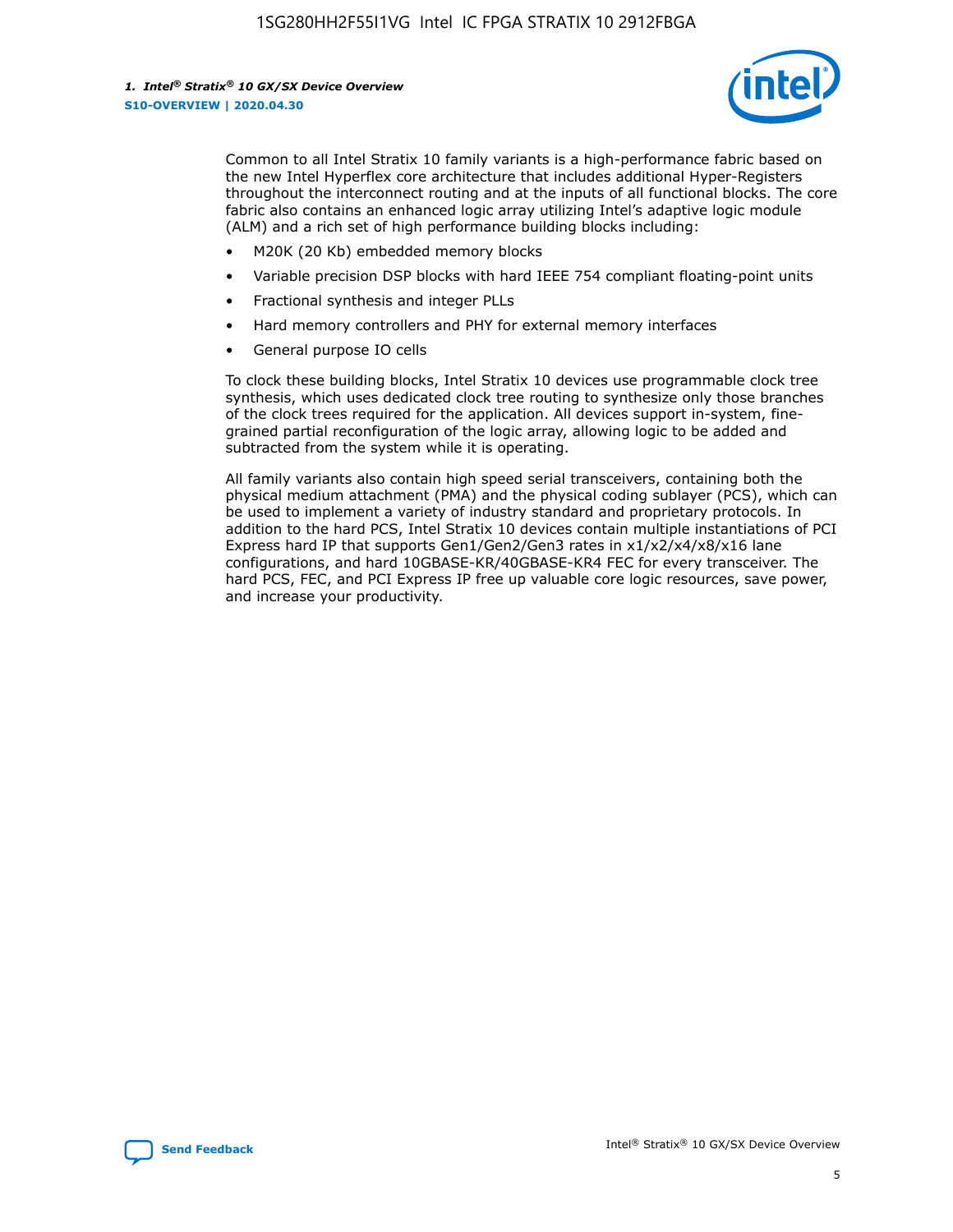

Common to all Intel Stratix 10 family variants is a high-performance fabric based on the new Intel Hyperflex core architecture that includes additional Hyper-Registers throughout the interconnect routing and at the inputs of all functional blocks. The core fabric also contains an enhanced logic array utilizing Intel's adaptive logic module (ALM) and a rich set of high performance building blocks including:

- M20K (20 Kb) embedded memory blocks
- Variable precision DSP blocks with hard IEEE 754 compliant floating-point units
- Fractional synthesis and integer PLLs
- Hard memory controllers and PHY for external memory interfaces
- General purpose IO cells

To clock these building blocks, Intel Stratix 10 devices use programmable clock tree synthesis, which uses dedicated clock tree routing to synthesize only those branches of the clock trees required for the application. All devices support in-system, finegrained partial reconfiguration of the logic array, allowing logic to be added and subtracted from the system while it is operating.

All family variants also contain high speed serial transceivers, containing both the physical medium attachment (PMA) and the physical coding sublayer (PCS), which can be used to implement a variety of industry standard and proprietary protocols. In addition to the hard PCS, Intel Stratix 10 devices contain multiple instantiations of PCI Express hard IP that supports Gen1/Gen2/Gen3 rates in x1/x2/x4/x8/x16 lane configurations, and hard 10GBASE-KR/40GBASE-KR4 FEC for every transceiver. The hard PCS, FEC, and PCI Express IP free up valuable core logic resources, save power, and increase your productivity.

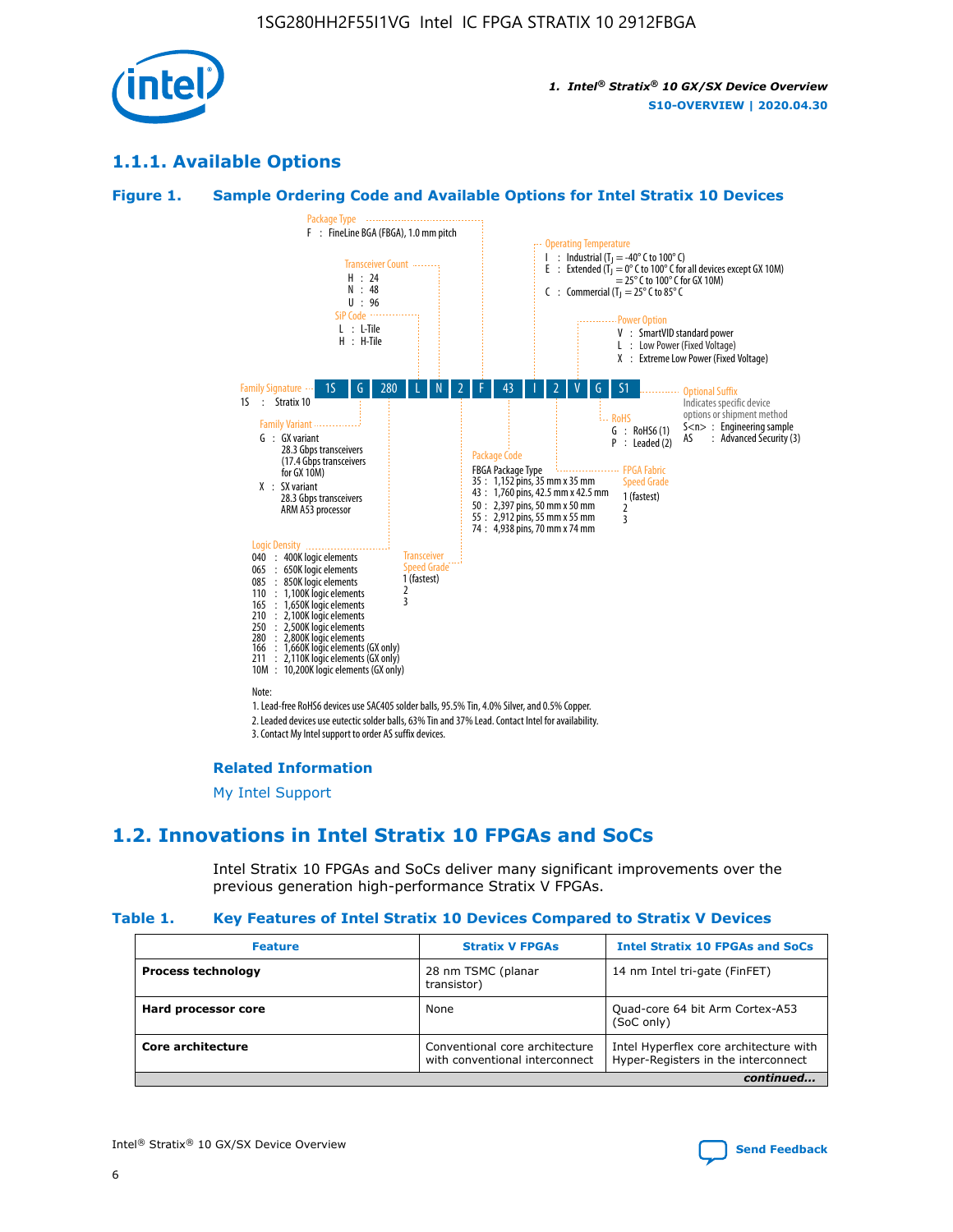

## **1.1.1. Available Options**

#### **Figure 1. Sample Ordering Code and Available Options for Intel Stratix 10 Devices**



## **Related Information**

[My Intel Support](https://www.intel.com/content/www/us/en/programmable/my-intel/mal-home.html)

## **1.2. Innovations in Intel Stratix 10 FPGAs and SoCs**

Intel Stratix 10 FPGAs and SoCs deliver many significant improvements over the previous generation high-performance Stratix V FPGAs.

#### **Table 1. Key Features of Intel Stratix 10 Devices Compared to Stratix V Devices**

| <b>Feature</b>            | <b>Stratix V FPGAs</b>                                           | <b>Intel Stratix 10 FPGAs and SoCs</b>                                        |
|---------------------------|------------------------------------------------------------------|-------------------------------------------------------------------------------|
| <b>Process technology</b> | 28 nm TSMC (planar<br>transistor)                                | 14 nm Intel tri-gate (FinFET)                                                 |
| Hard processor core       | None                                                             | Quad-core 64 bit Arm Cortex-A53<br>(SoC only)                                 |
| Core architecture         | Conventional core architecture<br>with conventional interconnect | Intel Hyperflex core architecture with<br>Hyper-Registers in the interconnect |
|                           |                                                                  | continued                                                                     |

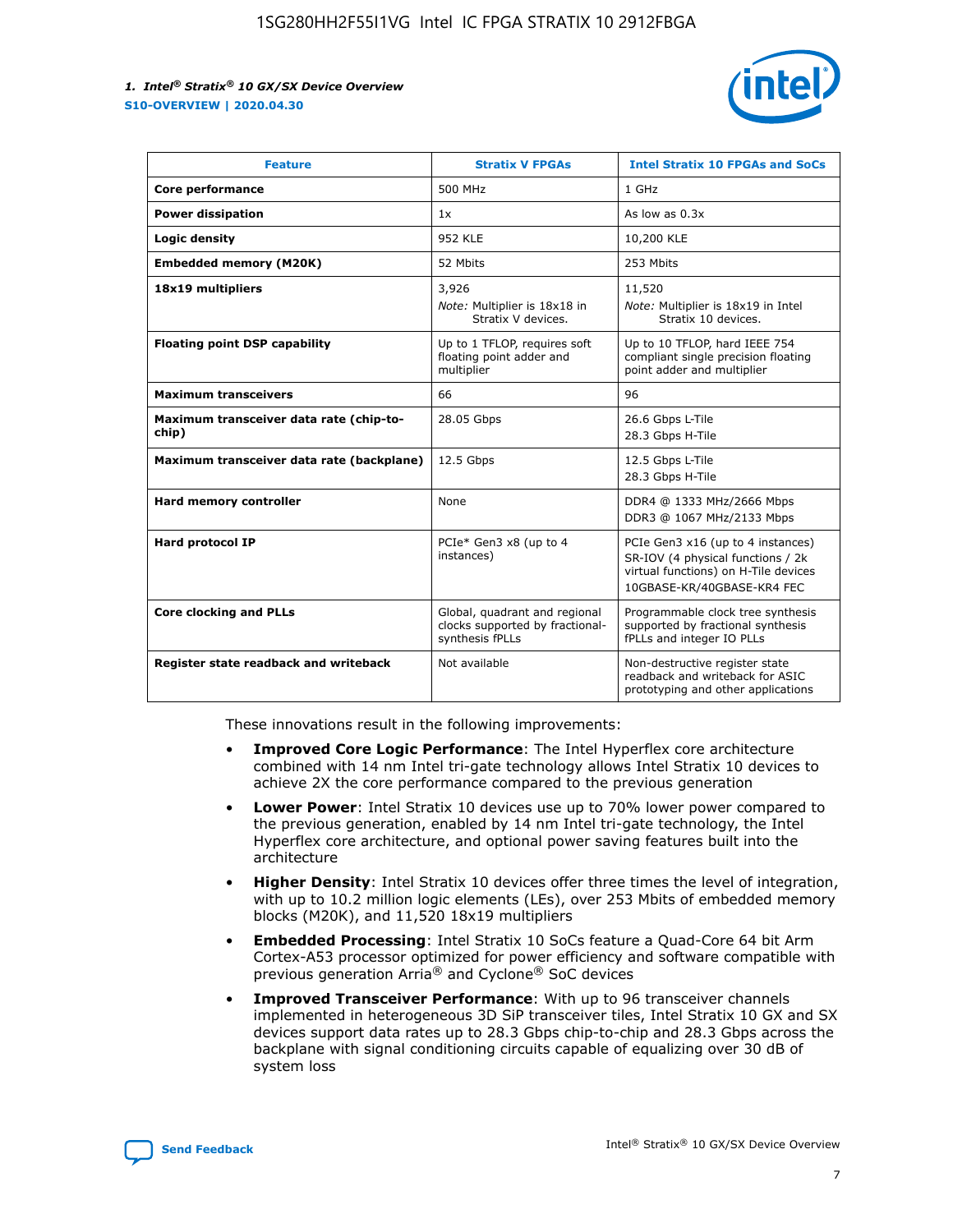

| <b>Feature</b>                                   | <b>Stratix V FPGAs</b>                                                              | <b>Intel Stratix 10 FPGAs and SoCs</b>                                                                                                       |
|--------------------------------------------------|-------------------------------------------------------------------------------------|----------------------------------------------------------------------------------------------------------------------------------------------|
| Core performance                                 | 500 MHz                                                                             | 1 GHz                                                                                                                                        |
| <b>Power dissipation</b>                         | 1x                                                                                  | As low as $0.3x$                                                                                                                             |
| Logic density                                    | <b>952 KLE</b>                                                                      | 10,200 KLE                                                                                                                                   |
| <b>Embedded memory (M20K)</b>                    | 52 Mbits                                                                            | 253 Mbits                                                                                                                                    |
| 18x19 multipliers                                | 3,926                                                                               | 11,520                                                                                                                                       |
|                                                  | Note: Multiplier is 18x18 in<br>Stratix V devices.                                  | Note: Multiplier is 18x19 in Intel<br>Stratix 10 devices.                                                                                    |
| <b>Floating point DSP capability</b>             | Up to 1 TFLOP, requires soft<br>floating point adder and<br>multiplier              | Up to 10 TFLOP, hard IEEE 754<br>compliant single precision floating<br>point adder and multiplier                                           |
| <b>Maximum transceivers</b>                      | 66                                                                                  | 96                                                                                                                                           |
| Maximum transceiver data rate (chip-to-<br>chip) | 28.05 Gbps                                                                          | 26.6 Gbps L-Tile<br>28.3 Gbps H-Tile                                                                                                         |
| Maximum transceiver data rate (backplane)        | 12.5 Gbps                                                                           | 12.5 Gbps L-Tile<br>28.3 Gbps H-Tile                                                                                                         |
| Hard memory controller                           | None                                                                                | DDR4 @ 1333 MHz/2666 Mbps<br>DDR3 @ 1067 MHz/2133 Mbps                                                                                       |
| Hard protocol IP                                 | PCIe* Gen3 x8 (up to 4<br>instances)                                                | PCIe Gen3 x16 (up to 4 instances)<br>SR-IOV (4 physical functions / 2k<br>virtual functions) on H-Tile devices<br>10GBASE-KR/40GBASE-KR4 FEC |
| <b>Core clocking and PLLs</b>                    | Global, quadrant and regional<br>clocks supported by fractional-<br>synthesis fPLLs | Programmable clock tree synthesis<br>supported by fractional synthesis<br>fPLLs and integer IO PLLs                                          |
| Register state readback and writeback            | Not available                                                                       | Non-destructive register state<br>readback and writeback for ASIC<br>prototyping and other applications                                      |

These innovations result in the following improvements:

- **Improved Core Logic Performance**: The Intel Hyperflex core architecture combined with 14 nm Intel tri-gate technology allows Intel Stratix 10 devices to achieve 2X the core performance compared to the previous generation
- **Lower Power**: Intel Stratix 10 devices use up to 70% lower power compared to the previous generation, enabled by 14 nm Intel tri-gate technology, the Intel Hyperflex core architecture, and optional power saving features built into the architecture
- **Higher Density**: Intel Stratix 10 devices offer three times the level of integration, with up to 10.2 million logic elements (LEs), over 253 Mbits of embedded memory blocks (M20K), and 11,520 18x19 multipliers
- **Embedded Processing**: Intel Stratix 10 SoCs feature a Quad-Core 64 bit Arm Cortex-A53 processor optimized for power efficiency and software compatible with previous generation Arria® and Cyclone® SoC devices
- **Improved Transceiver Performance**: With up to 96 transceiver channels implemented in heterogeneous 3D SiP transceiver tiles, Intel Stratix 10 GX and SX devices support data rates up to 28.3 Gbps chip-to-chip and 28.3 Gbps across the backplane with signal conditioning circuits capable of equalizing over 30 dB of system loss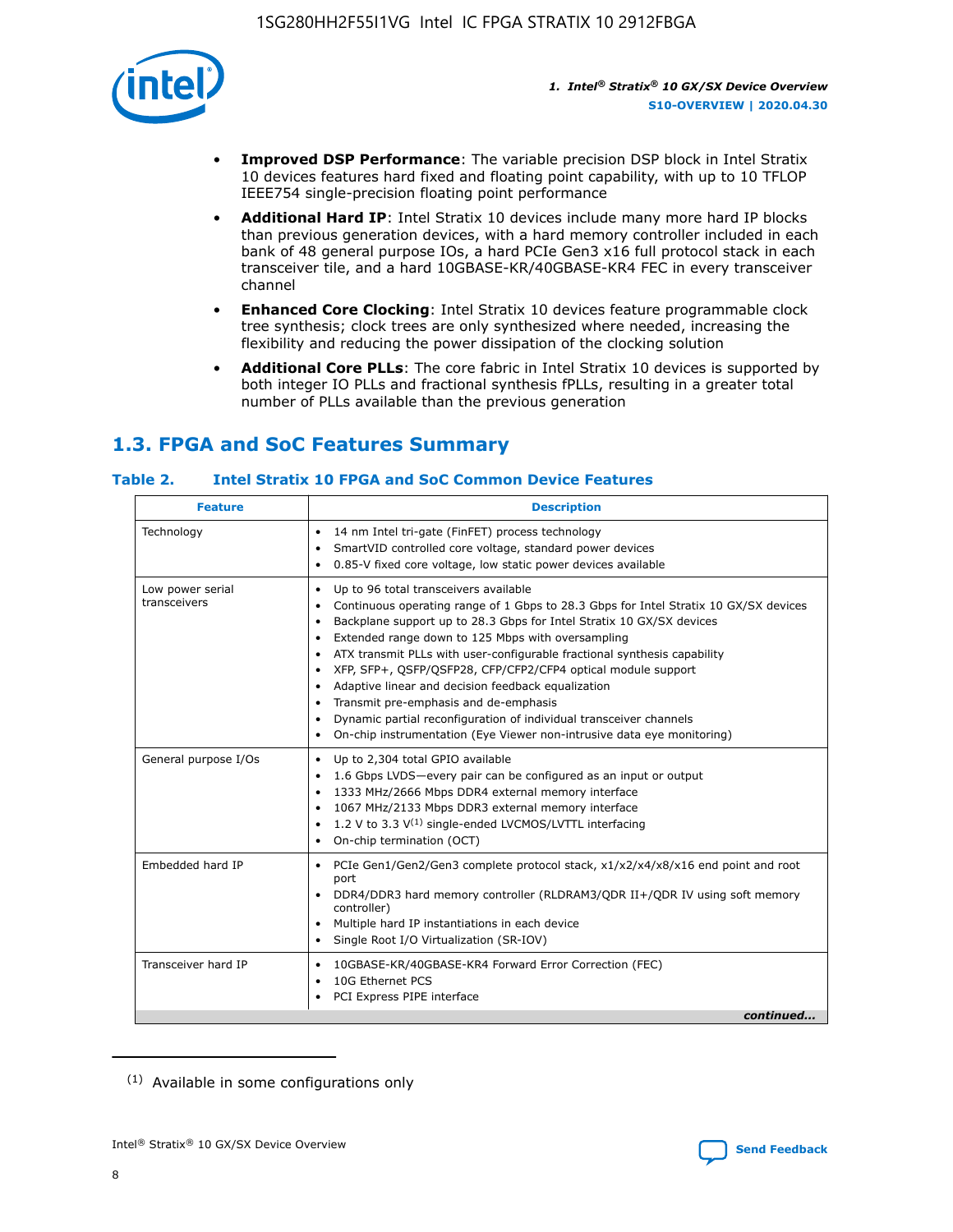

- **Improved DSP Performance**: The variable precision DSP block in Intel Stratix 10 devices features hard fixed and floating point capability, with up to 10 TFLOP IEEE754 single-precision floating point performance
- **Additional Hard IP**: Intel Stratix 10 devices include many more hard IP blocks than previous generation devices, with a hard memory controller included in each bank of 48 general purpose IOs, a hard PCIe Gen3 x16 full protocol stack in each transceiver tile, and a hard 10GBASE-KR/40GBASE-KR4 FEC in every transceiver channel
- **Enhanced Core Clocking**: Intel Stratix 10 devices feature programmable clock tree synthesis; clock trees are only synthesized where needed, increasing the flexibility and reducing the power dissipation of the clocking solution
- **Additional Core PLLs**: The core fabric in Intel Stratix 10 devices is supported by both integer IO PLLs and fractional synthesis fPLLs, resulting in a greater total number of PLLs available than the previous generation

## **1.3. FPGA and SoC Features Summary**

## **Table 2. Intel Stratix 10 FPGA and SoC Common Device Features**

| <b>Feature</b>                   | <b>Description</b>                                                                                                                                                                                                                                                                                                                                                                                                                                                                                                                                                                                                                                                                                                                                   |
|----------------------------------|------------------------------------------------------------------------------------------------------------------------------------------------------------------------------------------------------------------------------------------------------------------------------------------------------------------------------------------------------------------------------------------------------------------------------------------------------------------------------------------------------------------------------------------------------------------------------------------------------------------------------------------------------------------------------------------------------------------------------------------------------|
| Technology                       | 14 nm Intel tri-gate (FinFET) process technology<br>٠<br>SmartVID controlled core voltage, standard power devices<br>0.85-V fixed core voltage, low static power devices available                                                                                                                                                                                                                                                                                                                                                                                                                                                                                                                                                                   |
| Low power serial<br>transceivers | Up to 96 total transceivers available<br>$\bullet$<br>Continuous operating range of 1 Gbps to 28.3 Gbps for Intel Stratix 10 GX/SX devices<br>$\bullet$<br>Backplane support up to 28.3 Gbps for Intel Stratix 10 GX/SX devices<br>$\bullet$<br>Extended range down to 125 Mbps with oversampling<br>$\bullet$<br>ATX transmit PLLs with user-configurable fractional synthesis capability<br>$\bullet$<br>• XFP, SFP+, OSFP/OSFP28, CFP/CFP2/CFP4 optical module support<br>• Adaptive linear and decision feedback equalization<br>Transmit pre-emphasis and de-emphasis<br>Dynamic partial reconfiguration of individual transceiver channels<br>$\bullet$<br>On-chip instrumentation (Eye Viewer non-intrusive data eye monitoring)<br>$\bullet$ |
| General purpose I/Os             | Up to 2,304 total GPIO available<br>$\bullet$<br>1.6 Gbps LVDS-every pair can be configured as an input or output<br>$\bullet$<br>1333 MHz/2666 Mbps DDR4 external memory interface<br>1067 MHz/2133 Mbps DDR3 external memory interface<br>1.2 V to 3.3 $V^{(1)}$ single-ended LVCMOS/LVTTL interfacing<br>$\bullet$<br>On-chip termination (OCT)<br>$\bullet$                                                                                                                                                                                                                                                                                                                                                                                      |
| Embedded hard IP                 | • PCIe Gen1/Gen2/Gen3 complete protocol stack, $x1/x2/x4/x8/x16$ end point and root<br>port<br>DDR4/DDR3 hard memory controller (RLDRAM3/QDR II+/QDR IV using soft memory<br>controller)<br>Multiple hard IP instantiations in each device<br>$\bullet$<br>• Single Root I/O Virtualization (SR-IOV)                                                                                                                                                                                                                                                                                                                                                                                                                                                 |
| Transceiver hard IP              | 10GBASE-KR/40GBASE-KR4 Forward Error Correction (FEC)<br>$\bullet$<br>10G Ethernet PCS<br>$\bullet$<br>• PCI Express PIPE interface<br>continued                                                                                                                                                                                                                                                                                                                                                                                                                                                                                                                                                                                                     |

<sup>(1)</sup> Available in some configurations only

8

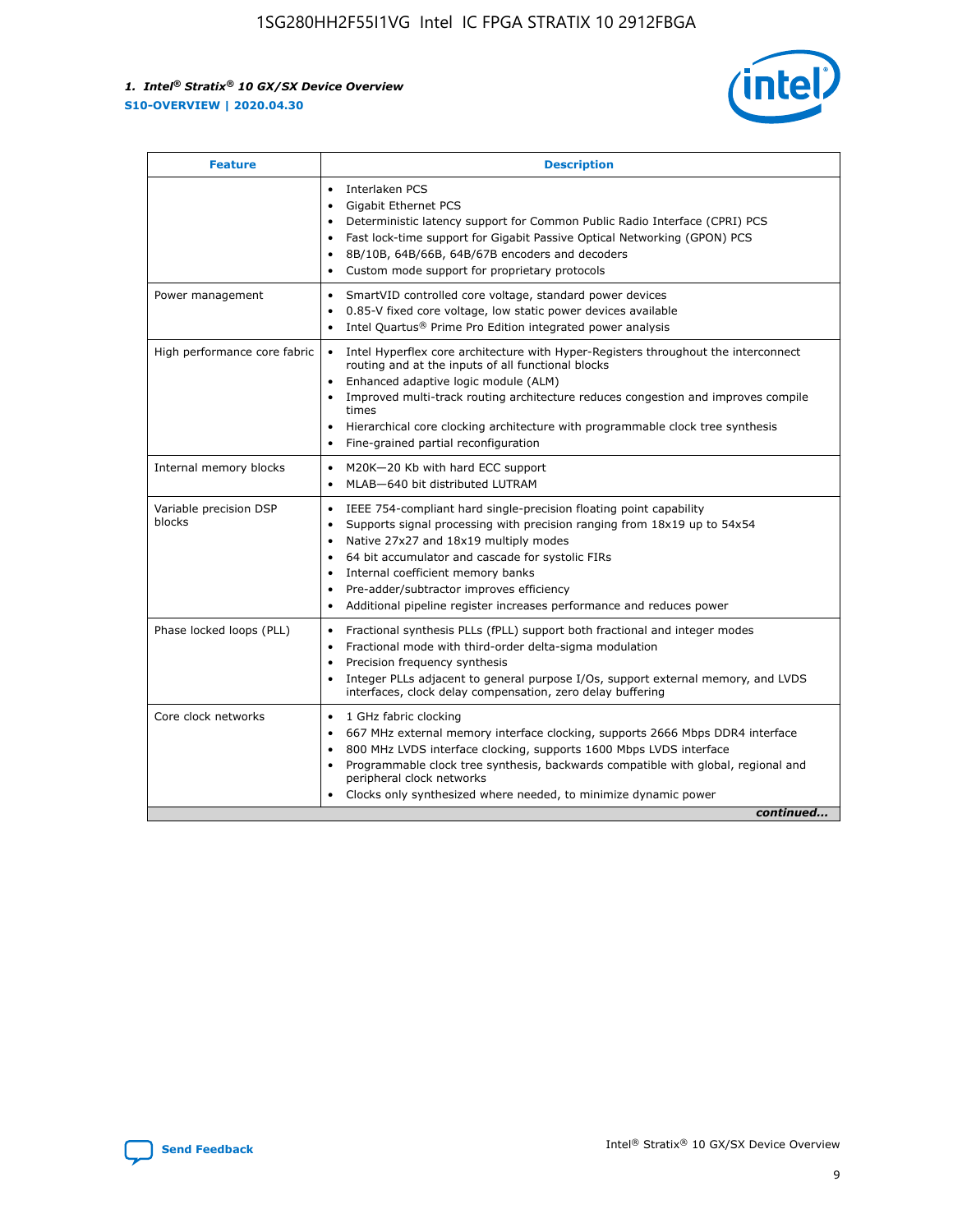

| <b>Feature</b>                   | <b>Description</b>                                                                                                                                                                                                                                                                                                                                                                                                                            |  |  |  |
|----------------------------------|-----------------------------------------------------------------------------------------------------------------------------------------------------------------------------------------------------------------------------------------------------------------------------------------------------------------------------------------------------------------------------------------------------------------------------------------------|--|--|--|
|                                  | Interlaken PCS<br>$\bullet$<br><b>Gigabit Ethernet PCS</b><br>$\bullet$<br>Deterministic latency support for Common Public Radio Interface (CPRI) PCS<br>$\bullet$<br>Fast lock-time support for Gigabit Passive Optical Networking (GPON) PCS<br>$\bullet$<br>8B/10B, 64B/66B, 64B/67B encoders and decoders<br>Custom mode support for proprietary protocols                                                                                |  |  |  |
| Power management                 | SmartVID controlled core voltage, standard power devices<br>$\bullet$<br>0.85-V fixed core voltage, low static power devices available<br>$\bullet$<br>Intel Quartus <sup>®</sup> Prime Pro Edition integrated power analysis                                                                                                                                                                                                                 |  |  |  |
| High performance core fabric     | Intel Hyperflex core architecture with Hyper-Registers throughout the interconnect<br>routing and at the inputs of all functional blocks<br>Enhanced adaptive logic module (ALM)<br>Improved multi-track routing architecture reduces congestion and improves compile<br>times<br>Hierarchical core clocking architecture with programmable clock tree synthesis<br>Fine-grained partial reconfiguration                                      |  |  |  |
| Internal memory blocks           | M20K-20 Kb with hard ECC support<br>MLAB-640 bit distributed LUTRAM                                                                                                                                                                                                                                                                                                                                                                           |  |  |  |
| Variable precision DSP<br>blocks | IEEE 754-compliant hard single-precision floating point capability<br>$\bullet$<br>Supports signal processing with precision ranging from 18x19 up to 54x54<br>$\bullet$<br>Native 27x27 and 18x19 multiply modes<br>٠<br>64 bit accumulator and cascade for systolic FIRs<br>Internal coefficient memory banks<br>Pre-adder/subtractor improves efficiency<br>٠<br>Additional pipeline register increases performance and reduces power<br>٠ |  |  |  |
| Phase locked loops (PLL)         | Fractional synthesis PLLs (fPLL) support both fractional and integer modes<br>$\bullet$<br>Fractional mode with third-order delta-sigma modulation<br>Precision frequency synthesis<br>٠<br>Integer PLLs adjacent to general purpose I/Os, support external memory, and LVDS<br>٠<br>interfaces, clock delay compensation, zero delay buffering                                                                                               |  |  |  |
| Core clock networks              | 1 GHz fabric clocking<br>٠<br>667 MHz external memory interface clocking, supports 2666 Mbps DDR4 interface<br>800 MHz LVDS interface clocking, supports 1600 Mbps LVDS interface<br>$\bullet$<br>Programmable clock tree synthesis, backwards compatible with global, regional and<br>$\bullet$<br>peripheral clock networks<br>Clocks only synthesized where needed, to minimize dynamic power<br>continued                                 |  |  |  |

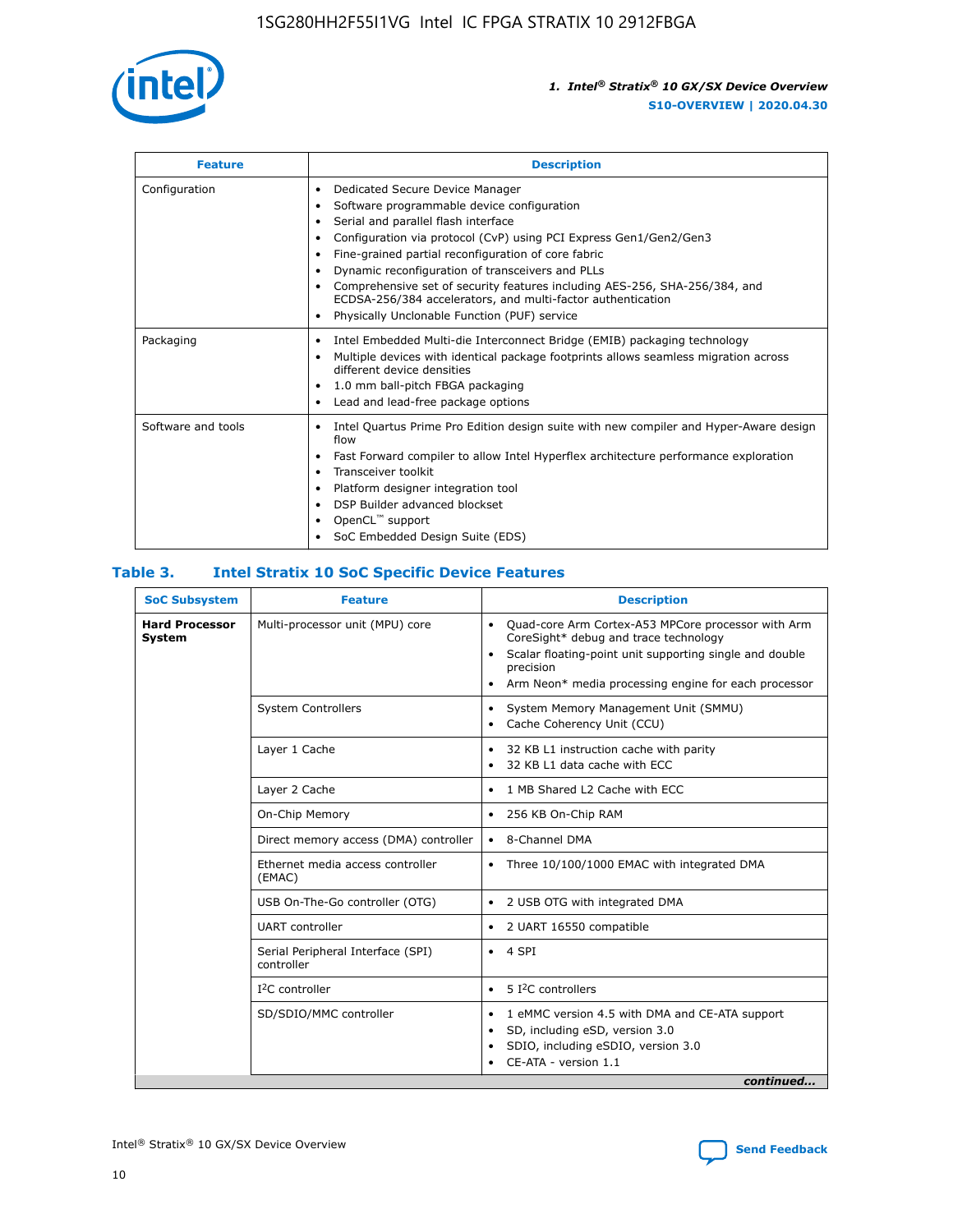

| <b>Feature</b>     | <b>Description</b>                                                                                                                                                                                                                                                                                                                                                                                                                                                                                                    |
|--------------------|-----------------------------------------------------------------------------------------------------------------------------------------------------------------------------------------------------------------------------------------------------------------------------------------------------------------------------------------------------------------------------------------------------------------------------------------------------------------------------------------------------------------------|
| Configuration      | Dedicated Secure Device Manager<br>٠<br>Software programmable device configuration<br>٠<br>Serial and parallel flash interface<br>٠<br>Configuration via protocol (CvP) using PCI Express Gen1/Gen2/Gen3<br>Fine-grained partial reconfiguration of core fabric<br>Dynamic reconfiguration of transceivers and PLLs<br>٠<br>Comprehensive set of security features including AES-256, SHA-256/384, and<br>ECDSA-256/384 accelerators, and multi-factor authentication<br>Physically Unclonable Function (PUF) service |
| Packaging          | Intel Embedded Multi-die Interconnect Bridge (EMIB) packaging technology<br>٠<br>Multiple devices with identical package footprints allows seamless migration across<br>٠<br>different device densities<br>1.0 mm ball-pitch FBGA packaging<br>٠<br>Lead and lead-free package options                                                                                                                                                                                                                                |
| Software and tools | Intel Quartus Prime Pro Edition design suite with new compiler and Hyper-Aware design<br>flow<br>Fast Forward compiler to allow Intel Hyperflex architecture performance exploration<br>٠<br>Transceiver toolkit<br>Platform designer integration tool<br>DSP Builder advanced blockset<br>OpenCL <sup>™</sup> support<br>SoC Embedded Design Suite (EDS)                                                                                                                                                             |

## **Table 3. Intel Stratix 10 SoC Specific Device Features**

| <b>SoC Subsystem</b><br><b>Feature</b> |                                                 | <b>Description</b>                                                                                                                                                                                                                                         |
|----------------------------------------|-------------------------------------------------|------------------------------------------------------------------------------------------------------------------------------------------------------------------------------------------------------------------------------------------------------------|
| <b>Hard Processor</b><br>System        | Multi-processor unit (MPU) core                 | Quad-core Arm Cortex-A53 MPCore processor with Arm<br>$\bullet$<br>CoreSight* debug and trace technology<br>Scalar floating-point unit supporting single and double<br>٠<br>precision<br>Arm Neon* media processing engine for each processor<br>$\bullet$ |
|                                        | <b>System Controllers</b>                       | System Memory Management Unit (SMMU)<br>٠<br>Cache Coherency Unit (CCU)<br>٠                                                                                                                                                                               |
|                                        | Layer 1 Cache                                   | 32 KB L1 instruction cache with parity<br>$\bullet$<br>32 KB L1 data cache with ECC<br>$\bullet$                                                                                                                                                           |
|                                        | Layer 2 Cache                                   | 1 MB Shared L2 Cache with ECC<br>$\bullet$                                                                                                                                                                                                                 |
|                                        | On-Chip Memory                                  | 256 KB On-Chip RAM<br>$\bullet$                                                                                                                                                                                                                            |
|                                        | Direct memory access (DMA) controller           | • 8-Channel DMA                                                                                                                                                                                                                                            |
|                                        | Ethernet media access controller<br>(EMAC)      | Three 10/100/1000 EMAC with integrated DMA<br>$\bullet$                                                                                                                                                                                                    |
|                                        | USB On-The-Go controller (OTG)                  | 2 USB OTG with integrated DMA<br>$\bullet$                                                                                                                                                                                                                 |
|                                        | <b>UART</b> controller                          | 2 UART 16550 compatible<br>$\bullet$                                                                                                                                                                                                                       |
|                                        | Serial Peripheral Interface (SPI)<br>controller | $\bullet$ 4 SPI                                                                                                                                                                                                                                            |
|                                        | $I2C$ controller                                | 5 <sup>2</sup> C controllers                                                                                                                                                                                                                               |
|                                        | SD/SDIO/MMC controller                          | 1 eMMC version 4.5 with DMA and CE-ATA support<br>$\bullet$<br>SD, including eSD, version 3.0<br>٠<br>SDIO, including eSDIO, version 3.0<br>$\bullet$<br>CE-ATA - version 1.1<br>continued                                                                 |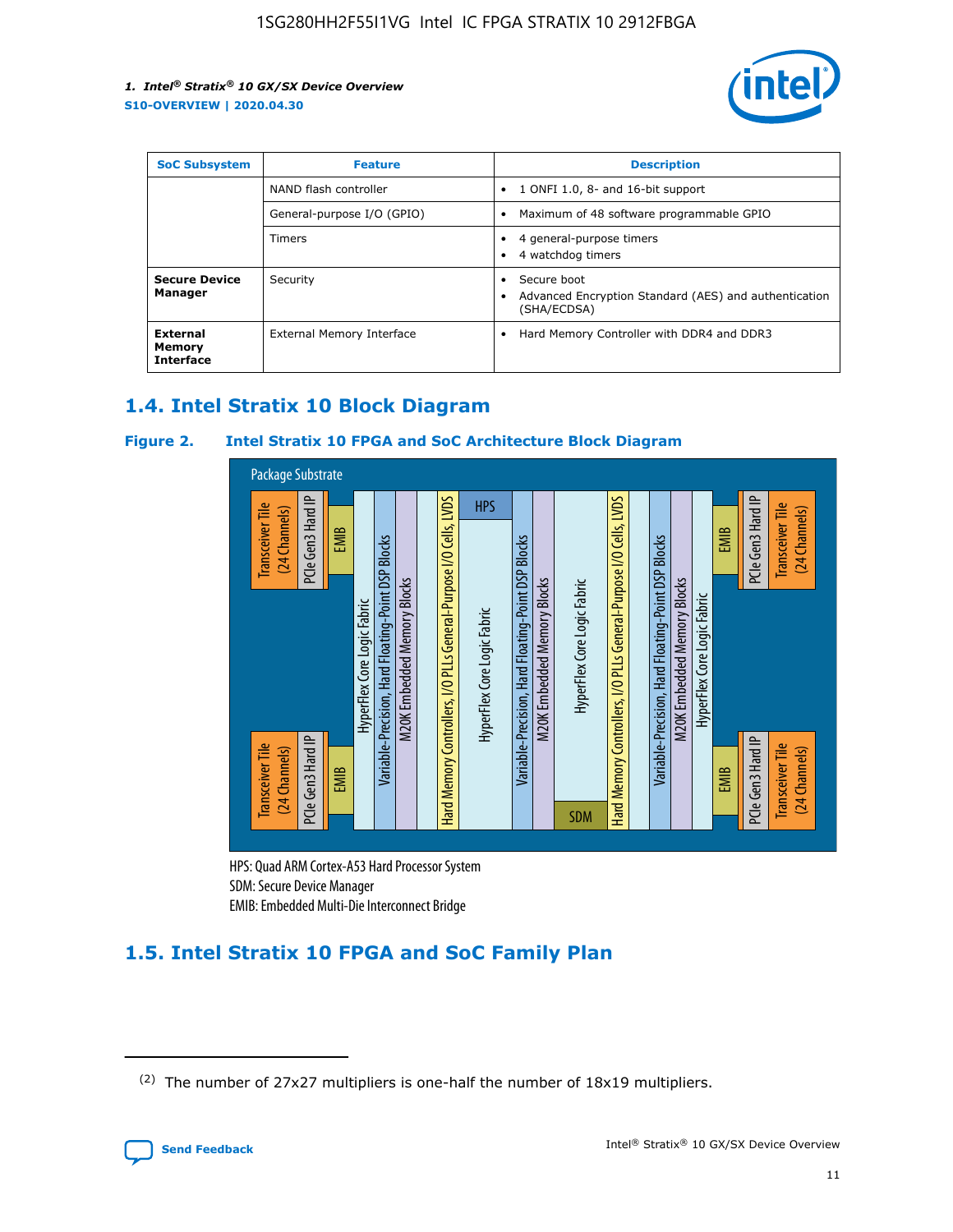

| <b>SoC Subsystem</b>                   | <b>Feature</b>             | <b>Description</b>                                                                                    |  |  |
|----------------------------------------|----------------------------|-------------------------------------------------------------------------------------------------------|--|--|
|                                        | NAND flash controller      | 1 ONFI 1.0, 8- and 16-bit support<br>$\bullet$                                                        |  |  |
|                                        | General-purpose I/O (GPIO) | Maximum of 48 software programmable GPIO<br>$\bullet$                                                 |  |  |
|                                        | Timers                     | 4 general-purpose timers<br>4 watchdog timers<br>٠                                                    |  |  |
| <b>Secure Device</b><br>Manager        | Security                   | Secure boot<br>$\bullet$<br>Advanced Encryption Standard (AES) and authentication<br>٠<br>(SHA/ECDSA) |  |  |
| External<br>Memory<br><b>Interface</b> | External Memory Interface  | Hard Memory Controller with DDR4 and DDR3<br>$\bullet$                                                |  |  |

## **1.4. Intel Stratix 10 Block Diagram**

## **Figure 2. Intel Stratix 10 FPGA and SoC Architecture Block Diagram**



HPS: Quad ARM Cortex-A53 Hard Processor System SDM: Secure Device Manager

## **1.5. Intel Stratix 10 FPGA and SoC Family Plan**

<sup>(2)</sup> The number of 27x27 multipliers is one-half the number of 18x19 multipliers.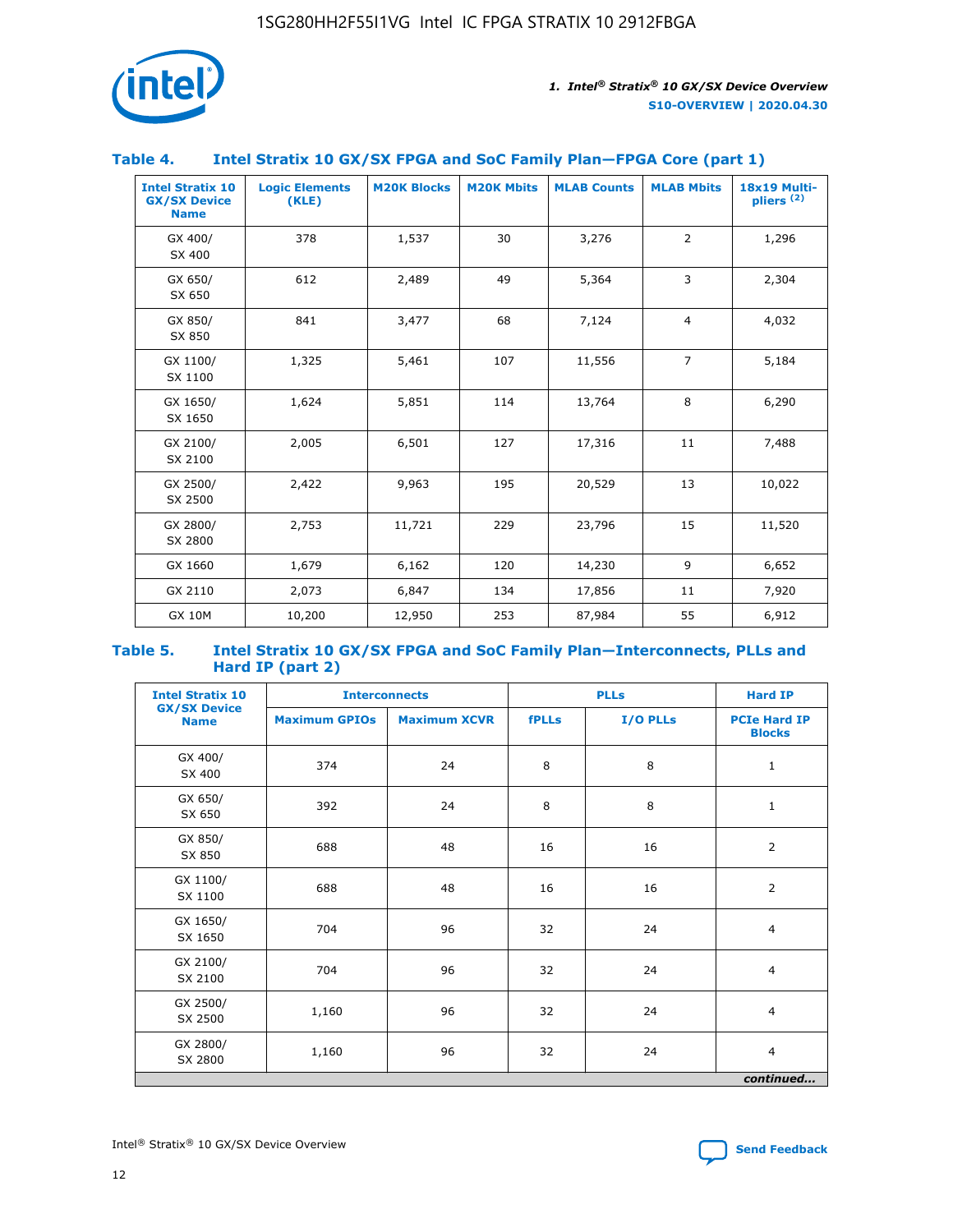

## **Table 4. Intel Stratix 10 GX/SX FPGA and SoC Family Plan—FPGA Core (part 1)**

| <b>Intel Stratix 10</b><br><b>GX/SX Device</b><br><b>Name</b> | <b>Logic Elements</b><br>(KLE) | <b>M20K Blocks</b> | <b>M20K Mbits</b> | <b>MLAB Counts</b> | <b>MLAB Mbits</b> | 18x19 Multi-<br>pliers <sup>(2)</sup> |
|---------------------------------------------------------------|--------------------------------|--------------------|-------------------|--------------------|-------------------|---------------------------------------|
| GX 400/<br>SX 400                                             | 378                            | 1,537              | 30                | 3,276              | $\overline{2}$    | 1,296                                 |
| GX 650/<br>SX 650                                             | 612                            | 2,489              | 49                | 5,364              | 3                 | 2,304                                 |
| GX 850/<br>SX 850                                             | 841                            | 3,477              | 68                | 7,124              | $\overline{4}$    | 4,032                                 |
| GX 1100/<br>SX 1100                                           | 1,325                          | 5,461              | 107               | 11,556             | $\overline{7}$    | 5,184                                 |
| GX 1650/<br>SX 1650                                           | 1,624                          | 5,851              | 114               | 13,764             | 8                 | 6,290                                 |
| GX 2100/<br>SX 2100                                           | 2,005                          | 6,501              | 127               | 17,316             | 11                | 7,488                                 |
| GX 2500/<br>SX 2500                                           | 2,422                          | 9,963              | 195               | 20,529             | 13                | 10,022                                |
| GX 2800/<br>SX 2800                                           | 2,753                          | 11,721             | 229               | 23,796             | 15                | 11,520                                |
| GX 1660                                                       | 1,679                          | 6,162              | 120               | 14,230             | 9                 | 6,652                                 |
| GX 2110                                                       | 2,073                          | 6,847              | 134               | 17,856             | 11                | 7,920                                 |
| <b>GX 10M</b>                                                 | 10,200                         | 12,950             | 253               | 87,984             | 55                | 6,912                                 |

#### **Table 5. Intel Stratix 10 GX/SX FPGA and SoC Family Plan—Interconnects, PLLs and Hard IP (part 2)**

| <b>Intel Stratix 10</b>            |                      | <b>PLLs</b><br><b>Interconnects</b> |              |          | <b>Hard IP</b>                       |  |
|------------------------------------|----------------------|-------------------------------------|--------------|----------|--------------------------------------|--|
| <b>GX/SX Device</b><br><b>Name</b> | <b>Maximum GPIOs</b> | <b>Maximum XCVR</b>                 | <b>fPLLs</b> | I/O PLLs | <b>PCIe Hard IP</b><br><b>Blocks</b> |  |
| GX 400/<br>SX 400                  | 374                  | 24                                  | 8            | 8        | $\mathbf{1}$                         |  |
| GX 650/<br>SX 650                  | 392                  | 24                                  | 8            | 8        | $\mathbf{1}$                         |  |
| GX 850/<br>SX 850                  | 688                  | 48                                  | 16           | 16       | 2                                    |  |
| GX 1100/<br>SX 1100                | 688                  | 48                                  | 16           | 16       | 2                                    |  |
| GX 1650/<br>SX 1650                | 704                  | 96                                  | 32           | 24       | $\overline{4}$                       |  |
| GX 2100/<br>SX 2100                | 704                  | 96                                  | 32           | 24       | $\overline{4}$                       |  |
| GX 2500/<br>SX 2500                | 1,160                | 96                                  | 32           | 24       | $\overline{4}$                       |  |
| GX 2800/<br>SX 2800                | 1,160                | 96                                  | 32           | 24       | $\overline{4}$                       |  |
| continued                          |                      |                                     |              |          |                                      |  |

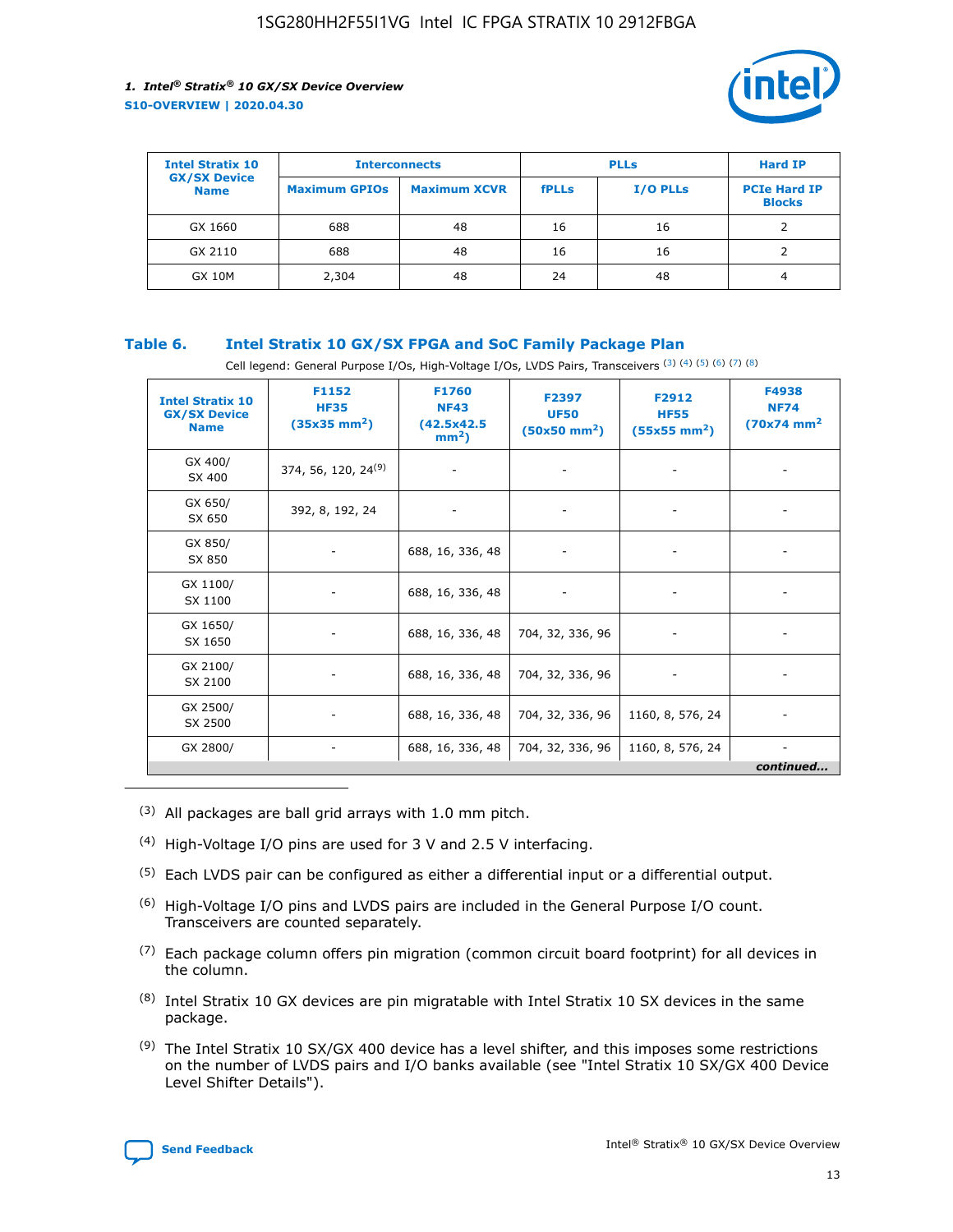

| <b>Intel Stratix 10</b>            | <b>Interconnects</b> |                     | <b>PLLs</b>  |                 | <b>Hard IP</b>                       |
|------------------------------------|----------------------|---------------------|--------------|-----------------|--------------------------------------|
| <b>GX/SX Device</b><br><b>Name</b> | <b>Maximum GPIOs</b> | <b>Maximum XCVR</b> | <b>fPLLs</b> | <b>I/O PLLs</b> | <b>PCIe Hard IP</b><br><b>Blocks</b> |
| GX 1660                            | 688                  | 48                  | 16           | 16              |                                      |
| GX 2110                            | 688                  | 48                  | 16           | 16              |                                      |
| <b>GX 10M</b>                      | 2,304                | 48                  | 24           | 48              | 4                                    |

## **Table 6. Intel Stratix 10 GX/SX FPGA and SoC Family Package Plan**

Cell legend: General Purpose I/Os, High-Voltage I/Os, LVDS Pairs, Transceivers (3) (4) (5) (6) (7) (8)

| <b>Intel Stratix 10</b><br><b>GX/SX Device</b><br><b>Name</b> | F1152<br><b>HF35</b><br>$(35x35 \text{ mm}^2)$ | <b>F1760</b><br><b>NF43</b><br>(42.5x42.5<br>$mm2$ ) | F2397<br><b>UF50</b><br>$(50x50 \text{ mm}^2)$ | F2912<br><b>HF55</b><br>$(55x55 \text{ mm}^2)$ | F4938<br><b>NF74</b><br>$(70x74)$ mm <sup>2</sup> |
|---------------------------------------------------------------|------------------------------------------------|------------------------------------------------------|------------------------------------------------|------------------------------------------------|---------------------------------------------------|
| GX 400/<br>SX 400                                             | 374, 56, 120, 24 <sup>(9)</sup>                | $\overline{\phantom{a}}$                             | $\overline{\phantom{a}}$                       |                                                |                                                   |
| GX 650/<br>SX 650                                             | 392, 8, 192, 24                                | ٠                                                    | $\overline{\phantom{a}}$                       |                                                |                                                   |
| GX 850/<br>SX 850                                             |                                                | 688, 16, 336, 48                                     |                                                |                                                |                                                   |
| GX 1100/<br>SX 1100                                           |                                                | 688, 16, 336, 48                                     |                                                |                                                |                                                   |
| GX 1650/<br>SX 1650                                           |                                                | 688, 16, 336, 48                                     | 704, 32, 336, 96                               |                                                |                                                   |
| GX 2100/<br>SX 2100                                           |                                                | 688, 16, 336, 48                                     | 704, 32, 336, 96                               | -                                              | ۰                                                 |
| GX 2500/<br>SX 2500                                           |                                                | 688, 16, 336, 48                                     | 704, 32, 336, 96                               | 1160, 8, 576, 24                               |                                                   |
| GX 2800/                                                      | $\overline{\phantom{a}}$                       | 688, 16, 336, 48                                     | 704, 32, 336, 96                               | 1160, 8, 576, 24                               | ٠<br>continued                                    |

- (3) All packages are ball grid arrays with 1.0 mm pitch.
- (4) High-Voltage I/O pins are used for 3 V and 2.5 V interfacing.
- $(5)$  Each LVDS pair can be configured as either a differential input or a differential output.
- (6) High-Voltage I/O pins and LVDS pairs are included in the General Purpose I/O count. Transceivers are counted separately.
- $(7)$  Each package column offers pin migration (common circuit board footprint) for all devices in the column.
- $(8)$  Intel Stratix 10 GX devices are pin migratable with Intel Stratix 10 SX devices in the same package.
- $(9)$  The Intel Stratix 10 SX/GX 400 device has a level shifter, and this imposes some restrictions on the number of LVDS pairs and I/O banks available (see "Intel Stratix 10 SX/GX 400 Device Level Shifter Details").

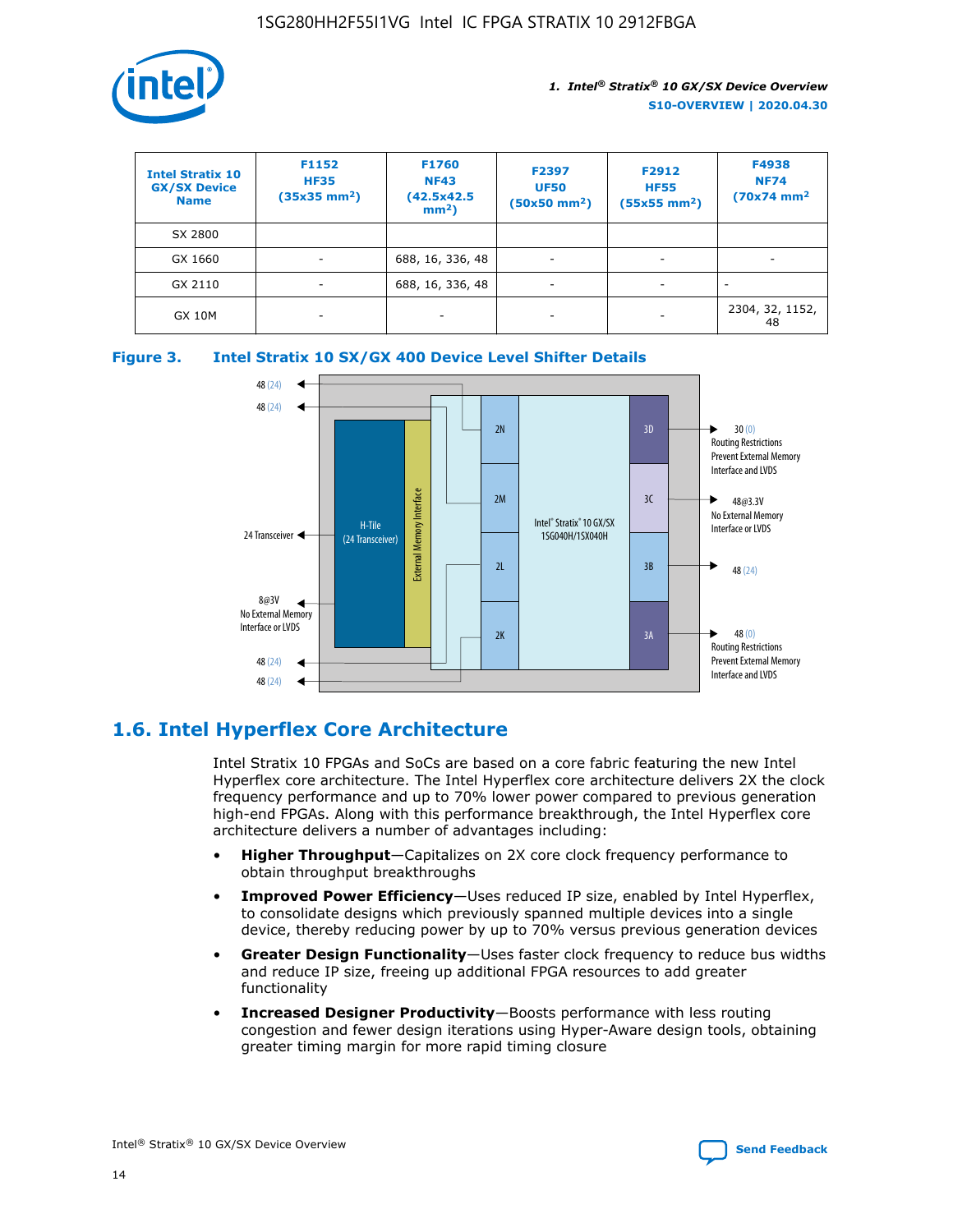

| <b>Intel Stratix 10</b><br><b>GX/SX Device</b><br><b>Name</b> | F1152<br><b>HF35</b><br>$(35x35)$ mm <sup>2</sup> ) | F1760<br><b>NF43</b><br>(42.5x42.5<br>$mm2$ ) | F2397<br><b>UF50</b><br>$(50x50 \text{ mm}^2)$ | F2912<br><b>HF55</b><br>$(55x55$ mm <sup>2</sup> ) | F4938<br><b>NF74</b><br>$(70x74)$ mm <sup>2</sup> |
|---------------------------------------------------------------|-----------------------------------------------------|-----------------------------------------------|------------------------------------------------|----------------------------------------------------|---------------------------------------------------|
| SX 2800                                                       |                                                     |                                               |                                                |                                                    |                                                   |
| GX 1660                                                       | -                                                   | 688, 16, 336, 48                              | $\overline{\phantom{a}}$                       |                                                    |                                                   |
| GX 2110                                                       |                                                     | 688, 16, 336, 48                              | $\overline{\phantom{a}}$                       |                                                    |                                                   |
| <b>GX 10M</b>                                                 | ۰                                                   |                                               |                                                |                                                    | 2304, 32, 1152,<br>48                             |





## **1.6. Intel Hyperflex Core Architecture**

Intel Stratix 10 FPGAs and SoCs are based on a core fabric featuring the new Intel Hyperflex core architecture. The Intel Hyperflex core architecture delivers 2X the clock frequency performance and up to 70% lower power compared to previous generation high-end FPGAs. Along with this performance breakthrough, the Intel Hyperflex core architecture delivers a number of advantages including:

- **Higher Throughput**—Capitalizes on 2X core clock frequency performance to obtain throughput breakthroughs
- **Improved Power Efficiency**—Uses reduced IP size, enabled by Intel Hyperflex, to consolidate designs which previously spanned multiple devices into a single device, thereby reducing power by up to 70% versus previous generation devices
- **Greater Design Functionality**—Uses faster clock frequency to reduce bus widths and reduce IP size, freeing up additional FPGA resources to add greater functionality
- **Increased Designer Productivity**—Boosts performance with less routing congestion and fewer design iterations using Hyper-Aware design tools, obtaining greater timing margin for more rapid timing closure

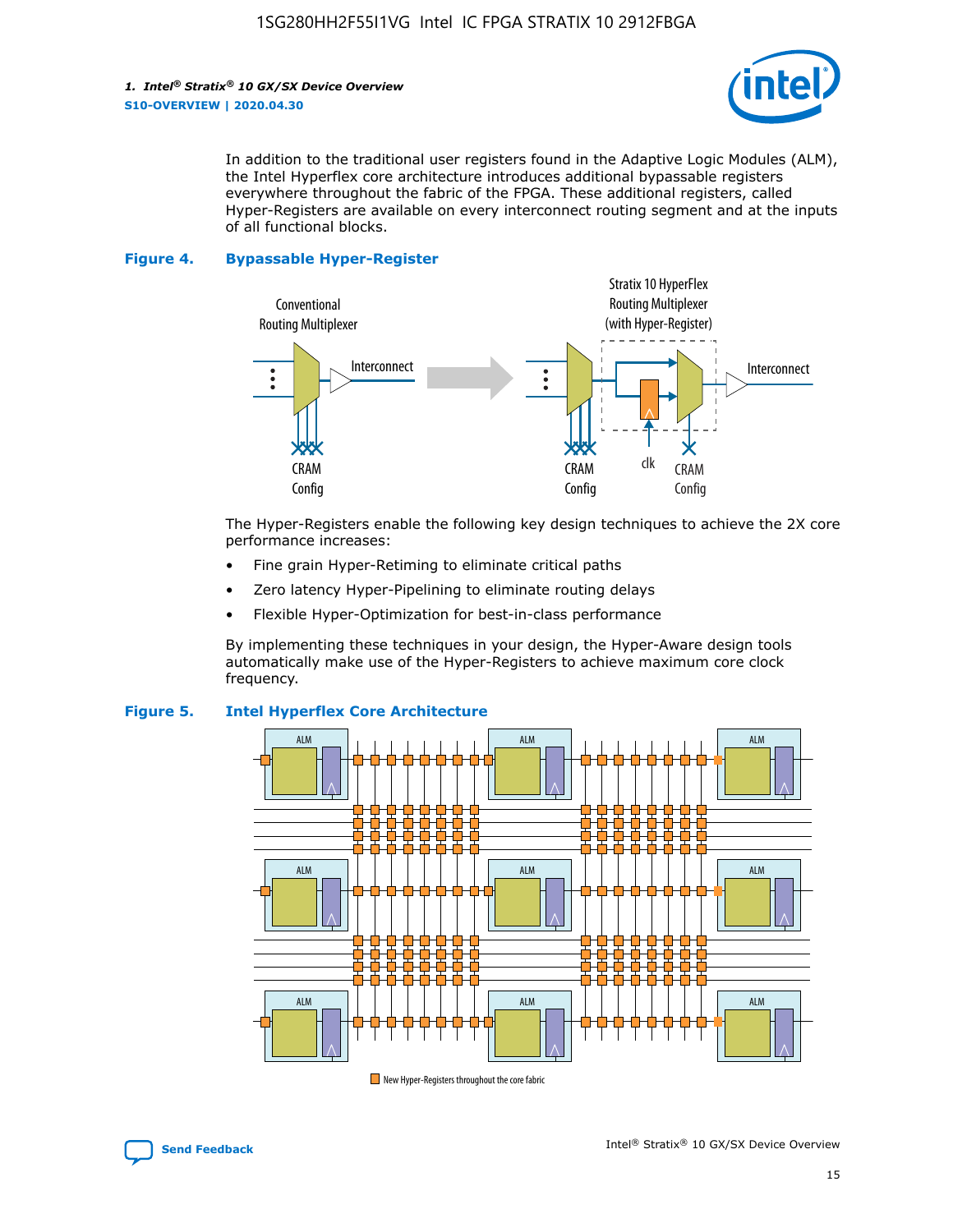

In addition to the traditional user registers found in the Adaptive Logic Modules (ALM), the Intel Hyperflex core architecture introduces additional bypassable registers everywhere throughout the fabric of the FPGA. These additional registers, called Hyper-Registers are available on every interconnect routing segment and at the inputs of all functional blocks.

#### **Figure 4. Bypassable Hyper-Register**



The Hyper-Registers enable the following key design techniques to achieve the 2X core performance increases:

- Fine grain Hyper-Retiming to eliminate critical paths
- Zero latency Hyper-Pipelining to eliminate routing delays
- Flexible Hyper-Optimization for best-in-class performance

By implementing these techniques in your design, the Hyper-Aware design tools automatically make use of the Hyper-Registers to achieve maximum core clock frequency.



## **Figure 5. Intel Hyperflex Core Architecture**

New Hyper-Registers throughout the core fabric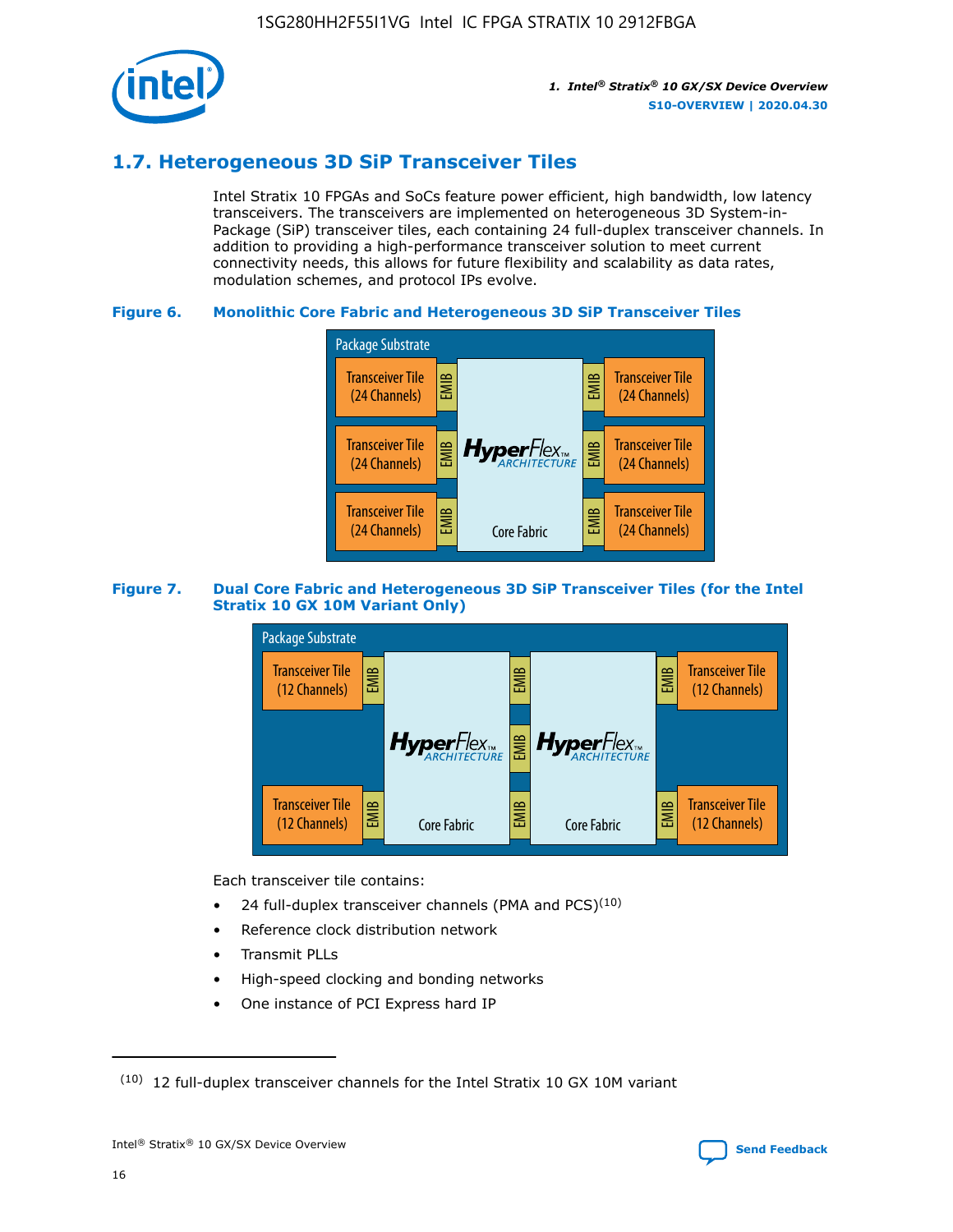

## **1.7. Heterogeneous 3D SiP Transceiver Tiles**

Intel Stratix 10 FPGAs and SoCs feature power efficient, high bandwidth, low latency transceivers. The transceivers are implemented on heterogeneous 3D System-in-Package (SiP) transceiver tiles, each containing 24 full-duplex transceiver channels. In addition to providing a high-performance transceiver solution to meet current connectivity needs, this allows for future flexibility and scalability as data rates, modulation schemes, and protocol IPs evolve.

## **Figure 6. Monolithic Core Fabric and Heterogeneous 3D SiP Transceiver Tiles**



## **Figure 7. Dual Core Fabric and Heterogeneous 3D SiP Transceiver Tiles (for the Intel Stratix 10 GX 10M Variant Only)**



Each transceiver tile contains:

- 24 full-duplex transceiver channels (PMA and PCS) $(10)$
- Reference clock distribution network
- Transmit PLLs
- High-speed clocking and bonding networks
- One instance of PCI Express hard IP

16



 $(10)$  12 full-duplex transceiver channels for the Intel Stratix 10 GX 10M variant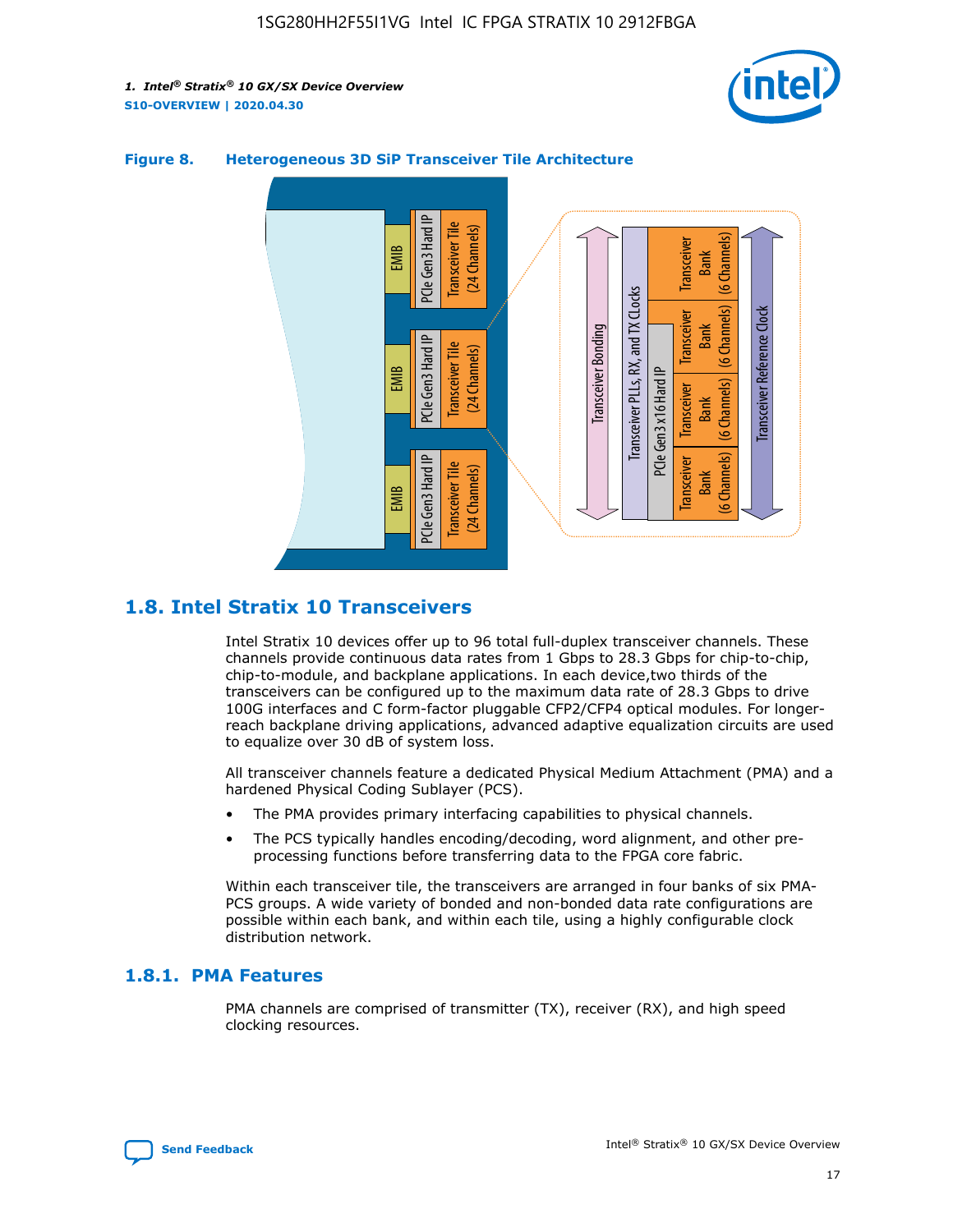



## **Figure 8. Heterogeneous 3D SiP Transceiver Tile Architecture**

## **1.8. Intel Stratix 10 Transceivers**

Intel Stratix 10 devices offer up to 96 total full-duplex transceiver channels. These channels provide continuous data rates from 1 Gbps to 28.3 Gbps for chip-to-chip, chip-to-module, and backplane applications. In each device,two thirds of the transceivers can be configured up to the maximum data rate of 28.3 Gbps to drive 100G interfaces and C form-factor pluggable CFP2/CFP4 optical modules. For longerreach backplane driving applications, advanced adaptive equalization circuits are used to equalize over 30 dB of system loss.

All transceiver channels feature a dedicated Physical Medium Attachment (PMA) and a hardened Physical Coding Sublayer (PCS).

- The PMA provides primary interfacing capabilities to physical channels.
- The PCS typically handles encoding/decoding, word alignment, and other preprocessing functions before transferring data to the FPGA core fabric.

Within each transceiver tile, the transceivers are arranged in four banks of six PMA-PCS groups. A wide variety of bonded and non-bonded data rate configurations are possible within each bank, and within each tile, using a highly configurable clock distribution network.

## **1.8.1. PMA Features**

PMA channels are comprised of transmitter (TX), receiver (RX), and high speed clocking resources.

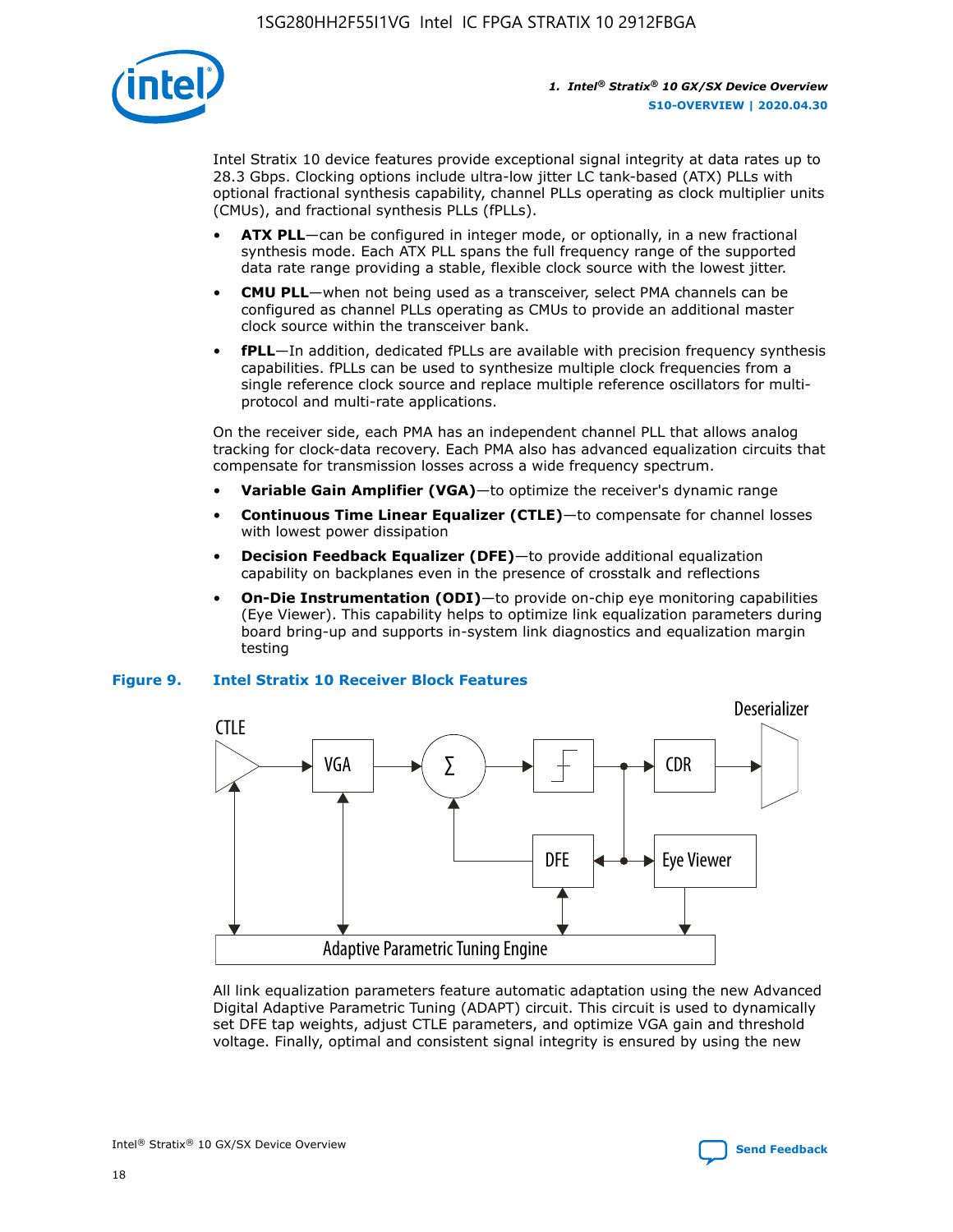

Intel Stratix 10 device features provide exceptional signal integrity at data rates up to 28.3 Gbps. Clocking options include ultra-low jitter LC tank-based (ATX) PLLs with optional fractional synthesis capability, channel PLLs operating as clock multiplier units (CMUs), and fractional synthesis PLLs (fPLLs).

- **ATX PLL**—can be configured in integer mode, or optionally, in a new fractional synthesis mode. Each ATX PLL spans the full frequency range of the supported data rate range providing a stable, flexible clock source with the lowest jitter.
- **CMU PLL**—when not being used as a transceiver, select PMA channels can be configured as channel PLLs operating as CMUs to provide an additional master clock source within the transceiver bank.
- **fPLL**—In addition, dedicated fPLLs are available with precision frequency synthesis capabilities. fPLLs can be used to synthesize multiple clock frequencies from a single reference clock source and replace multiple reference oscillators for multiprotocol and multi-rate applications.

On the receiver side, each PMA has an independent channel PLL that allows analog tracking for clock-data recovery. Each PMA also has advanced equalization circuits that compensate for transmission losses across a wide frequency spectrum.

- **Variable Gain Amplifier (VGA)**—to optimize the receiver's dynamic range
- **Continuous Time Linear Equalizer (CTLE)**—to compensate for channel losses with lowest power dissipation
- **Decision Feedback Equalizer (DFE)**—to provide additional equalization capability on backplanes even in the presence of crosstalk and reflections
- **On-Die Instrumentation (ODI)**—to provide on-chip eye monitoring capabilities (Eye Viewer). This capability helps to optimize link equalization parameters during board bring-up and supports in-system link diagnostics and equalization margin testing

#### **Figure 9. Intel Stratix 10 Receiver Block Features**



All link equalization parameters feature automatic adaptation using the new Advanced Digital Adaptive Parametric Tuning (ADAPT) circuit. This circuit is used to dynamically set DFE tap weights, adjust CTLE parameters, and optimize VGA gain and threshold voltage. Finally, optimal and consistent signal integrity is ensured by using the new



Intel<sup>®</sup> Stratix<sup>®</sup> 10 GX/SX Device Overview **[Send Feedback](mailto:FPGAtechdocfeedback@intel.com?subject=Feedback%20on%20Intel%20Stratix%2010%20GX/SX%20Device%20Overview%20(S10-OVERVIEW%202020.04.30)&body=We%20appreciate%20your%20feedback.%20In%20your%20comments,%20also%20specify%20the%20page%20number%20or%20paragraph.%20Thank%20you.)** Send Feedback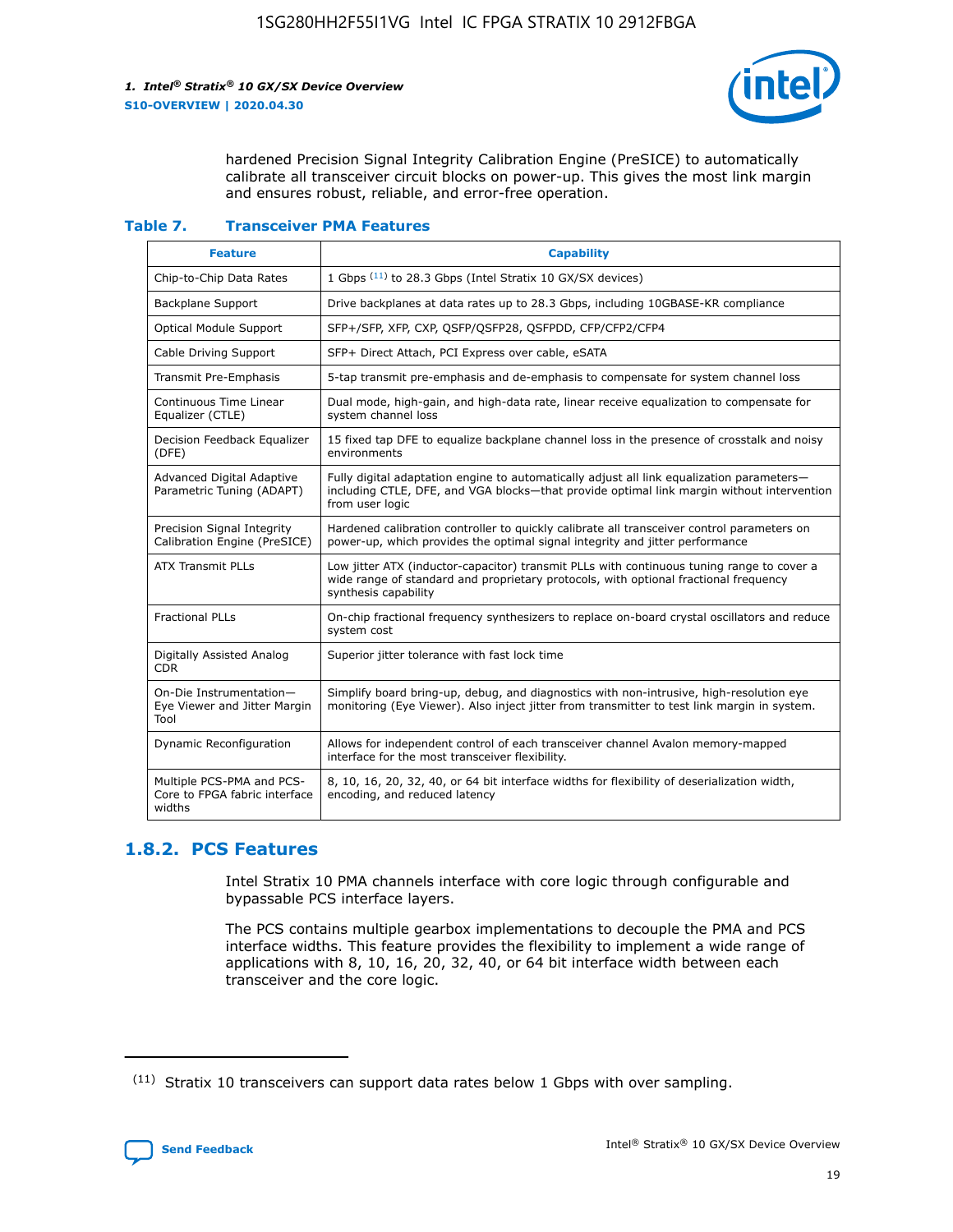

hardened Precision Signal Integrity Calibration Engine (PreSICE) to automatically calibrate all transceiver circuit blocks on power-up. This gives the most link margin and ensures robust, reliable, and error-free operation.

#### **Table 7. Transceiver PMA Features**

| <b>Feature</b>                                                       | <b>Capability</b>                                                                                                                                                                                         |
|----------------------------------------------------------------------|-----------------------------------------------------------------------------------------------------------------------------------------------------------------------------------------------------------|
| Chip-to-Chip Data Rates                                              | 1 Gbps (11) to 28.3 Gbps (Intel Stratix 10 GX/SX devices)                                                                                                                                                 |
| <b>Backplane Support</b>                                             | Drive backplanes at data rates up to 28.3 Gbps, including 10GBASE-KR compliance                                                                                                                           |
| Optical Module Support                                               | SFP+/SFP, XFP, CXP, QSFP/QSFP28, QSFPDD, CFP/CFP2/CFP4                                                                                                                                                    |
| Cable Driving Support                                                | SFP+ Direct Attach, PCI Express over cable, eSATA                                                                                                                                                         |
| <b>Transmit Pre-Emphasis</b>                                         | 5-tap transmit pre-emphasis and de-emphasis to compensate for system channel loss                                                                                                                         |
| Continuous Time Linear<br>Equalizer (CTLE)                           | Dual mode, high-gain, and high-data rate, linear receive equalization to compensate for<br>system channel loss                                                                                            |
| Decision Feedback Equalizer<br>(DFE)                                 | 15 fixed tap DFE to equalize backplane channel loss in the presence of crosstalk and noisy<br>environments                                                                                                |
| Advanced Digital Adaptive<br>Parametric Tuning (ADAPT)               | Fully digital adaptation engine to automatically adjust all link equalization parameters-<br>including CTLE, DFE, and VGA blocks-that provide optimal link margin without intervention<br>from user logic |
| Precision Signal Integrity<br>Calibration Engine (PreSICE)           | Hardened calibration controller to quickly calibrate all transceiver control parameters on<br>power-up, which provides the optimal signal integrity and jitter performance                                |
| <b>ATX Transmit PLLs</b>                                             | Low jitter ATX (inductor-capacitor) transmit PLLs with continuous tuning range to cover a<br>wide range of standard and proprietary protocols, with optional fractional frequency<br>synthesis capability |
| <b>Fractional PLLs</b>                                               | On-chip fractional frequency synthesizers to replace on-board crystal oscillators and reduce<br>system cost                                                                                               |
| Digitally Assisted Analog<br>CDR.                                    | Superior jitter tolerance with fast lock time                                                                                                                                                             |
| On-Die Instrumentation-<br>Eye Viewer and Jitter Margin<br>Tool      | Simplify board bring-up, debug, and diagnostics with non-intrusive, high-resolution eye<br>monitoring (Eye Viewer). Also inject jitter from transmitter to test link margin in system.                    |
| Dynamic Reconfiguration                                              | Allows for independent control of each transceiver channel Avalon memory-mapped<br>interface for the most transceiver flexibility.                                                                        |
| Multiple PCS-PMA and PCS-<br>Core to FPGA fabric interface<br>widths | 8, 10, 16, 20, 32, 40, or 64 bit interface widths for flexibility of deserialization width,<br>encoding, and reduced latency                                                                              |

## **1.8.2. PCS Features**

Intel Stratix 10 PMA channels interface with core logic through configurable and bypassable PCS interface layers.

The PCS contains multiple gearbox implementations to decouple the PMA and PCS interface widths. This feature provides the flexibility to implement a wide range of applications with 8, 10, 16, 20, 32, 40, or 64 bit interface width between each transceiver and the core logic.

 $(11)$  Stratix 10 transceivers can support data rates below 1 Gbps with over sampling.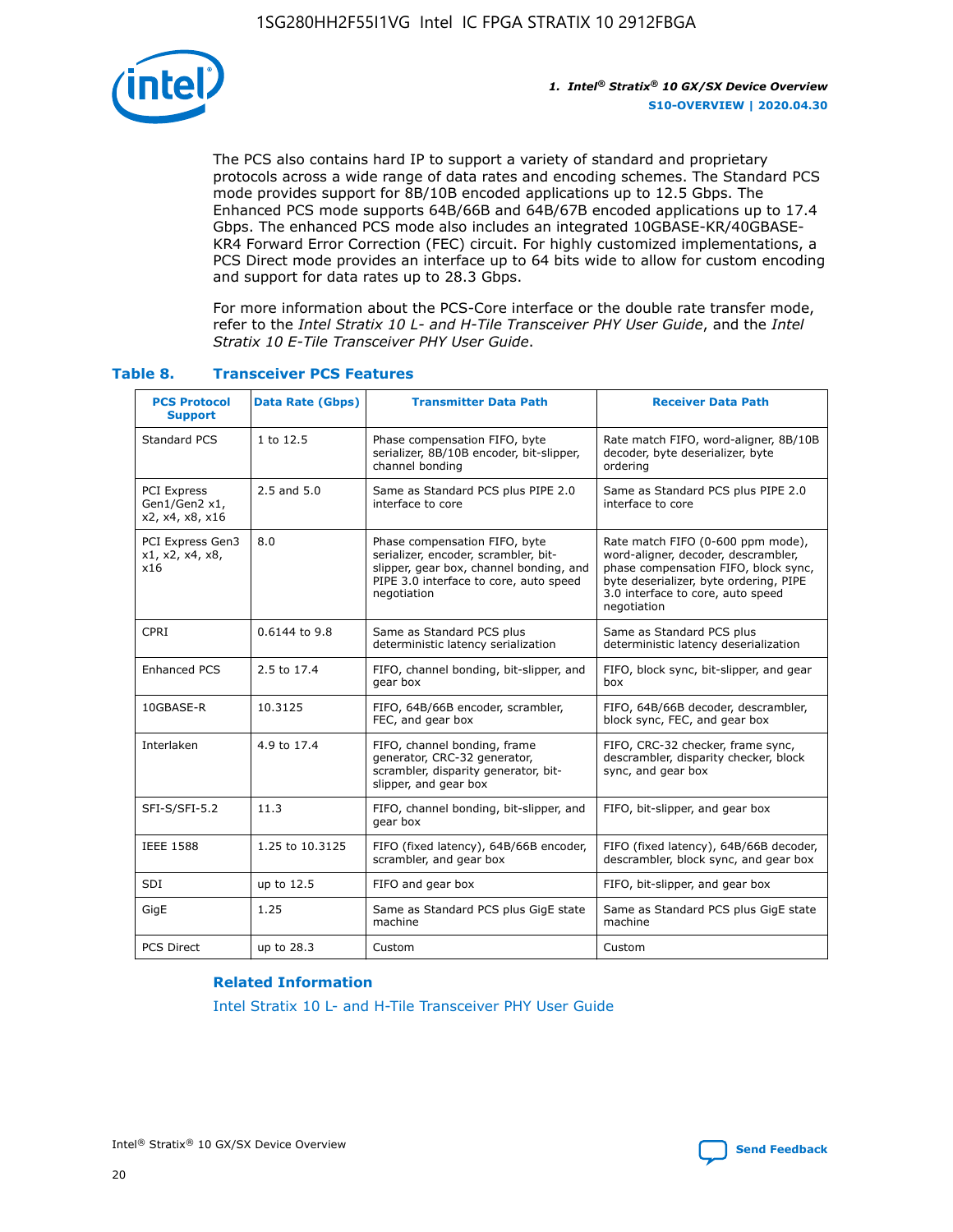

The PCS also contains hard IP to support a variety of standard and proprietary protocols across a wide range of data rates and encoding schemes. The Standard PCS mode provides support for 8B/10B encoded applications up to 12.5 Gbps. The Enhanced PCS mode supports 64B/66B and 64B/67B encoded applications up to 17.4 Gbps. The enhanced PCS mode also includes an integrated 10GBASE-KR/40GBASE-KR4 Forward Error Correction (FEC) circuit. For highly customized implementations, a PCS Direct mode provides an interface up to 64 bits wide to allow for custom encoding and support for data rates up to 28.3 Gbps.

For more information about the PCS-Core interface or the double rate transfer mode, refer to the *Intel Stratix 10 L- and H-Tile Transceiver PHY User Guide*, and the *Intel Stratix 10 E-Tile Transceiver PHY User Guide*.

| <b>PCS Protocol</b><br><b>Support</b>           | <b>Data Rate (Gbps)</b> | <b>Transmitter Data Path</b>                                                                                                                                              | <b>Receiver Data Path</b>                                                                                                                                                                                      |
|-------------------------------------------------|-------------------------|---------------------------------------------------------------------------------------------------------------------------------------------------------------------------|----------------------------------------------------------------------------------------------------------------------------------------------------------------------------------------------------------------|
| Standard PCS                                    | 1 to 12.5               | Phase compensation FIFO, byte<br>serializer, 8B/10B encoder, bit-slipper,<br>channel bonding                                                                              | Rate match FIFO, word-aligner, 8B/10B<br>decoder, byte deserializer, byte<br>ordering                                                                                                                          |
| PCI Express<br>Gen1/Gen2 x1,<br>x2, x4, x8, x16 | $2.5$ and $5.0$         | Same as Standard PCS plus PIPE 2.0<br>interface to core                                                                                                                   | Same as Standard PCS plus PIPE 2.0<br>interface to core                                                                                                                                                        |
| PCI Express Gen3<br>x1, x2, x4, x8,<br>x16      | 8.0                     | Phase compensation FIFO, byte<br>serializer, encoder, scrambler, bit-<br>slipper, gear box, channel bonding, and<br>PIPE 3.0 interface to core, auto speed<br>negotiation | Rate match FIFO (0-600 ppm mode),<br>word-aligner, decoder, descrambler,<br>phase compensation FIFO, block sync,<br>byte deserializer, byte ordering, PIPE<br>3.0 interface to core, auto speed<br>negotiation |
| CPRI                                            | 0.6144 to 9.8           | Same as Standard PCS plus<br>deterministic latency serialization                                                                                                          | Same as Standard PCS plus<br>deterministic latency deserialization                                                                                                                                             |
| <b>Enhanced PCS</b>                             | 2.5 to 17.4             | FIFO, channel bonding, bit-slipper, and<br>gear box                                                                                                                       | FIFO, block sync, bit-slipper, and gear<br>box                                                                                                                                                                 |
| 10GBASE-R                                       | 10.3125                 | FIFO, 64B/66B encoder, scrambler,<br>FEC, and gear box                                                                                                                    | FIFO, 64B/66B decoder, descrambler,<br>block sync, FEC, and gear box                                                                                                                                           |
| Interlaken                                      | 4.9 to 17.4             | FIFO, channel bonding, frame<br>generator, CRC-32 generator,<br>scrambler, disparity generator, bit-<br>slipper, and gear box                                             | FIFO, CRC-32 checker, frame sync,<br>descrambler, disparity checker, block<br>sync, and gear box                                                                                                               |
| SFI-S/SFI-5.2                                   | 11.3                    | FIFO, channel bonding, bit-slipper, and<br>gear box                                                                                                                       | FIFO, bit-slipper, and gear box                                                                                                                                                                                |
| <b>IEEE 1588</b>                                | 1.25 to 10.3125         | FIFO (fixed latency), 64B/66B encoder,<br>scrambler, and gear box                                                                                                         | FIFO (fixed latency), 64B/66B decoder,<br>descrambler, block sync, and gear box                                                                                                                                |
| SDI                                             | up to 12.5              | FIFO and gear box                                                                                                                                                         | FIFO, bit-slipper, and gear box                                                                                                                                                                                |
| GigE                                            | 1.25                    | Same as Standard PCS plus GigE state<br>machine                                                                                                                           | Same as Standard PCS plus GigE state<br>machine                                                                                                                                                                |
| <b>PCS Direct</b>                               | up to 28.3              | Custom                                                                                                                                                                    | Custom                                                                                                                                                                                                         |

## **Table 8. Transceiver PCS Features**

#### **Related Information**

[Intel Stratix 10 L- and H-Tile Transceiver PHY User Guide](https://www.altera.com/documentation/wry1479165198810.html)

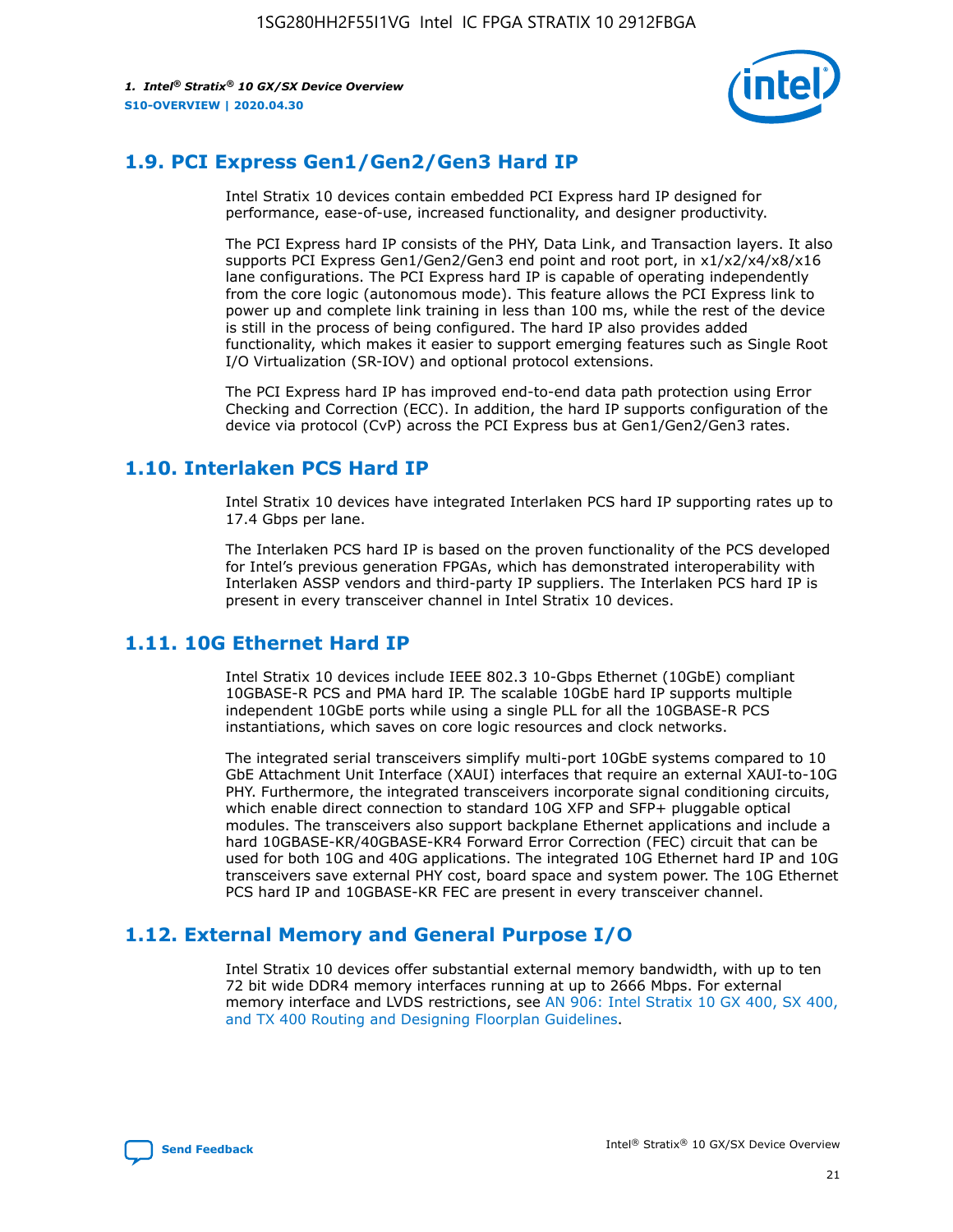

## **1.9. PCI Express Gen1/Gen2/Gen3 Hard IP**

Intel Stratix 10 devices contain embedded PCI Express hard IP designed for performance, ease-of-use, increased functionality, and designer productivity.

The PCI Express hard IP consists of the PHY, Data Link, and Transaction layers. It also supports PCI Express Gen1/Gen2/Gen3 end point and root port, in x1/x2/x4/x8/x16 lane configurations. The PCI Express hard IP is capable of operating independently from the core logic (autonomous mode). This feature allows the PCI Express link to power up and complete link training in less than 100 ms, while the rest of the device is still in the process of being configured. The hard IP also provides added functionality, which makes it easier to support emerging features such as Single Root I/O Virtualization (SR-IOV) and optional protocol extensions.

The PCI Express hard IP has improved end-to-end data path protection using Error Checking and Correction (ECC). In addition, the hard IP supports configuration of the device via protocol (CvP) across the PCI Express bus at Gen1/Gen2/Gen3 rates.

## **1.10. Interlaken PCS Hard IP**

Intel Stratix 10 devices have integrated Interlaken PCS hard IP supporting rates up to 17.4 Gbps per lane.

The Interlaken PCS hard IP is based on the proven functionality of the PCS developed for Intel's previous generation FPGAs, which has demonstrated interoperability with Interlaken ASSP vendors and third-party IP suppliers. The Interlaken PCS hard IP is present in every transceiver channel in Intel Stratix 10 devices.

## **1.11. 10G Ethernet Hard IP**

Intel Stratix 10 devices include IEEE 802.3 10-Gbps Ethernet (10GbE) compliant 10GBASE-R PCS and PMA hard IP. The scalable 10GbE hard IP supports multiple independent 10GbE ports while using a single PLL for all the 10GBASE-R PCS instantiations, which saves on core logic resources and clock networks.

The integrated serial transceivers simplify multi-port 10GbE systems compared to 10 GbE Attachment Unit Interface (XAUI) interfaces that require an external XAUI-to-10G PHY. Furthermore, the integrated transceivers incorporate signal conditioning circuits, which enable direct connection to standard 10G XFP and SFP+ pluggable optical modules. The transceivers also support backplane Ethernet applications and include a hard 10GBASE-KR/40GBASE-KR4 Forward Error Correction (FEC) circuit that can be used for both 10G and 40G applications. The integrated 10G Ethernet hard IP and 10G transceivers save external PHY cost, board space and system power. The 10G Ethernet PCS hard IP and 10GBASE-KR FEC are present in every transceiver channel.

## **1.12. External Memory and General Purpose I/O**

Intel Stratix 10 devices offer substantial external memory bandwidth, with up to ten 72 bit wide DDR4 memory interfaces running at up to 2666 Mbps. For external memory interface and LVDS restrictions, see [AN 906: Intel Stratix 10 GX 400, SX 400,](https://www.intel.com/content/www/us/en/programmable/documentation/sjf1574667190623.html#bft1574667627484) [and TX 400 Routing and Designing Floorplan Guidelines.](https://www.intel.com/content/www/us/en/programmable/documentation/sjf1574667190623.html#bft1574667627484)

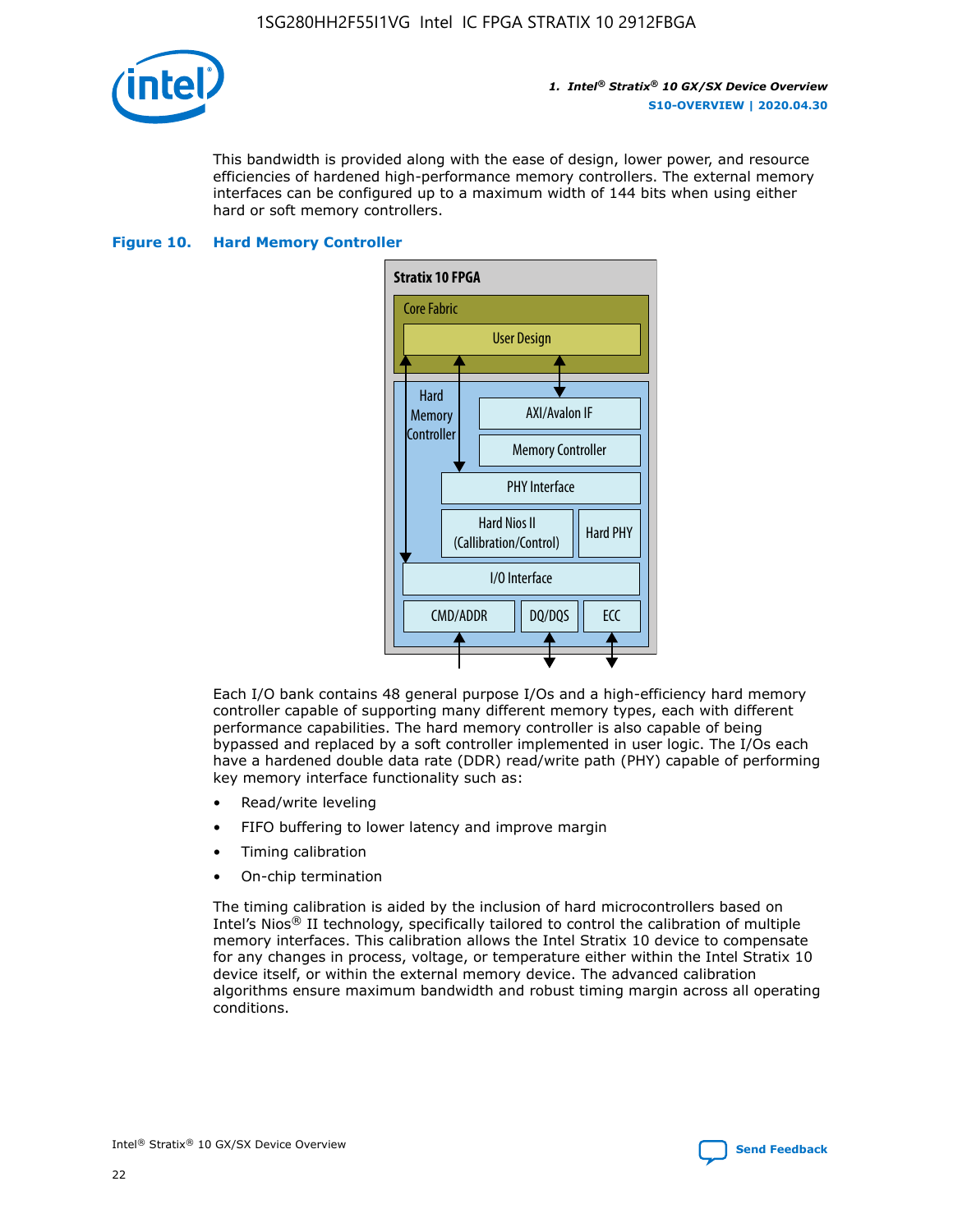

This bandwidth is provided along with the ease of design, lower power, and resource efficiencies of hardened high-performance memory controllers. The external memory interfaces can be configured up to a maximum width of 144 bits when using either hard or soft memory controllers.

## **Figure 10. Hard Memory Controller**



Each I/O bank contains 48 general purpose I/Os and a high-efficiency hard memory controller capable of supporting many different memory types, each with different performance capabilities. The hard memory controller is also capable of being bypassed and replaced by a soft controller implemented in user logic. The I/Os each have a hardened double data rate (DDR) read/write path (PHY) capable of performing key memory interface functionality such as:

- Read/write leveling
- FIFO buffering to lower latency and improve margin
- Timing calibration
- On-chip termination

The timing calibration is aided by the inclusion of hard microcontrollers based on Intel's Nios® II technology, specifically tailored to control the calibration of multiple memory interfaces. This calibration allows the Intel Stratix 10 device to compensate for any changes in process, voltage, or temperature either within the Intel Stratix 10 device itself, or within the external memory device. The advanced calibration algorithms ensure maximum bandwidth and robust timing margin across all operating conditions.

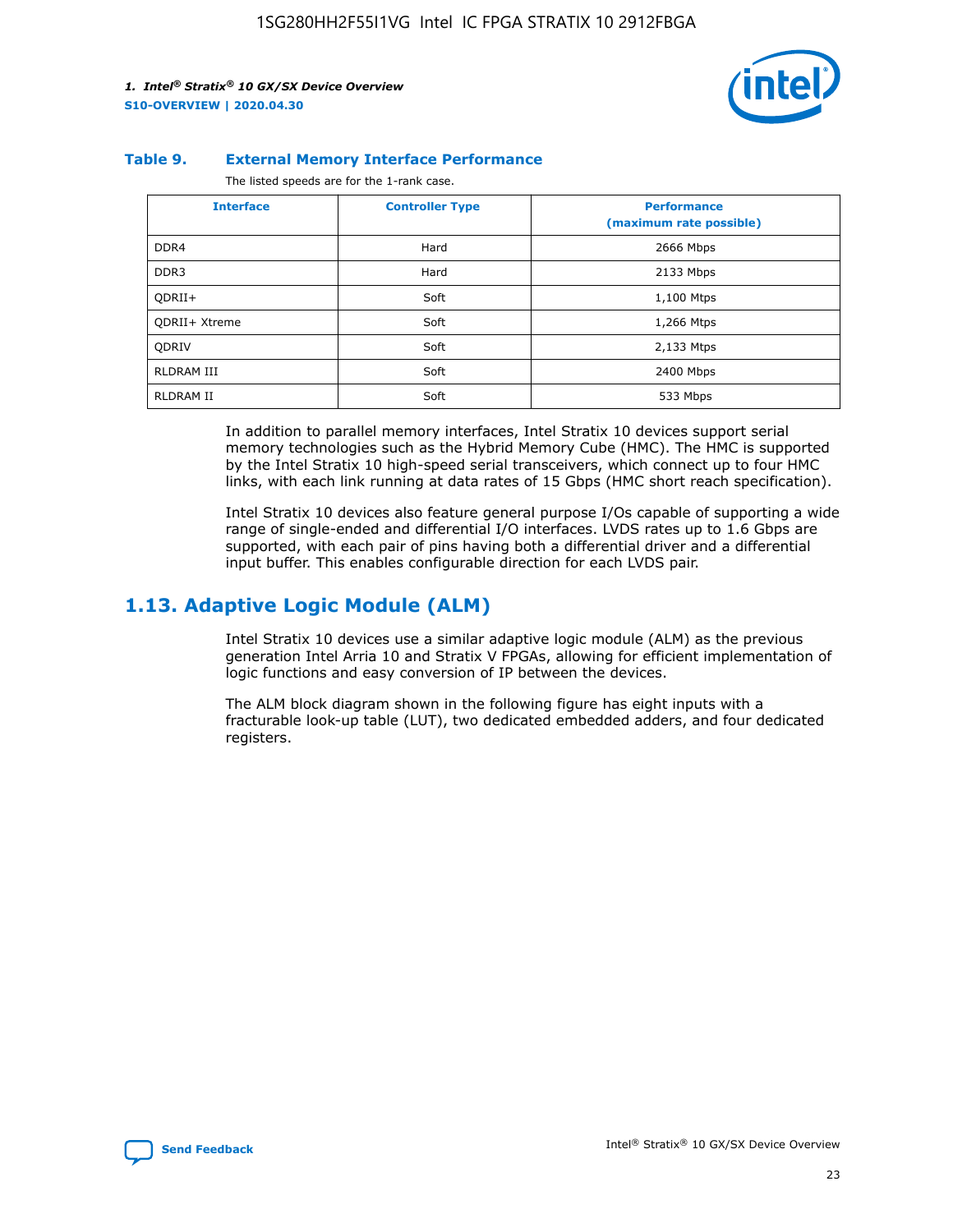

#### **Table 9. External Memory Interface Performance**

The listed speeds are for the 1-rank case.

| <b>Interface</b>     | <b>Controller Type</b> | <b>Performance</b><br>(maximum rate possible) |
|----------------------|------------------------|-----------------------------------------------|
| DDR4                 | Hard                   | 2666 Mbps                                     |
| DDR <sub>3</sub>     | Hard                   | 2133 Mbps                                     |
| QDRII+               | Soft                   | 1,100 Mtps                                    |
| <b>ODRII+ Xtreme</b> | Soft                   | 1,266 Mtps                                    |
| <b>ODRIV</b>         | Soft                   | 2,133 Mtps                                    |
| RLDRAM III           | Soft                   | 2400 Mbps                                     |
| <b>RLDRAM II</b>     | Soft                   | 533 Mbps                                      |

In addition to parallel memory interfaces, Intel Stratix 10 devices support serial memory technologies such as the Hybrid Memory Cube (HMC). The HMC is supported by the Intel Stratix 10 high-speed serial transceivers, which connect up to four HMC links, with each link running at data rates of 15 Gbps (HMC short reach specification).

Intel Stratix 10 devices also feature general purpose I/Os capable of supporting a wide range of single-ended and differential I/O interfaces. LVDS rates up to 1.6 Gbps are supported, with each pair of pins having both a differential driver and a differential input buffer. This enables configurable direction for each LVDS pair.

## **1.13. Adaptive Logic Module (ALM)**

Intel Stratix 10 devices use a similar adaptive logic module (ALM) as the previous generation Intel Arria 10 and Stratix V FPGAs, allowing for efficient implementation of logic functions and easy conversion of IP between the devices.

The ALM block diagram shown in the following figure has eight inputs with a fracturable look-up table (LUT), two dedicated embedded adders, and four dedicated registers.

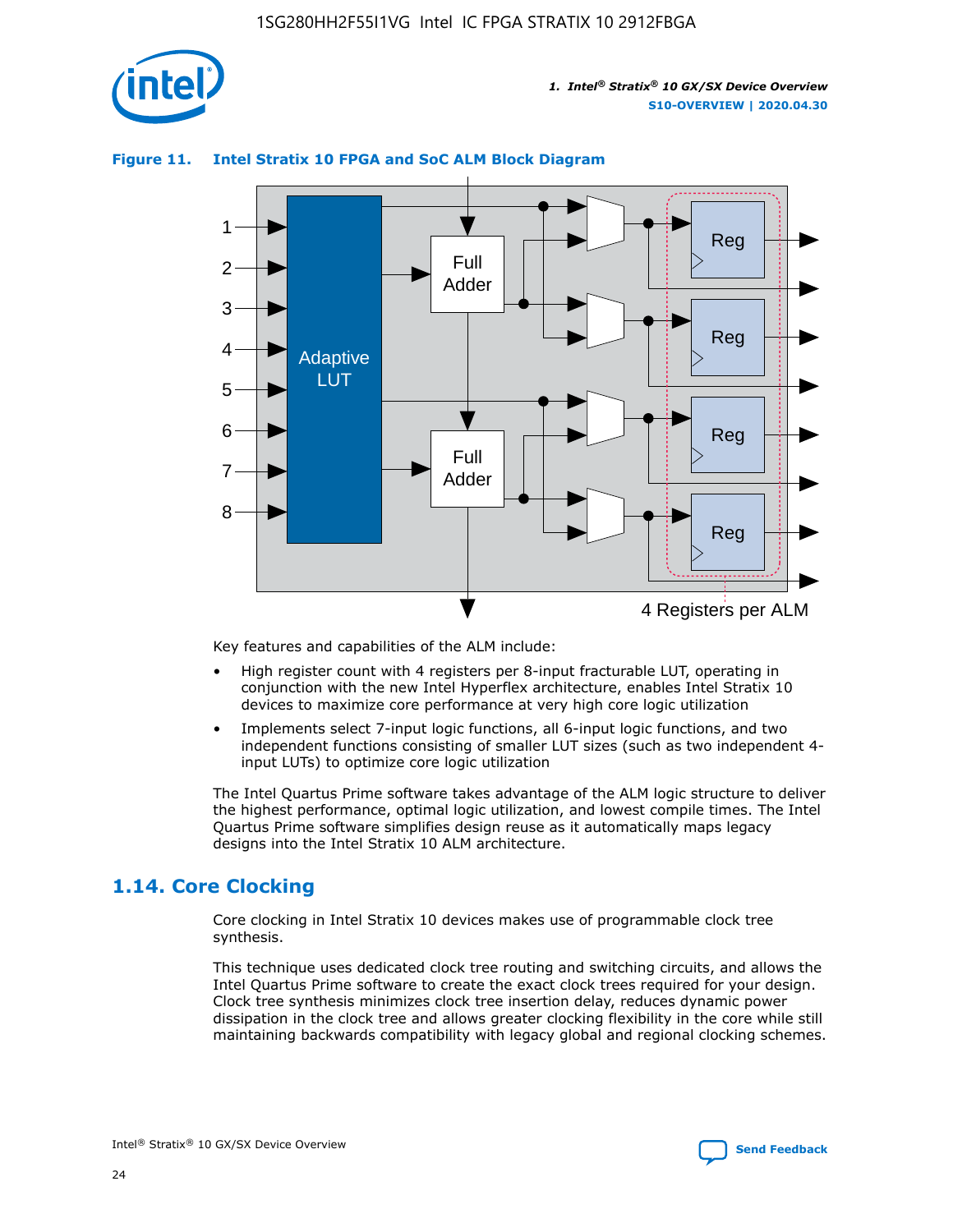

## **Figure 11. Intel Stratix 10 FPGA and SoC ALM Block Diagram**



Key features and capabilities of the ALM include:

- High register count with 4 registers per 8-input fracturable LUT, operating in conjunction with the new Intel Hyperflex architecture, enables Intel Stratix 10 devices to maximize core performance at very high core logic utilization
- Implements select 7-input logic functions, all 6-input logic functions, and two independent functions consisting of smaller LUT sizes (such as two independent 4 input LUTs) to optimize core logic utilization

The Intel Quartus Prime software takes advantage of the ALM logic structure to deliver the highest performance, optimal logic utilization, and lowest compile times. The Intel Quartus Prime software simplifies design reuse as it automatically maps legacy designs into the Intel Stratix 10 ALM architecture.

## **1.14. Core Clocking**

Core clocking in Intel Stratix 10 devices makes use of programmable clock tree synthesis.

This technique uses dedicated clock tree routing and switching circuits, and allows the Intel Quartus Prime software to create the exact clock trees required for your design. Clock tree synthesis minimizes clock tree insertion delay, reduces dynamic power dissipation in the clock tree and allows greater clocking flexibility in the core while still maintaining backwards compatibility with legacy global and regional clocking schemes.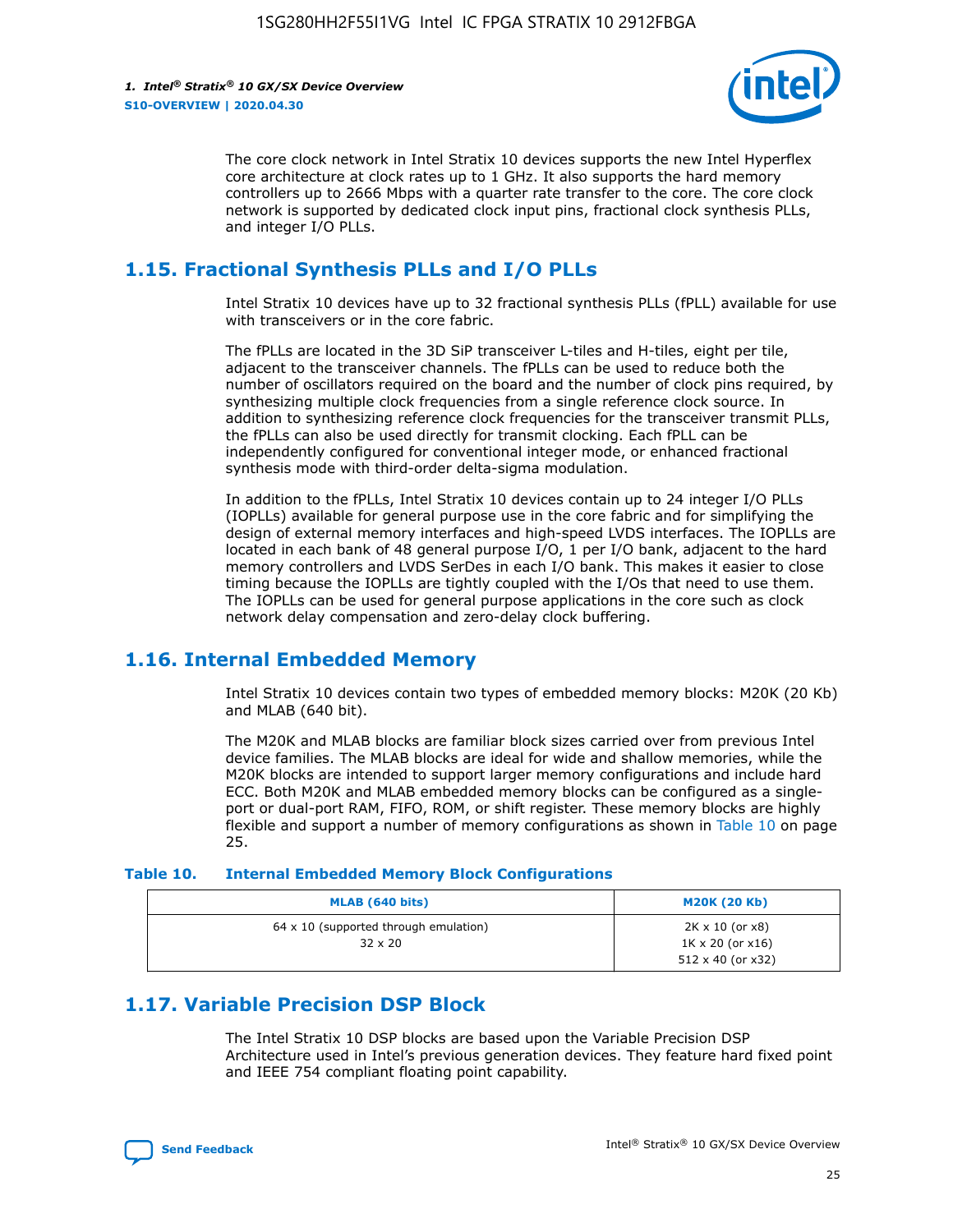

The core clock network in Intel Stratix 10 devices supports the new Intel Hyperflex core architecture at clock rates up to 1 GHz. It also supports the hard memory controllers up to 2666 Mbps with a quarter rate transfer to the core. The core clock network is supported by dedicated clock input pins, fractional clock synthesis PLLs, and integer I/O PLLs.

## **1.15. Fractional Synthesis PLLs and I/O PLLs**

Intel Stratix 10 devices have up to 32 fractional synthesis PLLs (fPLL) available for use with transceivers or in the core fabric.

The fPLLs are located in the 3D SiP transceiver L-tiles and H-tiles, eight per tile, adjacent to the transceiver channels. The fPLLs can be used to reduce both the number of oscillators required on the board and the number of clock pins required, by synthesizing multiple clock frequencies from a single reference clock source. In addition to synthesizing reference clock frequencies for the transceiver transmit PLLs, the fPLLs can also be used directly for transmit clocking. Each fPLL can be independently configured for conventional integer mode, or enhanced fractional synthesis mode with third-order delta-sigma modulation.

In addition to the fPLLs, Intel Stratix 10 devices contain up to 24 integer I/O PLLs (IOPLLs) available for general purpose use in the core fabric and for simplifying the design of external memory interfaces and high-speed LVDS interfaces. The IOPLLs are located in each bank of 48 general purpose I/O, 1 per I/O bank, adjacent to the hard memory controllers and LVDS SerDes in each I/O bank. This makes it easier to close timing because the IOPLLs are tightly coupled with the I/Os that need to use them. The IOPLLs can be used for general purpose applications in the core such as clock network delay compensation and zero-delay clock buffering.

## **1.16. Internal Embedded Memory**

Intel Stratix 10 devices contain two types of embedded memory blocks: M20K (20 Kb) and MLAB (640 bit).

The M20K and MLAB blocks are familiar block sizes carried over from previous Intel device families. The MLAB blocks are ideal for wide and shallow memories, while the M20K blocks are intended to support larger memory configurations and include hard ECC. Both M20K and MLAB embedded memory blocks can be configured as a singleport or dual-port RAM, FIFO, ROM, or shift register. These memory blocks are highly flexible and support a number of memory configurations as shown in Table 10 on page 25.

#### **Table 10. Internal Embedded Memory Block Configurations**

| MLAB (640 bits)                                                | <b>M20K (20 Kb)</b>                                                                    |
|----------------------------------------------------------------|----------------------------------------------------------------------------------------|
| $64 \times 10$ (supported through emulation)<br>$32 \times 20$ | $2K \times 10$ (or $x8$ )<br>$1K \times 20$ (or $x16$ )<br>$512 \times 40$ (or $x32$ ) |

## **1.17. Variable Precision DSP Block**

The Intel Stratix 10 DSP blocks are based upon the Variable Precision DSP Architecture used in Intel's previous generation devices. They feature hard fixed point and IEEE 754 compliant floating point capability.

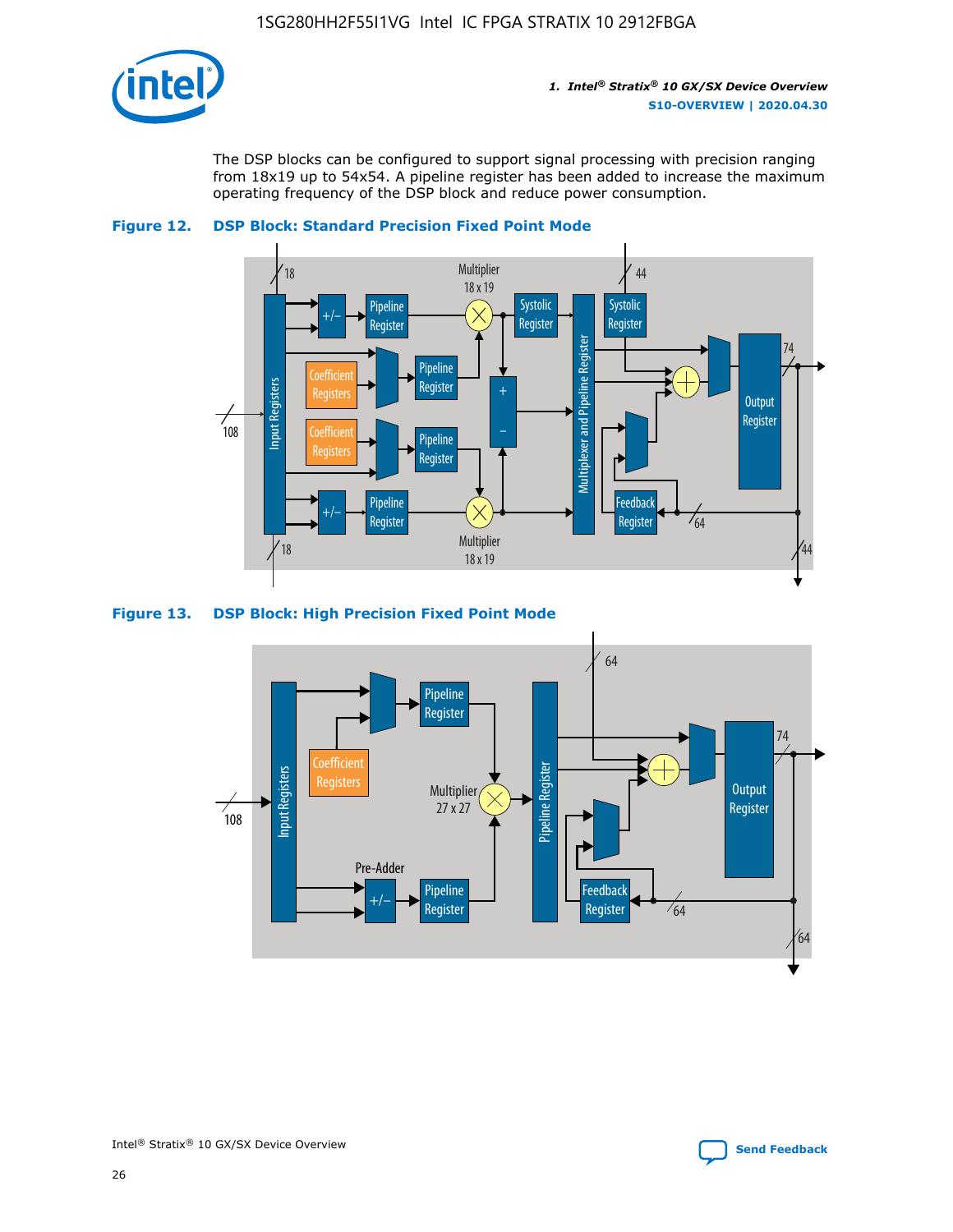

The DSP blocks can be configured to support signal processing with precision ranging from 18x19 up to 54x54. A pipeline register has been added to increase the maximum operating frequency of the DSP block and reduce power consumption.





#### **Figure 13. DSP Block: High Precision Fixed Point Mode**

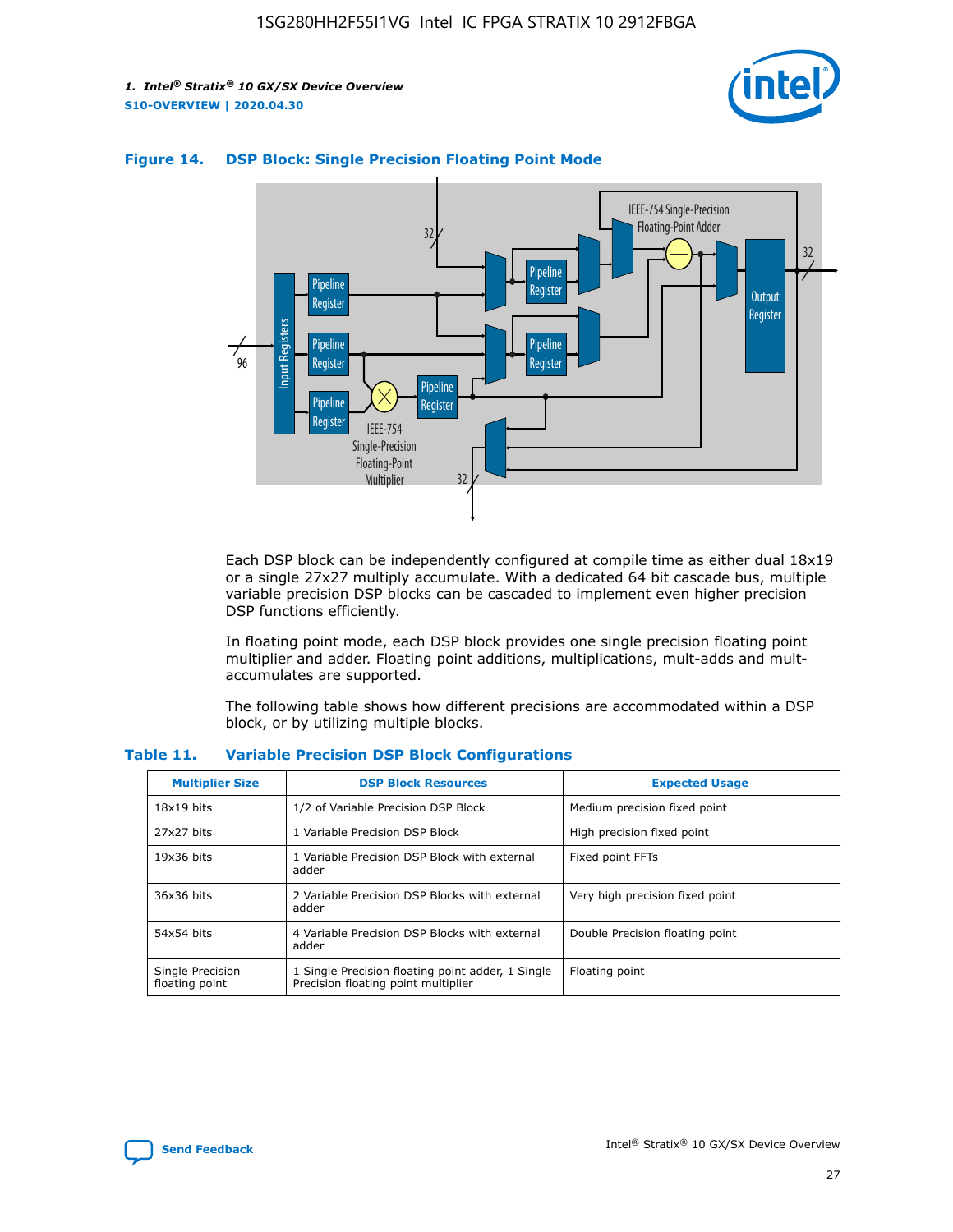



## **Figure 14. DSP Block: Single Precision Floating Point Mode**

Each DSP block can be independently configured at compile time as either dual 18x19 or a single 27x27 multiply accumulate. With a dedicated 64 bit cascade bus, multiple variable precision DSP blocks can be cascaded to implement even higher precision DSP functions efficiently.

In floating point mode, each DSP block provides one single precision floating point multiplier and adder. Floating point additions, multiplications, mult-adds and multaccumulates are supported.

The following table shows how different precisions are accommodated within a DSP block, or by utilizing multiple blocks.

| <b>Multiplier Size</b>             | <b>DSP Block Resources</b>                                                               | <b>Expected Usage</b>           |
|------------------------------------|------------------------------------------------------------------------------------------|---------------------------------|
| $18x19$ bits                       | 1/2 of Variable Precision DSP Block                                                      | Medium precision fixed point    |
| 27x27 bits                         | 1 Variable Precision DSP Block                                                           | High precision fixed point      |
| $19x36$ bits                       | 1 Variable Precision DSP Block with external<br>adder                                    | Fixed point FFTs                |
| 36x36 bits                         | 2 Variable Precision DSP Blocks with external<br>adder                                   | Very high precision fixed point |
| 54x54 bits                         | 4 Variable Precision DSP Blocks with external<br>adder                                   | Double Precision floating point |
| Single Precision<br>floating point | 1 Single Precision floating point adder, 1 Single<br>Precision floating point multiplier | Floating point                  |

#### **Table 11. Variable Precision DSP Block Configurations**

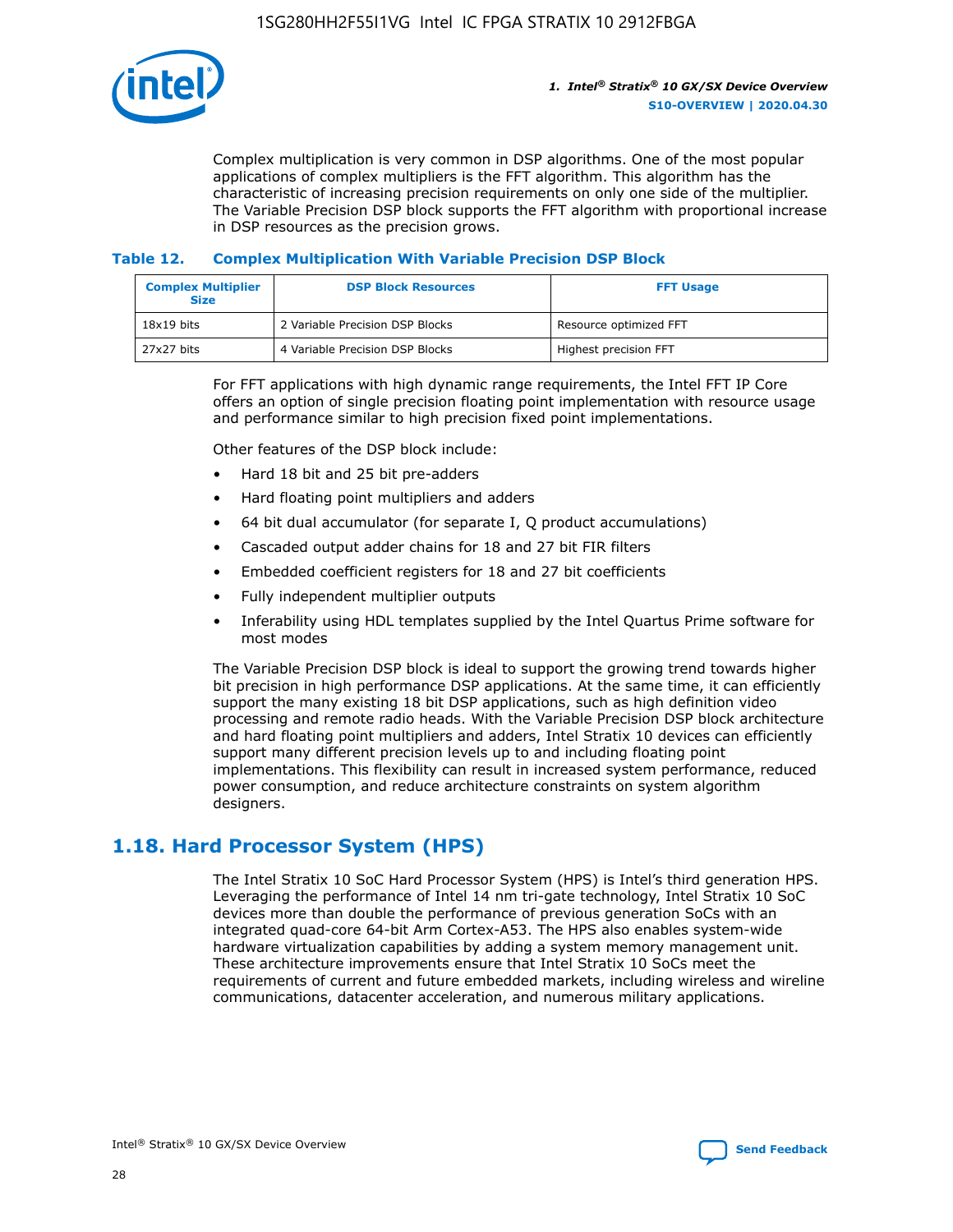

Complex multiplication is very common in DSP algorithms. One of the most popular applications of complex multipliers is the FFT algorithm. This algorithm has the characteristic of increasing precision requirements on only one side of the multiplier. The Variable Precision DSP block supports the FFT algorithm with proportional increase in DSP resources as the precision grows.

## **Table 12. Complex Multiplication With Variable Precision DSP Block**

| <b>Complex Multiplier</b><br><b>Size</b> | <b>DSP Block Resources</b>      | <b>FFT Usage</b>       |
|------------------------------------------|---------------------------------|------------------------|
| $18x19$ bits                             | 2 Variable Precision DSP Blocks | Resource optimized FFT |
| 27x27 bits                               | 4 Variable Precision DSP Blocks | Highest precision FFT  |

For FFT applications with high dynamic range requirements, the Intel FFT IP Core offers an option of single precision floating point implementation with resource usage and performance similar to high precision fixed point implementations.

Other features of the DSP block include:

- Hard 18 bit and 25 bit pre-adders
- Hard floating point multipliers and adders
- 64 bit dual accumulator (for separate I, Q product accumulations)
- Cascaded output adder chains for 18 and 27 bit FIR filters
- Embedded coefficient registers for 18 and 27 bit coefficients
- Fully independent multiplier outputs
- Inferability using HDL templates supplied by the Intel Quartus Prime software for most modes

The Variable Precision DSP block is ideal to support the growing trend towards higher bit precision in high performance DSP applications. At the same time, it can efficiently support the many existing 18 bit DSP applications, such as high definition video processing and remote radio heads. With the Variable Precision DSP block architecture and hard floating point multipliers and adders, Intel Stratix 10 devices can efficiently support many different precision levels up to and including floating point implementations. This flexibility can result in increased system performance, reduced power consumption, and reduce architecture constraints on system algorithm designers.

## **1.18. Hard Processor System (HPS)**

The Intel Stratix 10 SoC Hard Processor System (HPS) is Intel's third generation HPS. Leveraging the performance of Intel 14 nm tri-gate technology, Intel Stratix 10 SoC devices more than double the performance of previous generation SoCs with an integrated quad-core 64-bit Arm Cortex-A53. The HPS also enables system-wide hardware virtualization capabilities by adding a system memory management unit. These architecture improvements ensure that Intel Stratix 10 SoCs meet the requirements of current and future embedded markets, including wireless and wireline communications, datacenter acceleration, and numerous military applications.

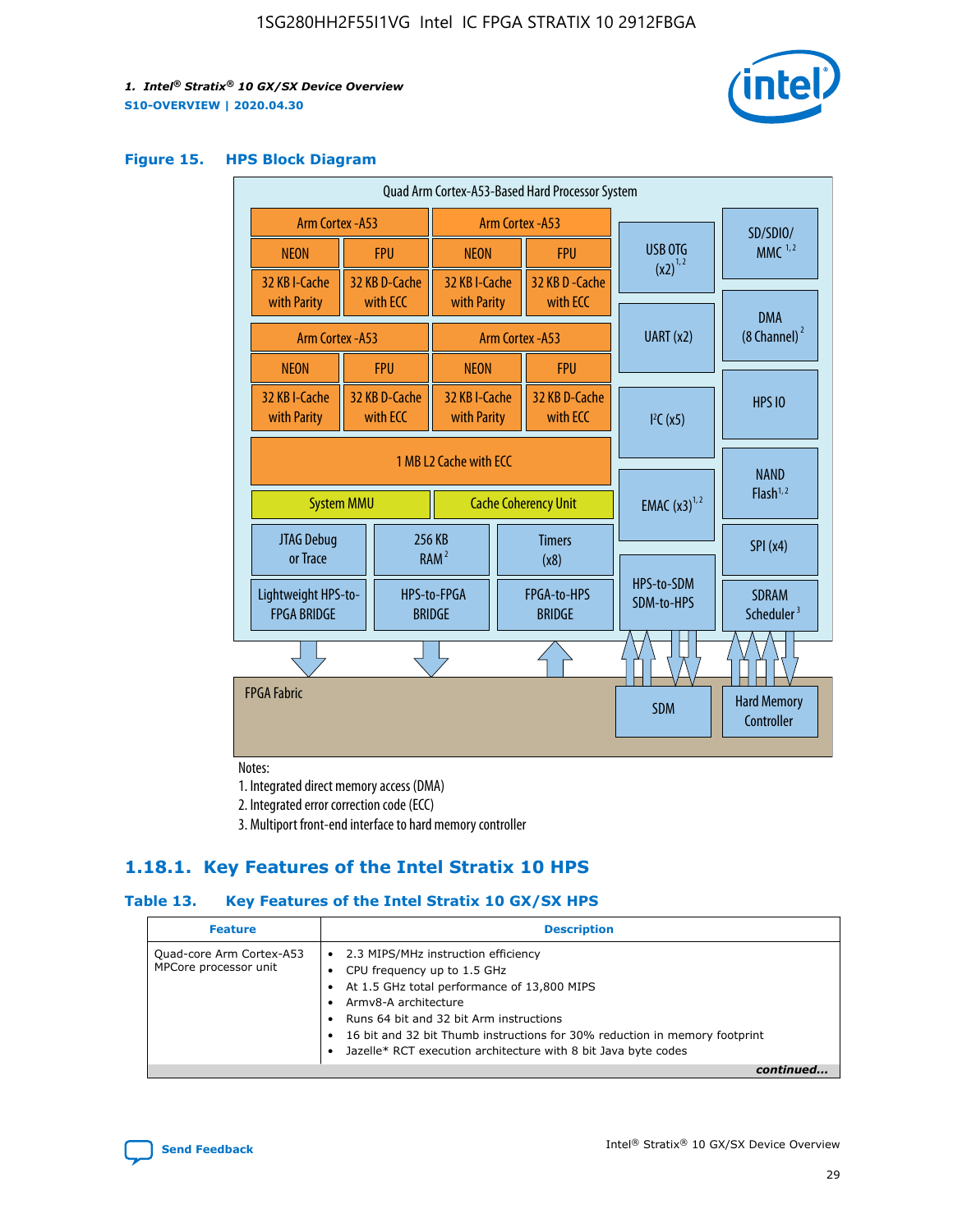

#### **Figure 15. HPS Block Diagram**

| Quad Arm Cortex-A53-Based Hard Processor System |                        |                           |                                                     |  |                           |                          |                                        |                                     |
|-------------------------------------------------|------------------------|---------------------------|-----------------------------------------------------|--|---------------------------|--------------------------|----------------------------------------|-------------------------------------|
| <b>Arm Cortex - A53</b>                         |                        |                           | Arm Cortex - A53                                    |  |                           |                          | SD/SDIO/                               |                                     |
| <b>NEON</b>                                     |                        | <b>FPU</b>                | <b>NEON</b>                                         |  | <b>FPU</b>                |                          | USB OTG                                | $MMC$ <sup>1,2</sup>                |
| 32 KB I-Cache                                   |                        | 32 KB D-Cache             | 32 KB I-Cache                                       |  | 32 KB D - Cache           |                          | $(x2)^{1,2}$                           |                                     |
| with Parity                                     |                        | with ECC                  | with Parity                                         |  | with ECC                  |                          |                                        | <b>DMA</b>                          |
| Arm Cortex - A53                                |                        |                           |                                                     |  | Arm Cortex - A53          | UART (x2)                |                                        | $(8 \text{ Channel})^2$             |
| <b>NEON</b>                                     |                        | <b>FPU</b>                | <b>NEON</b>                                         |  | <b>FPU</b>                |                          |                                        |                                     |
| 32 KB I-Cache<br>with Parity                    |                        | 32 KB D-Cache<br>with ECC | 32 KB I-Cache<br>with Parity                        |  | 32 KB D-Cache<br>with ECC |                          | I <sup>2</sup> C(x5)                   | <b>HPS 10</b>                       |
|                                                 | 1 MB L2 Cache with ECC |                           |                                                     |  |                           |                          |                                        |                                     |
| <b>System MMU</b>                               |                        |                           | <b>Cache Coherency Unit</b>                         |  |                           |                          | <b>EMAC</b> $(x3)^{1,2}$               | <b>NAND</b><br>Flash <sup>1,2</sup> |
| JTAG Debug<br>or Trace                          |                        |                           | 256 KB<br><b>Timers</b><br>RAM <sup>2</sup><br>(x8) |  |                           |                          | SPI(x4)                                |                                     |
| Lightweight HPS-to-<br><b>FPGA BRIDGE</b>       |                        | <b>BRIDGE</b>             | HPS-to-FPGA<br>FPGA-to-HPS<br><b>BRIDGE</b>         |  |                           | HPS-to-SDM<br>SDM-to-HPS | <b>SDRAM</b><br>Scheduler <sup>3</sup> |                                     |
|                                                 |                        |                           |                                                     |  |                           |                          |                                        |                                     |
| <b>FPGA Fabric</b>                              |                        |                           |                                                     |  |                           |                          | <b>SDM</b>                             | <b>Hard Memory</b><br>Controller    |
|                                                 |                        |                           |                                                     |  |                           |                          |                                        |                                     |

Notes:

1. Integrated direct memory access (DMA)

2. Integrated error correction code (ECC)

3. Multiport front-end interface to hard memory controller

## **1.18.1. Key Features of the Intel Stratix 10 HPS**

## **Table 13. Key Features of the Intel Stratix 10 GX/SX HPS**

| <b>Feature</b>                                    | <b>Description</b>                                                                                                                                                                                                                                                                                                                     |
|---------------------------------------------------|----------------------------------------------------------------------------------------------------------------------------------------------------------------------------------------------------------------------------------------------------------------------------------------------------------------------------------------|
| Quad-core Arm Cortex-A53<br>MPCore processor unit | • 2.3 MIPS/MHz instruction efficiency<br>CPU frequency up to 1.5 GHz<br>At 1.5 GHz total performance of 13,800 MIPS<br>Army8-A architecture<br>Runs 64 bit and 32 bit Arm instructions<br>16 bit and 32 bit Thumb instructions for 30% reduction in memory footprint<br>Jazelle* RCT execution architecture with 8 bit Java byte codes |
|                                                   |                                                                                                                                                                                                                                                                                                                                        |

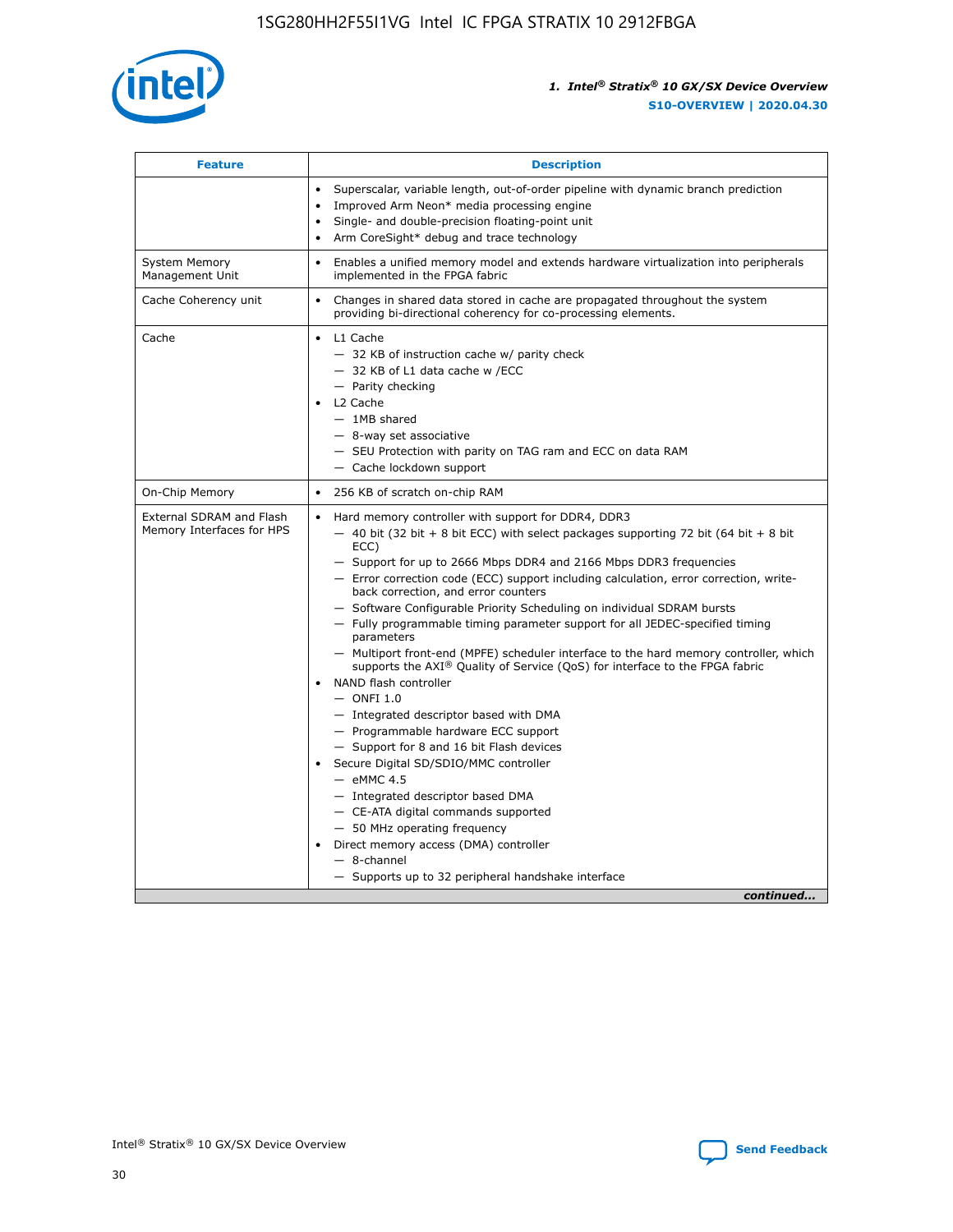

| <b>Feature</b>                                        | <b>Description</b>                                                                                                                                                                                                                                                                                                                                                                                                                                                                                                                                                                                                                                                                                                                                                                                                                                                                                                                                                                                                                                                                                                                                                                                               |
|-------------------------------------------------------|------------------------------------------------------------------------------------------------------------------------------------------------------------------------------------------------------------------------------------------------------------------------------------------------------------------------------------------------------------------------------------------------------------------------------------------------------------------------------------------------------------------------------------------------------------------------------------------------------------------------------------------------------------------------------------------------------------------------------------------------------------------------------------------------------------------------------------------------------------------------------------------------------------------------------------------------------------------------------------------------------------------------------------------------------------------------------------------------------------------------------------------------------------------------------------------------------------------|
|                                                       | Superscalar, variable length, out-of-order pipeline with dynamic branch prediction<br>Improved Arm Neon* media processing engine<br>Single- and double-precision floating-point unit<br>Arm CoreSight* debug and trace technology<br>٠                                                                                                                                                                                                                                                                                                                                                                                                                                                                                                                                                                                                                                                                                                                                                                                                                                                                                                                                                                           |
| <b>System Memory</b><br>Management Unit               | Enables a unified memory model and extends hardware virtualization into peripherals<br>implemented in the FPGA fabric                                                                                                                                                                                                                                                                                                                                                                                                                                                                                                                                                                                                                                                                                                                                                                                                                                                                                                                                                                                                                                                                                            |
| Cache Coherency unit                                  | Changes in shared data stored in cache are propagated throughout the system<br>$\bullet$<br>providing bi-directional coherency for co-processing elements.                                                                                                                                                                                                                                                                                                                                                                                                                                                                                                                                                                                                                                                                                                                                                                                                                                                                                                                                                                                                                                                       |
| Cache                                                 | L1 Cache<br>$\bullet$<br>- 32 KB of instruction cache w/ parity check<br>- 32 KB of L1 data cache w /ECC<br>- Parity checking<br>L <sub>2</sub> Cache<br>$-$ 1MB shared<br>$-$ 8-way set associative<br>- SEU Protection with parity on TAG ram and ECC on data RAM<br>- Cache lockdown support                                                                                                                                                                                                                                                                                                                                                                                                                                                                                                                                                                                                                                                                                                                                                                                                                                                                                                                  |
| On-Chip Memory                                        | 256 KB of scratch on-chip RAM                                                                                                                                                                                                                                                                                                                                                                                                                                                                                                                                                                                                                                                                                                                                                                                                                                                                                                                                                                                                                                                                                                                                                                                    |
| External SDRAM and Flash<br>Memory Interfaces for HPS | Hard memory controller with support for DDR4, DDR3<br>$\bullet$<br>$-$ 40 bit (32 bit + 8 bit ECC) with select packages supporting 72 bit (64 bit + 8 bit<br>ECC)<br>- Support for up to 2666 Mbps DDR4 and 2166 Mbps DDR3 frequencies<br>- Error correction code (ECC) support including calculation, error correction, write-<br>back correction, and error counters<br>- Software Configurable Priority Scheduling on individual SDRAM bursts<br>- Fully programmable timing parameter support for all JEDEC-specified timing<br>parameters<br>- Multiport front-end (MPFE) scheduler interface to the hard memory controller, which<br>supports the $AXI^{\circledR}$ Quality of Service (QoS) for interface to the FPGA fabric<br>NAND flash controller<br>$-$ ONFI 1.0<br>- Integrated descriptor based with DMA<br>- Programmable hardware ECC support<br>- Support for 8 and 16 bit Flash devices<br>Secure Digital SD/SDIO/MMC controller<br>$-$ eMMC 4.5<br>- Integrated descriptor based DMA<br>- CE-ATA digital commands supported<br>- 50 MHz operating frequency<br>Direct memory access (DMA) controller<br>٠<br>$-$ 8-channel<br>- Supports up to 32 peripheral handshake interface<br>continued |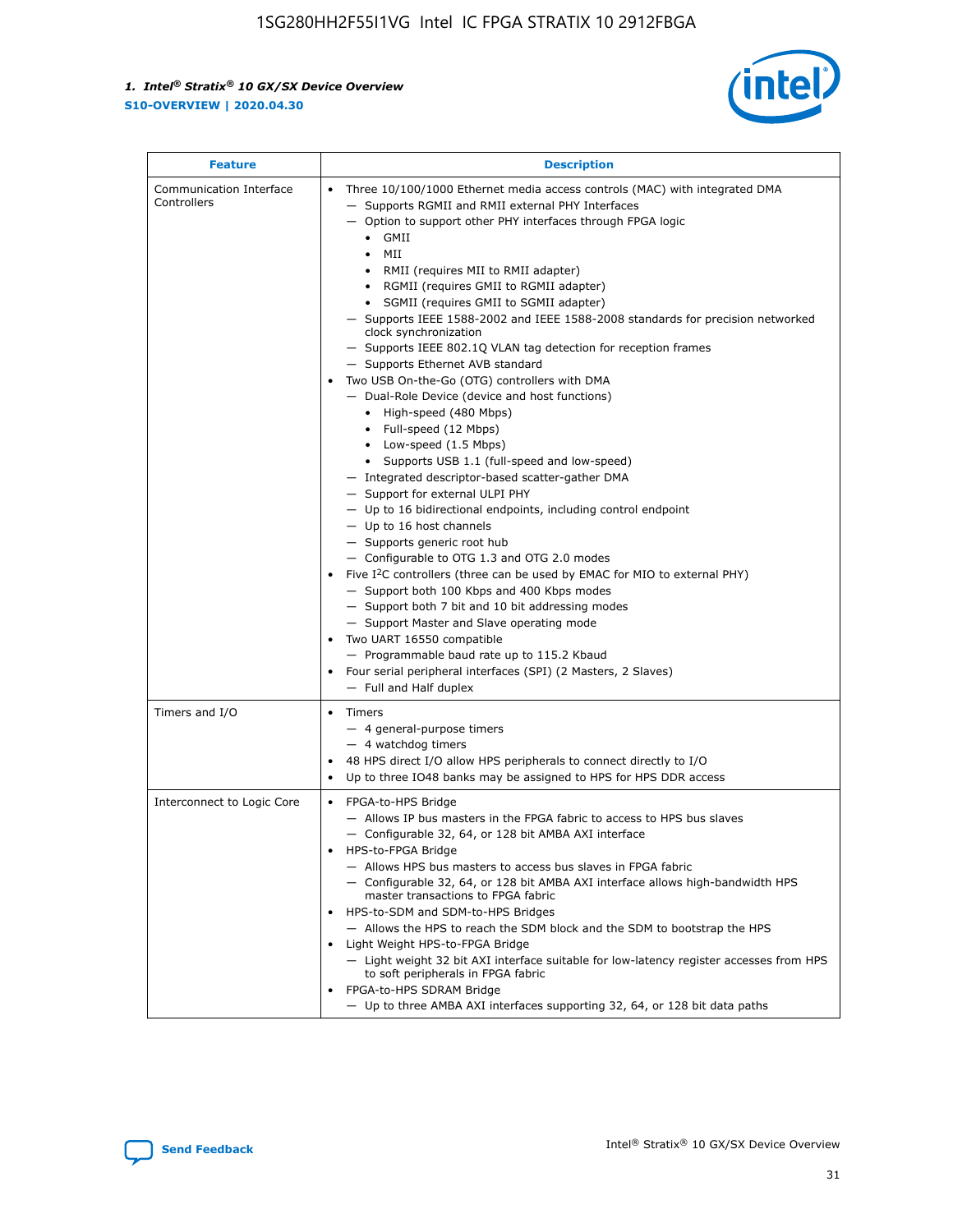

| <b>Feature</b>                         | <b>Description</b>                                                                                                                                                                                                                                                                                                                                                                                                                                                                                                                                                                                                                                                                                                                                                                                                                                                                                                                                                                                                                                                                                                                                                                                                                                                                                                                                                                                                                                                                           |
|----------------------------------------|----------------------------------------------------------------------------------------------------------------------------------------------------------------------------------------------------------------------------------------------------------------------------------------------------------------------------------------------------------------------------------------------------------------------------------------------------------------------------------------------------------------------------------------------------------------------------------------------------------------------------------------------------------------------------------------------------------------------------------------------------------------------------------------------------------------------------------------------------------------------------------------------------------------------------------------------------------------------------------------------------------------------------------------------------------------------------------------------------------------------------------------------------------------------------------------------------------------------------------------------------------------------------------------------------------------------------------------------------------------------------------------------------------------------------------------------------------------------------------------------|
| Communication Interface<br>Controllers | Three 10/100/1000 Ethernet media access controls (MAC) with integrated DMA<br>- Supports RGMII and RMII external PHY Interfaces<br>- Option to support other PHY interfaces through FPGA logic<br>$\bullet$ GMII<br>MII<br>$\bullet$<br>RMII (requires MII to RMII adapter)<br>• RGMII (requires GMII to RGMII adapter)<br>SGMII (requires GMII to SGMII adapter)<br>- Supports IEEE 1588-2002 and IEEE 1588-2008 standards for precision networked<br>clock synchronization<br>- Supports IEEE 802.1Q VLAN tag detection for reception frames<br>- Supports Ethernet AVB standard<br>Two USB On-the-Go (OTG) controllers with DMA<br>- Dual-Role Device (device and host functions)<br>• High-speed (480 Mbps)<br>• Full-speed (12 Mbps)<br>• Low-speed (1.5 Mbps)<br>• Supports USB 1.1 (full-speed and low-speed)<br>- Integrated descriptor-based scatter-gather DMA<br>- Support for external ULPI PHY<br>- Up to 16 bidirectional endpoints, including control endpoint<br>$-$ Up to 16 host channels<br>- Supports generic root hub<br>- Configurable to OTG 1.3 and OTG 2.0 modes<br>Five $I2C$ controllers (three can be used by EMAC for MIO to external PHY)<br>- Support both 100 Kbps and 400 Kbps modes<br>- Support both 7 bit and 10 bit addressing modes<br>- Support Master and Slave operating mode<br>Two UART 16550 compatible<br>- Programmable baud rate up to 115.2 Kbaud<br>Four serial peripheral interfaces (SPI) (2 Masters, 2 Slaves)<br>- Full and Half duplex |
| Timers and I/O                         | Timers<br>- 4 general-purpose timers<br>$-4$ watchdog timers<br>48 HPS direct I/O allow HPS peripherals to connect directly to I/O<br>Up to three IO48 banks may be assigned to HPS for HPS DDR access                                                                                                                                                                                                                                                                                                                                                                                                                                                                                                                                                                                                                                                                                                                                                                                                                                                                                                                                                                                                                                                                                                                                                                                                                                                                                       |
| Interconnect to Logic Core             | • FPGA-to-HPS Bridge<br>- Allows IP bus masters in the FPGA fabric to access to HPS bus slaves<br>- Configurable 32, 64, or 128 bit AMBA AXI interface<br>HPS-to-FPGA Bridge<br>- Allows HPS bus masters to access bus slaves in FPGA fabric<br>- Configurable 32, 64, or 128 bit AMBA AXI interface allows high-bandwidth HPS<br>master transactions to FPGA fabric<br>HPS-to-SDM and SDM-to-HPS Bridges<br>- Allows the HPS to reach the SDM block and the SDM to bootstrap the HPS<br>Light Weight HPS-to-FPGA Bridge<br>- Light weight 32 bit AXI interface suitable for low-latency register accesses from HPS<br>to soft peripherals in FPGA fabric<br>FPGA-to-HPS SDRAM Bridge<br>- Up to three AMBA AXI interfaces supporting 32, 64, or 128 bit data paths                                                                                                                                                                                                                                                                                                                                                                                                                                                                                                                                                                                                                                                                                                                          |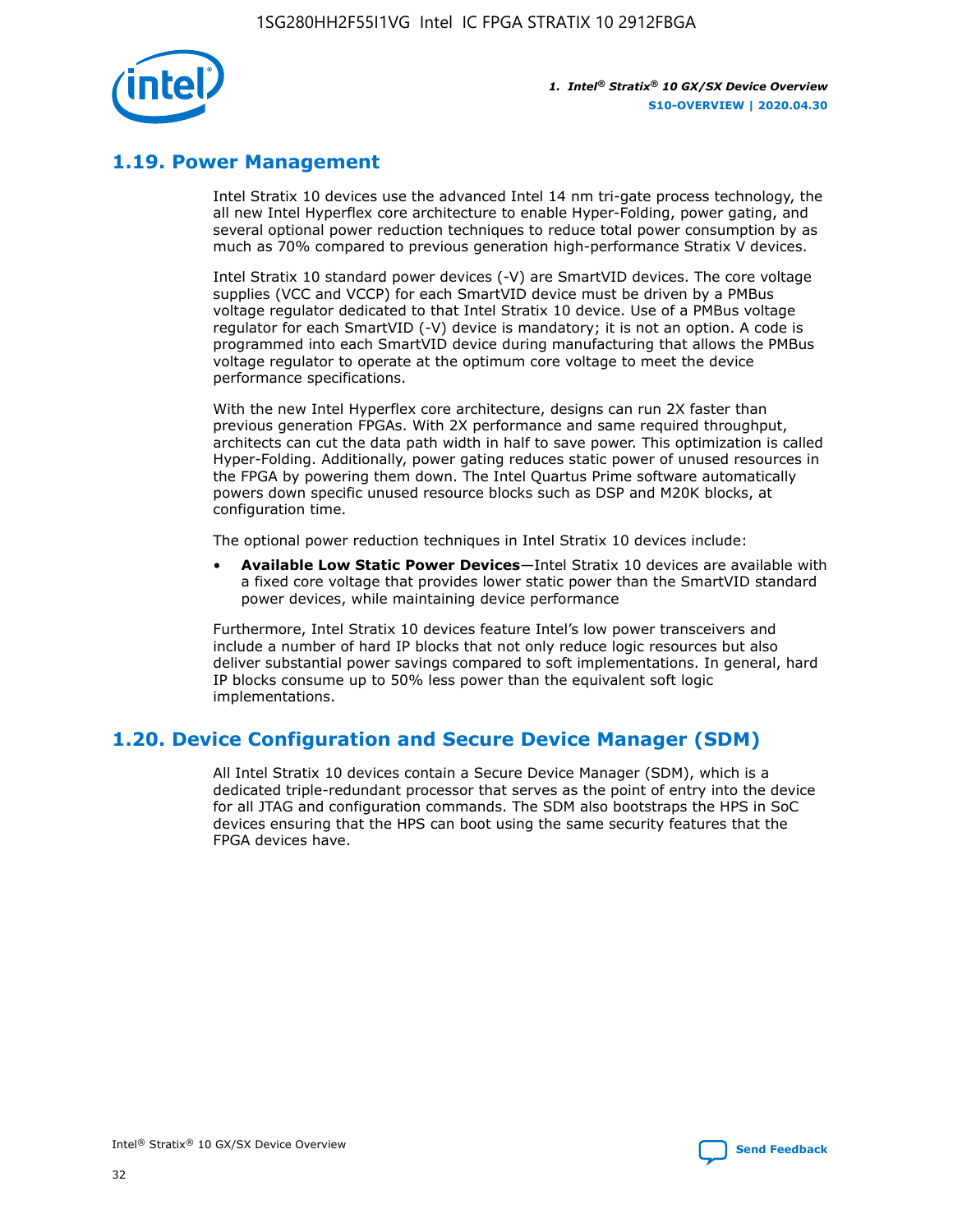

## **1.19. Power Management**

Intel Stratix 10 devices use the advanced Intel 14 nm tri-gate process technology, the all new Intel Hyperflex core architecture to enable Hyper-Folding, power gating, and several optional power reduction techniques to reduce total power consumption by as much as 70% compared to previous generation high-performance Stratix V devices.

Intel Stratix 10 standard power devices (-V) are SmartVID devices. The core voltage supplies (VCC and VCCP) for each SmartVID device must be driven by a PMBus voltage regulator dedicated to that Intel Stratix 10 device. Use of a PMBus voltage regulator for each SmartVID (-V) device is mandatory; it is not an option. A code is programmed into each SmartVID device during manufacturing that allows the PMBus voltage regulator to operate at the optimum core voltage to meet the device performance specifications.

With the new Intel Hyperflex core architecture, designs can run 2X faster than previous generation FPGAs. With 2X performance and same required throughput, architects can cut the data path width in half to save power. This optimization is called Hyper-Folding. Additionally, power gating reduces static power of unused resources in the FPGA by powering them down. The Intel Quartus Prime software automatically powers down specific unused resource blocks such as DSP and M20K blocks, at configuration time.

The optional power reduction techniques in Intel Stratix 10 devices include:

• **Available Low Static Power Devices**—Intel Stratix 10 devices are available with a fixed core voltage that provides lower static power than the SmartVID standard power devices, while maintaining device performance

Furthermore, Intel Stratix 10 devices feature Intel's low power transceivers and include a number of hard IP blocks that not only reduce logic resources but also deliver substantial power savings compared to soft implementations. In general, hard IP blocks consume up to 50% less power than the equivalent soft logic implementations.

## **1.20. Device Configuration and Secure Device Manager (SDM)**

All Intel Stratix 10 devices contain a Secure Device Manager (SDM), which is a dedicated triple-redundant processor that serves as the point of entry into the device for all JTAG and configuration commands. The SDM also bootstraps the HPS in SoC devices ensuring that the HPS can boot using the same security features that the FPGA devices have.

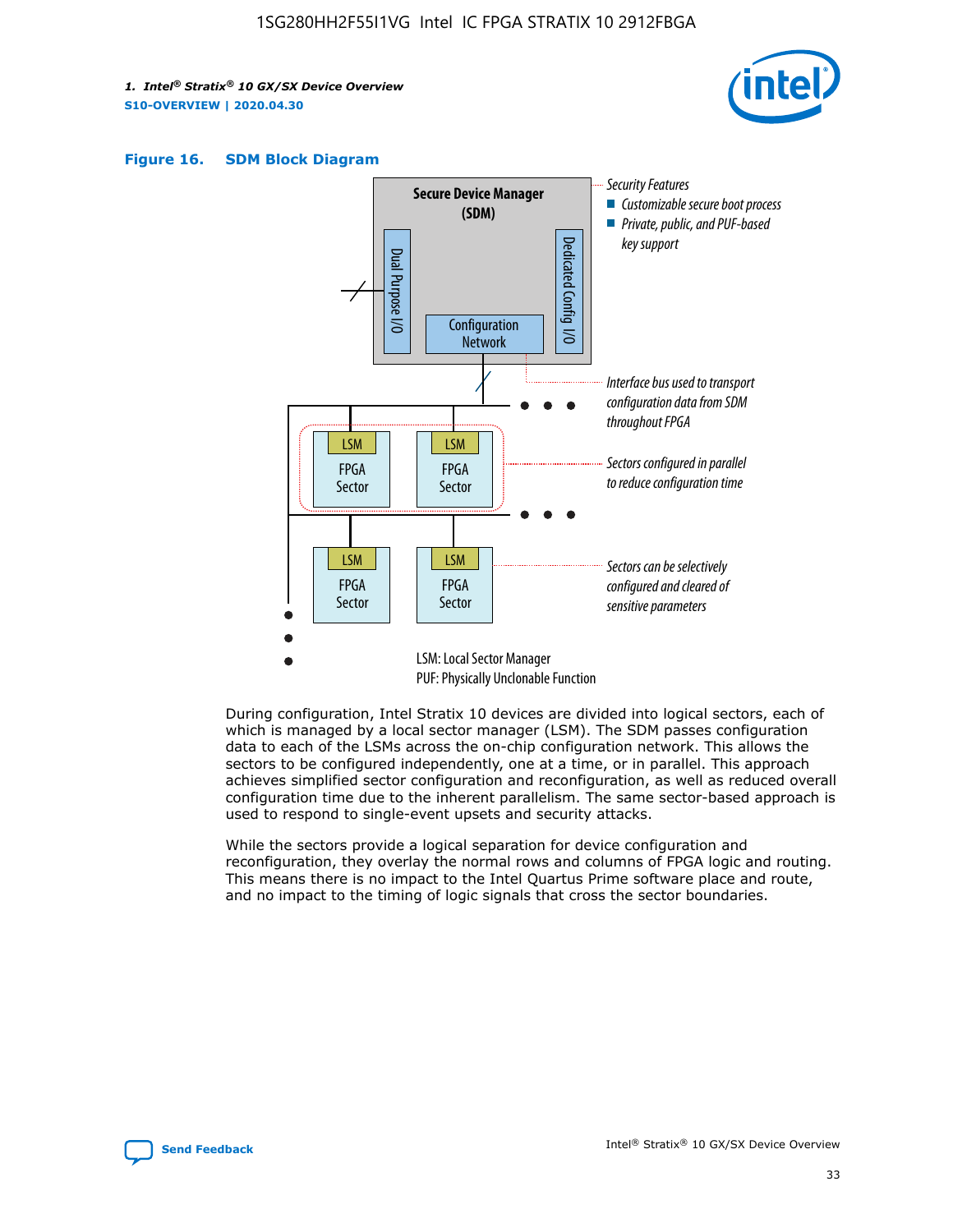





During configuration, Intel Stratix 10 devices are divided into logical sectors, each of which is managed by a local sector manager (LSM). The SDM passes configuration data to each of the LSMs across the on-chip configuration network. This allows the sectors to be configured independently, one at a time, or in parallel. This approach achieves simplified sector configuration and reconfiguration, as well as reduced overall configuration time due to the inherent parallelism. The same sector-based approach is used to respond to single-event upsets and security attacks.

While the sectors provide a logical separation for device configuration and reconfiguration, they overlay the normal rows and columns of FPGA logic and routing. This means there is no impact to the Intel Quartus Prime software place and route, and no impact to the timing of logic signals that cross the sector boundaries.

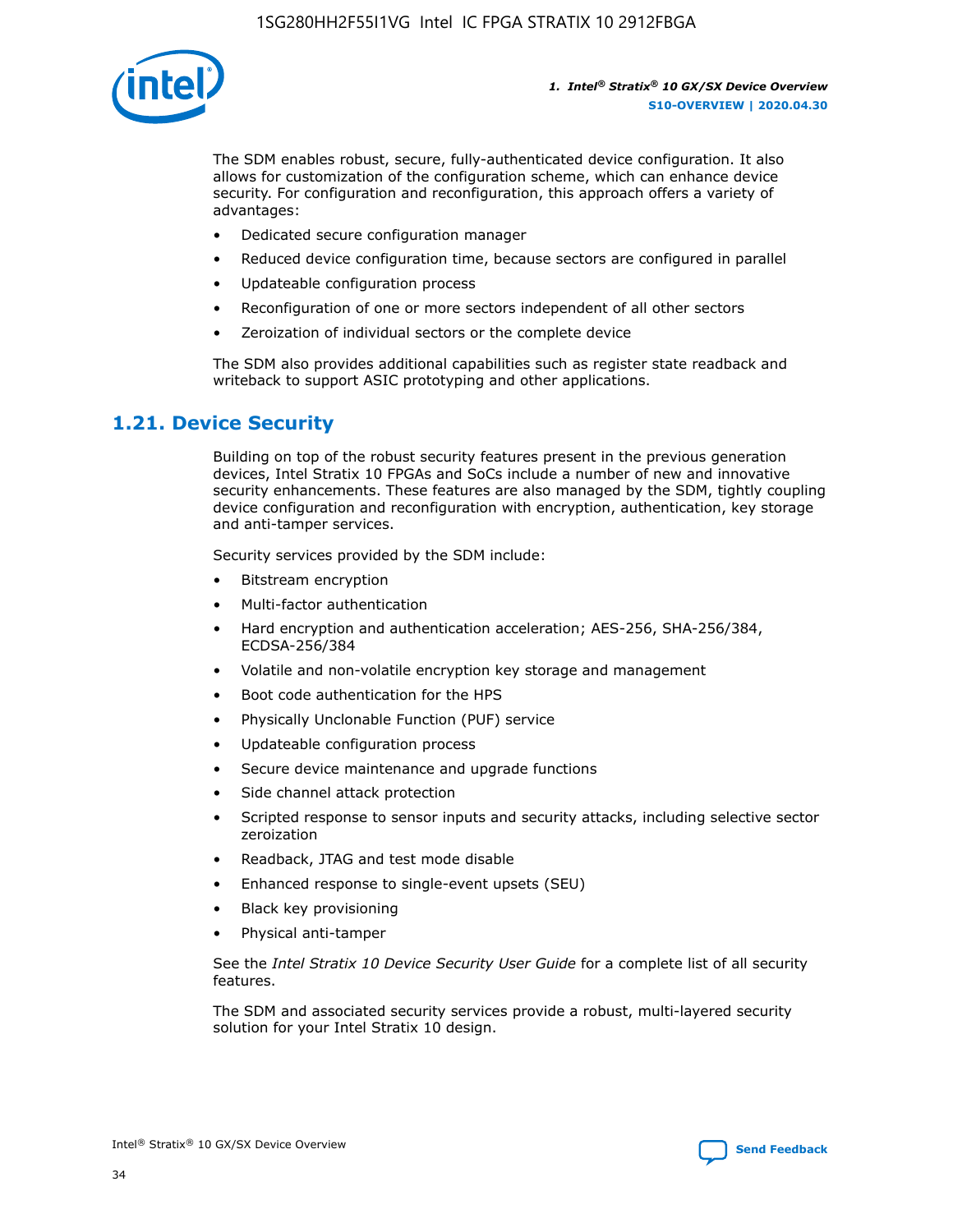

The SDM enables robust, secure, fully-authenticated device configuration. It also allows for customization of the configuration scheme, which can enhance device security. For configuration and reconfiguration, this approach offers a variety of advantages:

- Dedicated secure configuration manager
- Reduced device configuration time, because sectors are configured in parallel
- Updateable configuration process
- Reconfiguration of one or more sectors independent of all other sectors
- Zeroization of individual sectors or the complete device

The SDM also provides additional capabilities such as register state readback and writeback to support ASIC prototyping and other applications.

## **1.21. Device Security**

Building on top of the robust security features present in the previous generation devices, Intel Stratix 10 FPGAs and SoCs include a number of new and innovative security enhancements. These features are also managed by the SDM, tightly coupling device configuration and reconfiguration with encryption, authentication, key storage and anti-tamper services.

Security services provided by the SDM include:

- Bitstream encryption
- Multi-factor authentication
- Hard encryption and authentication acceleration; AES-256, SHA-256/384, ECDSA-256/384
- Volatile and non-volatile encryption key storage and management
- Boot code authentication for the HPS
- Physically Unclonable Function (PUF) service
- Updateable configuration process
- Secure device maintenance and upgrade functions
- Side channel attack protection
- Scripted response to sensor inputs and security attacks, including selective sector zeroization
- Readback, JTAG and test mode disable
- Enhanced response to single-event upsets (SEU)
- Black key provisioning
- Physical anti-tamper

See the *Intel Stratix 10 Device Security User Guide* for a complete list of all security features.

The SDM and associated security services provide a robust, multi-layered security solution for your Intel Stratix 10 design.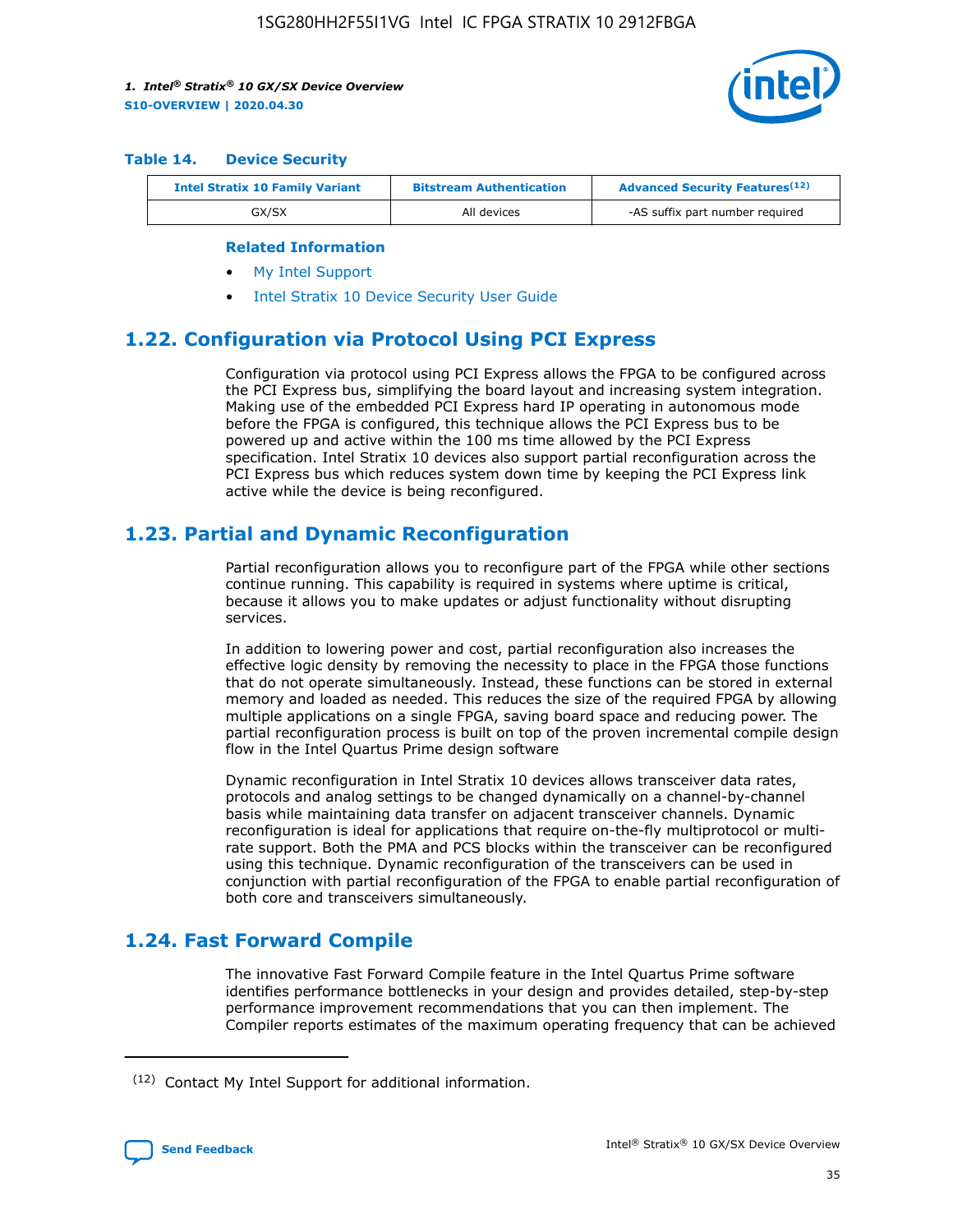

#### **Table 14. Device Security**

| <b>Intel Stratix 10 Family Variant</b> | <b>Bitstream Authentication</b> | <b>Advanced Security Features</b> <sup>(12)</sup> |
|----------------------------------------|---------------------------------|---------------------------------------------------|
| GX/SX                                  | All devices                     | -AS suffix part number required                   |

#### **Related Information**

- [My Intel Support](https://www.intel.com/content/www/us/en/programmable/my-intel/mal-home.html)
- [Intel Stratix 10 Device Security User Guide](https://www.intel.com/content/www/us/en/programmable/documentation/ndq1483601370898.html#wcd1483611014402)

## **1.22. Configuration via Protocol Using PCI Express**

Configuration via protocol using PCI Express allows the FPGA to be configured across the PCI Express bus, simplifying the board layout and increasing system integration. Making use of the embedded PCI Express hard IP operating in autonomous mode before the FPGA is configured, this technique allows the PCI Express bus to be powered up and active within the 100 ms time allowed by the PCI Express specification. Intel Stratix 10 devices also support partial reconfiguration across the PCI Express bus which reduces system down time by keeping the PCI Express link active while the device is being reconfigured.

## **1.23. Partial and Dynamic Reconfiguration**

Partial reconfiguration allows you to reconfigure part of the FPGA while other sections continue running. This capability is required in systems where uptime is critical, because it allows you to make updates or adjust functionality without disrupting services.

In addition to lowering power and cost, partial reconfiguration also increases the effective logic density by removing the necessity to place in the FPGA those functions that do not operate simultaneously. Instead, these functions can be stored in external memory and loaded as needed. This reduces the size of the required FPGA by allowing multiple applications on a single FPGA, saving board space and reducing power. The partial reconfiguration process is built on top of the proven incremental compile design flow in the Intel Quartus Prime design software

Dynamic reconfiguration in Intel Stratix 10 devices allows transceiver data rates, protocols and analog settings to be changed dynamically on a channel-by-channel basis while maintaining data transfer on adjacent transceiver channels. Dynamic reconfiguration is ideal for applications that require on-the-fly multiprotocol or multirate support. Both the PMA and PCS blocks within the transceiver can be reconfigured using this technique. Dynamic reconfiguration of the transceivers can be used in conjunction with partial reconfiguration of the FPGA to enable partial reconfiguration of both core and transceivers simultaneously.

## **1.24. Fast Forward Compile**

The innovative Fast Forward Compile feature in the Intel Quartus Prime software identifies performance bottlenecks in your design and provides detailed, step-by-step performance improvement recommendations that you can then implement. The Compiler reports estimates of the maximum operating frequency that can be achieved

<sup>(12)</sup> Contact My Intel Support for additional information.

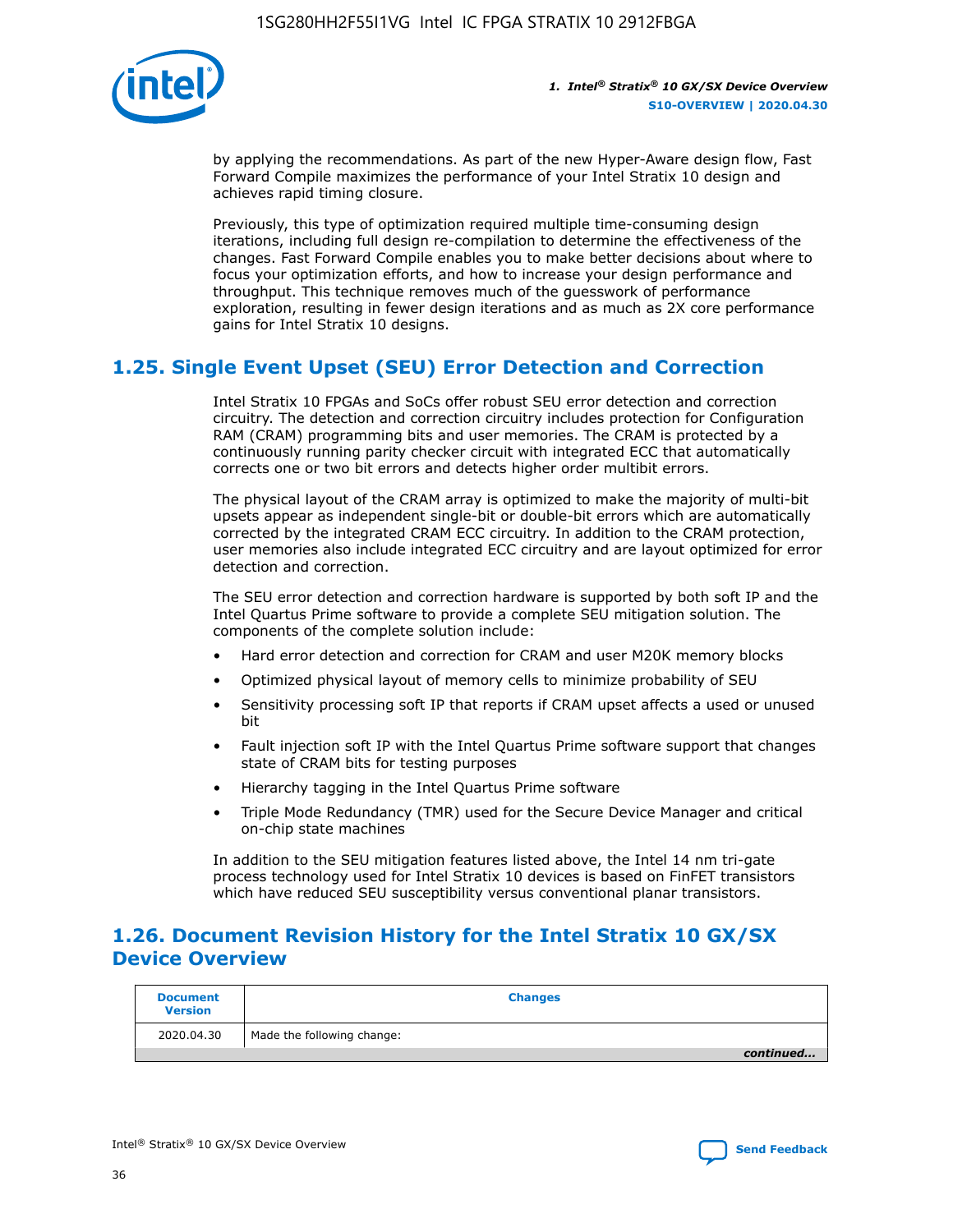

by applying the recommendations. As part of the new Hyper-Aware design flow, Fast Forward Compile maximizes the performance of your Intel Stratix 10 design and achieves rapid timing closure.

Previously, this type of optimization required multiple time-consuming design iterations, including full design re-compilation to determine the effectiveness of the changes. Fast Forward Compile enables you to make better decisions about where to focus your optimization efforts, and how to increase your design performance and throughput. This technique removes much of the guesswork of performance exploration, resulting in fewer design iterations and as much as 2X core performance gains for Intel Stratix 10 designs.

## **1.25. Single Event Upset (SEU) Error Detection and Correction**

Intel Stratix 10 FPGAs and SoCs offer robust SEU error detection and correction circuitry. The detection and correction circuitry includes protection for Configuration RAM (CRAM) programming bits and user memories. The CRAM is protected by a continuously running parity checker circuit with integrated ECC that automatically corrects one or two bit errors and detects higher order multibit errors.

The physical layout of the CRAM array is optimized to make the majority of multi-bit upsets appear as independent single-bit or double-bit errors which are automatically corrected by the integrated CRAM ECC circuitry. In addition to the CRAM protection, user memories also include integrated ECC circuitry and are layout optimized for error detection and correction.

The SEU error detection and correction hardware is supported by both soft IP and the Intel Quartus Prime software to provide a complete SEU mitigation solution. The components of the complete solution include:

- Hard error detection and correction for CRAM and user M20K memory blocks
- Optimized physical layout of memory cells to minimize probability of SEU
- Sensitivity processing soft IP that reports if CRAM upset affects a used or unused bit
- Fault injection soft IP with the Intel Quartus Prime software support that changes state of CRAM bits for testing purposes
- Hierarchy tagging in the Intel Quartus Prime software
- Triple Mode Redundancy (TMR) used for the Secure Device Manager and critical on-chip state machines

In addition to the SEU mitigation features listed above, the Intel 14 nm tri-gate process technology used for Intel Stratix 10 devices is based on FinFET transistors which have reduced SEU susceptibility versus conventional planar transistors.

## **1.26. Document Revision History for the Intel Stratix 10 GX/SX Device Overview**

| <b>Document</b><br><b>Version</b> | <b>Changes</b>             |
|-----------------------------------|----------------------------|
| 2020.04.30                        | Made the following change: |
|                                   | continued                  |

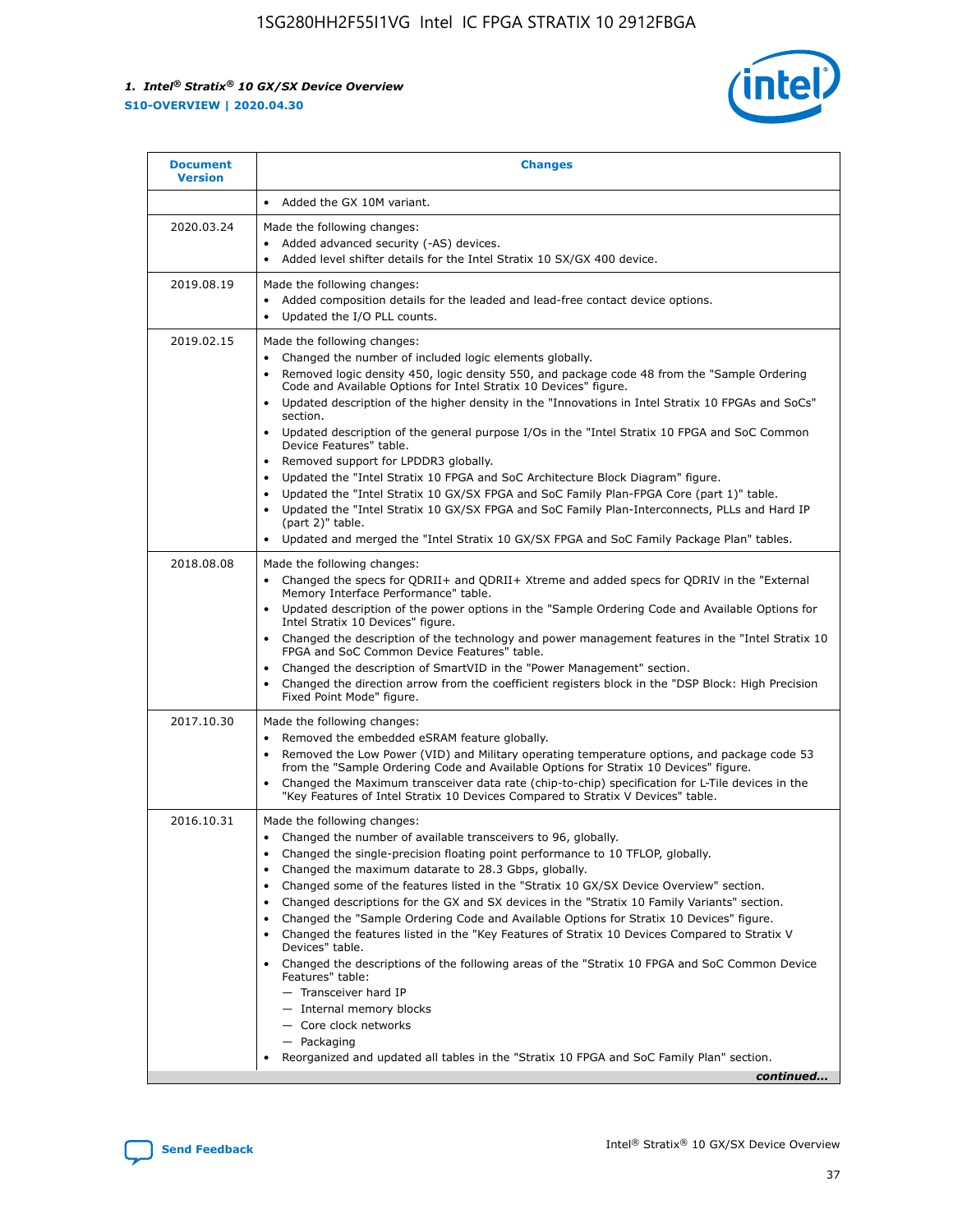

| <b>Document</b><br><b>Version</b> | <b>Changes</b>                                                                                                                                                                                                                                                                                                                                                                                                                                                                                                                                                                                                                                                                                                                                                                                                                                                                                                                                                                                              |
|-----------------------------------|-------------------------------------------------------------------------------------------------------------------------------------------------------------------------------------------------------------------------------------------------------------------------------------------------------------------------------------------------------------------------------------------------------------------------------------------------------------------------------------------------------------------------------------------------------------------------------------------------------------------------------------------------------------------------------------------------------------------------------------------------------------------------------------------------------------------------------------------------------------------------------------------------------------------------------------------------------------------------------------------------------------|
|                                   | Added the GX 10M variant.                                                                                                                                                                                                                                                                                                                                                                                                                                                                                                                                                                                                                                                                                                                                                                                                                                                                                                                                                                                   |
| 2020.03.24                        | Made the following changes:<br>Added advanced security (-AS) devices.<br>Added level shifter details for the Intel Stratix 10 SX/GX 400 device.                                                                                                                                                                                                                                                                                                                                                                                                                                                                                                                                                                                                                                                                                                                                                                                                                                                             |
| 2019.08.19                        | Made the following changes:<br>Added composition details for the leaded and lead-free contact device options.<br>$\bullet$<br>Updated the I/O PLL counts.                                                                                                                                                                                                                                                                                                                                                                                                                                                                                                                                                                                                                                                                                                                                                                                                                                                   |
| 2019.02.15                        | Made the following changes:<br>Changed the number of included logic elements globally.<br>$\bullet$<br>Removed logic density 450, logic density 550, and package code 48 from the "Sample Ordering<br>$\bullet$<br>Code and Available Options for Intel Stratix 10 Devices" figure.<br>Updated description of the higher density in the "Innovations in Intel Stratix 10 FPGAs and SoCs"<br>section.<br>Updated description of the general purpose I/Os in the "Intel Stratix 10 FPGA and SoC Common<br>$\bullet$<br>Device Features" table.<br>Removed support for LPDDR3 globally.<br>Updated the "Intel Stratix 10 FPGA and SoC Architecture Block Diagram" figure.<br>$\bullet$<br>Updated the "Intel Stratix 10 GX/SX FPGA and SoC Family Plan-FPGA Core (part 1)" table.<br>$\bullet$<br>Updated the "Intel Stratix 10 GX/SX FPGA and SoC Family Plan-Interconnects, PLLs and Hard IP<br>(part 2)" table.<br>Updated and merged the "Intel Stratix 10 GX/SX FPGA and SoC Family Package Plan" tables. |
| 2018.08.08                        | Made the following changes:<br>Changed the specs for QDRII+ and QDRII+ Xtreme and added specs for QDRIV in the "External<br>$\bullet$<br>Memory Interface Performance" table.<br>Updated description of the power options in the "Sample Ordering Code and Available Options for<br>Intel Stratix 10 Devices" figure.<br>Changed the description of the technology and power management features in the "Intel Stratix 10<br>FPGA and SoC Common Device Features" table.<br>Changed the description of SmartVID in the "Power Management" section.<br>Changed the direction arrow from the coefficient registers block in the "DSP Block: High Precision<br>$\bullet$<br>Fixed Point Mode" figure.                                                                                                                                                                                                                                                                                                          |
| 2017.10.30                        | Made the following changes:<br>Removed the embedded eSRAM feature globally.<br>$\bullet$<br>Removed the Low Power (VID) and Military operating temperature options, and package code 53<br>$\bullet$<br>from the "Sample Ordering Code and Available Options for Stratix 10 Devices" figure.<br>Changed the Maximum transceiver data rate (chip-to-chip) specification for L-Tile devices in the<br>"Key Features of Intel Stratix 10 Devices Compared to Stratix V Devices" table.                                                                                                                                                                                                                                                                                                                                                                                                                                                                                                                         |
| 2016.10.31                        | Made the following changes:<br>• Changed the number of available transceivers to 96, globally.<br>Changed the single-precision floating point performance to 10 TFLOP, globally.<br>Changed the maximum datarate to 28.3 Gbps, globally.<br>٠<br>Changed some of the features listed in the "Stratix 10 GX/SX Device Overview" section.<br>$\bullet$<br>Changed descriptions for the GX and SX devices in the "Stratix 10 Family Variants" section.<br>$\bullet$<br>Changed the "Sample Ordering Code and Available Options for Stratix 10 Devices" figure.<br>Changed the features listed in the "Key Features of Stratix 10 Devices Compared to Stratix V<br>Devices" table.<br>Changed the descriptions of the following areas of the "Stratix 10 FPGA and SoC Common Device<br>Features" table:<br>- Transceiver hard IP<br>- Internal memory blocks<br>- Core clock networks<br>- Packaging<br>Reorganized and updated all tables in the "Stratix 10 FPGA and SoC Family Plan" section.                |
|                                   | continued                                                                                                                                                                                                                                                                                                                                                                                                                                                                                                                                                                                                                                                                                                                                                                                                                                                                                                                                                                                                   |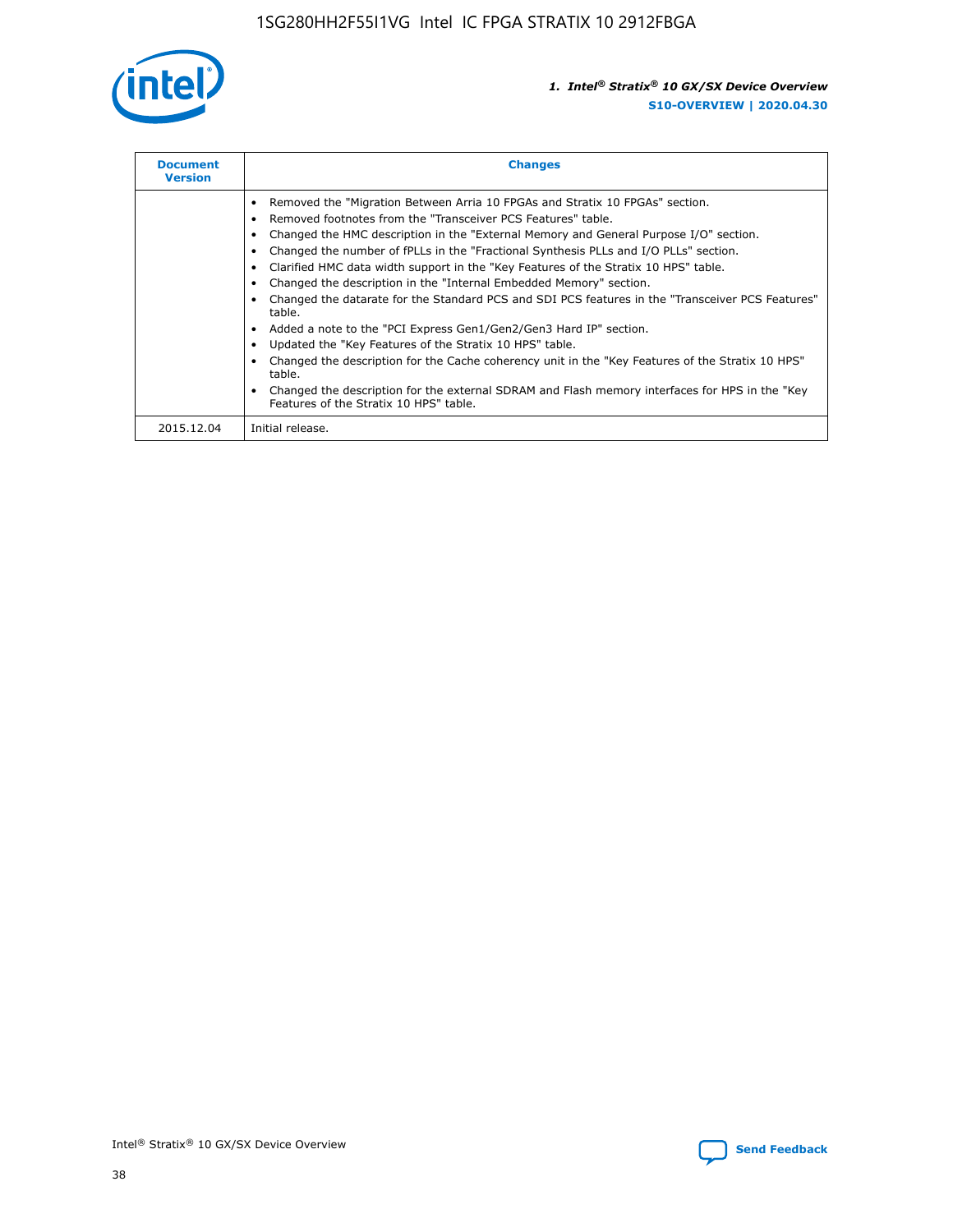

| <b>Document</b><br><b>Version</b> | <b>Changes</b>                                                                                                                                                                                                                                                                                                                                                                                                                                                                                                                                                                                                                                                                                                                                                                                                                                                                                                                                                                                     |
|-----------------------------------|----------------------------------------------------------------------------------------------------------------------------------------------------------------------------------------------------------------------------------------------------------------------------------------------------------------------------------------------------------------------------------------------------------------------------------------------------------------------------------------------------------------------------------------------------------------------------------------------------------------------------------------------------------------------------------------------------------------------------------------------------------------------------------------------------------------------------------------------------------------------------------------------------------------------------------------------------------------------------------------------------|
|                                   | Removed the "Migration Between Arria 10 FPGAs and Stratix 10 FPGAs" section.<br>Removed footnotes from the "Transceiver PCS Features" table.<br>Changed the HMC description in the "External Memory and General Purpose I/O" section.<br>Changed the number of fPLLs in the "Fractional Synthesis PLLs and I/O PLLs" section.<br>Clarified HMC data width support in the "Key Features of the Stratix 10 HPS" table.<br>Changed the description in the "Internal Embedded Memory" section.<br>Changed the datarate for the Standard PCS and SDI PCS features in the "Transceiver PCS Features"<br>table.<br>Added a note to the "PCI Express Gen1/Gen2/Gen3 Hard IP" section.<br>Updated the "Key Features of the Stratix 10 HPS" table.<br>Changed the description for the Cache coherency unit in the "Key Features of the Stratix 10 HPS"<br>table.<br>Changed the description for the external SDRAM and Flash memory interfaces for HPS in the "Key<br>Features of the Stratix 10 HPS" table. |
| 2015.12.04                        | Initial release.                                                                                                                                                                                                                                                                                                                                                                                                                                                                                                                                                                                                                                                                                                                                                                                                                                                                                                                                                                                   |